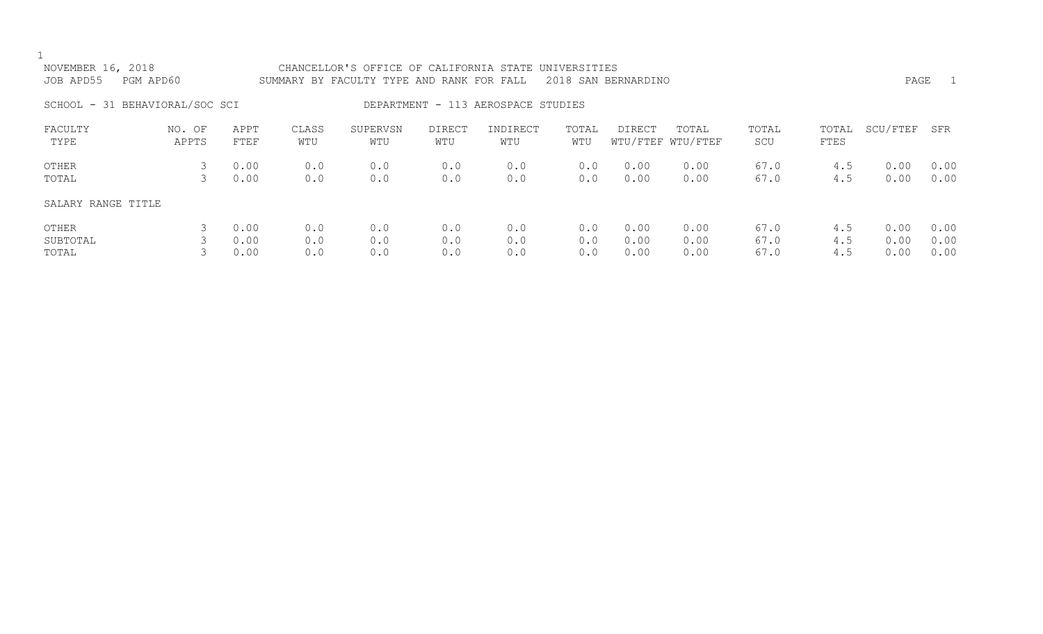| NOVEMBER 16, 2018<br>JOB APD55 | PGM APD60       |                      |                   | CHANCELLOR'S OFFICE OF CALIFORNIA STATE<br>SUMMARY BY FACULTY TYPE AND RANK FOR FALL |                   |                                    | UNIVERSITIES      | 2018 SAN BERNARDINO  |                            |                      |                   | PAGE                 | $\overline{1}$       |
|--------------------------------|-----------------|----------------------|-------------------|--------------------------------------------------------------------------------------|-------------------|------------------------------------|-------------------|----------------------|----------------------------|----------------------|-------------------|----------------------|----------------------|
| SCHOOL - 31 BEHAVIORAL/SOC SCI |                 |                      |                   |                                                                                      |                   | DEPARTMENT - 113 AEROSPACE STUDIES |                   |                      |                            |                      |                   |                      |                      |
| FACULTY<br>TYPE                | NO. OF<br>APPTS | APPT<br>FTEF         | CLASS<br>WTU      | SUPERVSN<br>WTU                                                                      | DIRECT<br>WTU     | INDIRECT<br>WTU                    | TOTAL<br>WTU      | DIRECT               | TOTAL<br>WTU/FTEF WTU/FTEF | TOTAL<br>SCU         | TOTAL<br>FTES     | SCU/FTEF             | SFR                  |
| OTHER<br>TOTAL                 | 3<br>3          | 0.00<br>0.00         | 0.0<br>0.0        | 0.0<br>0.0                                                                           | 0.0<br>0.0        | 0.0<br>0.0                         | 0.0<br>0.0        | 0.00<br>0.00         | 0.00<br>0.00               | 67.0<br>67.0         | 4.5<br>4.5        | 0.00<br>0.00         | 0.00<br>0.00         |
| SALARY RANGE TITLE             |                 |                      |                   |                                                                                      |                   |                                    |                   |                      |                            |                      |                   |                      |                      |
| OTHER<br>SUBTOTAL<br>TOTAL     | 3               | 0.00<br>0.00<br>0.00 | 0.0<br>0.0<br>0.0 | 0.0<br>0.0<br>0.0                                                                    | 0.0<br>0.0<br>0.0 | 0.0<br>0.0<br>0.0                  | 0.0<br>0.0<br>0.0 | 0.00<br>0.00<br>0.00 | 0.00<br>0.00<br>0.00       | 67.0<br>67.0<br>67.0 | 4.5<br>4.5<br>4.5 | 0.00<br>0.00<br>0.00 | 0.00<br>0.00<br>0.00 |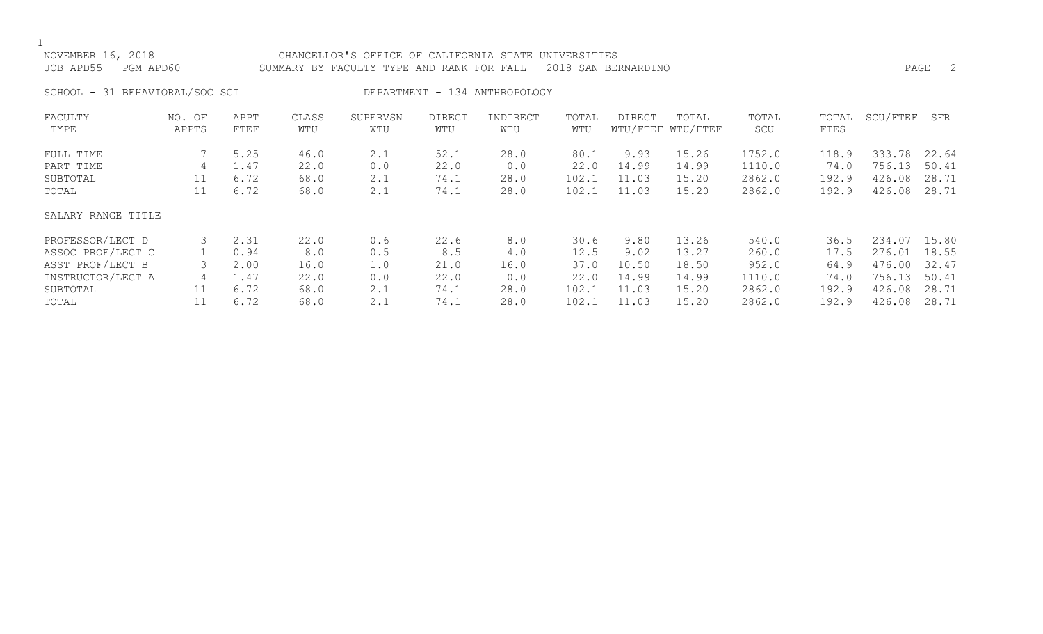## NOVEMBER 16, 2018 CHANCELLOR'S OFFICE OF CALIFORNIA STATE UNIVERSITIES JOB APD55 PGM APD60 SUMMARY BY FACULTY TYPE AND RANK FOR FALL 2018 SAN BERNARDINO

SCHOOL - 31 BEHAVIORAL/SOC SCI DEPARTMENT - 134 ANTHROPOLOGY

| FACULTY            | NO. OF | APPT | CLASS | SUPERVSN | DIRECT | INDIRECT | TOTAL | DIRECT | TOTAL             | TOTAL  | TOTAL | SCU/FTEF | SFR   |
|--------------------|--------|------|-------|----------|--------|----------|-------|--------|-------------------|--------|-------|----------|-------|
| TYPE               | APPTS  | FTEF | WTU   | WTU      | WTU    | WTU      | WTU   |        | WTU/FTEF WTU/FTEF | SCU    | FTES  |          |       |
| FULL TIME          |        | 5.25 | 46.0  | 2.1      | 52.1   | 28.0     | 80.1  | 9.93   | 15.26             | 1752.0 | 118.9 | 333.78   | 22.64 |
| PART TIME          | 4      | 1.47 | 22.0  | 0.0      | 22.0   | 0.0      | 22.0  | 14.99  | 14.99             | 1110.0 | 74.0  | 756.13   | 50.41 |
| SUBTOTAL           | 11     | 6.72 | 68.0  | 2.1      | 74.1   | 28.0     | 102.1 | 11.03  | 15.20             | 2862.0 | 192.9 | 426.08   | 28.71 |
| TOTAL              | 11     | 6.72 | 68.0  | 2.1      | 74.1   | 28.0     | 102.1 | 11.03  | 15.20             | 2862.0 | 192.9 | 426.08   | 28.71 |
| SALARY RANGE TITLE |        |      |       |          |        |          |       |        |                   |        |       |          |       |
| PROFESSOR/LECT D   |        | 2.31 | 22.0  | 0.6      | 22.6   | 8.0      | 30.6  | 9.80   | 13.26             | 540.0  | 36.5  | 234.07   | 15.80 |
| ASSOC PROF/LECT C  |        | 0.94 | 8.0   | 0.5      | 8.5    | 4.0      | 12.5  | 9.02   | 13.27             | 260.0  | 17.5  | 276.01   | 18.55 |
| ASST PROF/LECT B   |        | 2.00 | 16.0  | 1.0      | 21.0   | 16.0     | 37.0  | 10.50  | 18.50             | 952.0  | 64.9  | 476.00   | 32.47 |
| INSTRUCTOR/LECT A  | 4      | 1.47 | 22.0  | 0.0      | 22.0   | 0.0      | 22.0  | 14.99  | 14.99             | 1110.0 | 74.0  | 756.13   | 50.41 |
| SUBTOTAL           | 11     | 6.72 | 68.0  | 2.1      | 74.1   | 28.0     | 102.1 | 11.03  | 15.20             | 2862.0 | 192.9 | 426.08   | 28.71 |
| TOTAL              |        | 6.72 | 68.0  | 2.1      | 74.1   | 28.0     | 102.1 | 11.03  | 15.20             | 2862.0 | 192.9 | 426.08   | 28.71 |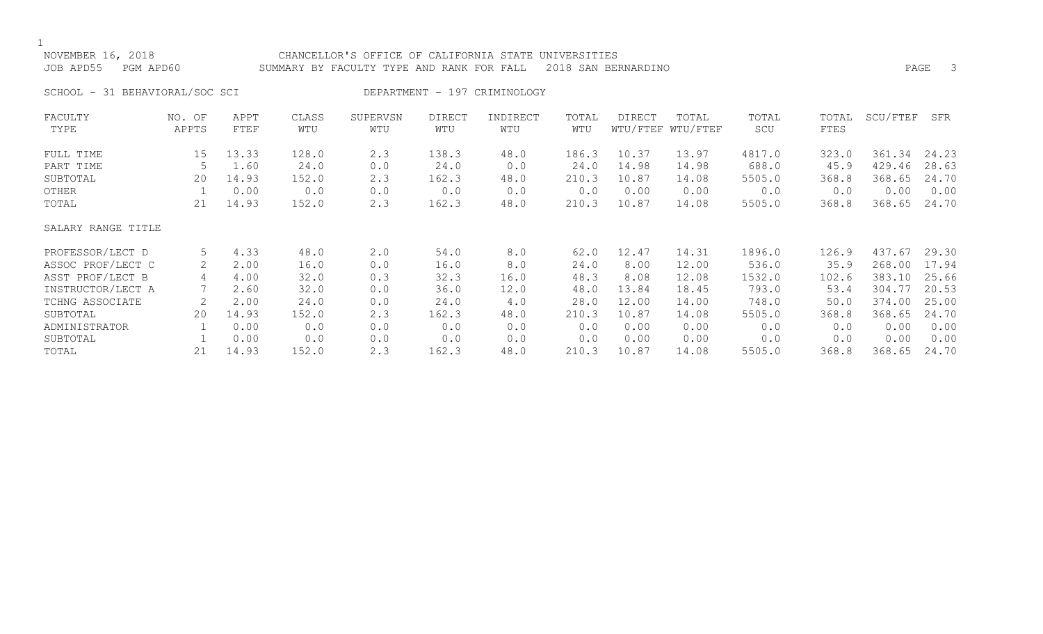# NOVEMBER 16, 2018 CHANCELLOR'S OFFICE OF CALIFORNIA STATE UNIVERSITIES JOB APD55 PGM APD60 SUMMARY BY FACULTY TYPE AND RANK FOR FALL 2018 SAN BERNARDINO PAGE 3

SCHOOL - 31 BEHAVIORAL/SOC SCI DEPARTMENT - 197 CRIMINOLOGY

| FACULTY            | NO. OF          | APPT  | CLASS | SUPERVSN | <b>DIRECT</b> | INDIRECT | TOTAL | DIRECT | TOTAL             | TOTAL  | TOTAL | SCU/FTEF | SFR   |
|--------------------|-----------------|-------|-------|----------|---------------|----------|-------|--------|-------------------|--------|-------|----------|-------|
| TYPE               | APPTS           | FTEF  | WTU   | WTU      | WTU           | WTU      | WTU   |        | WTU/FTEF WTU/FTEF | SCU    | FTES  |          |       |
| FULL TIME          | 15 <sub>1</sub> | 13.33 | 128.0 | 2.3      | 138.3         | 48.0     | 186.3 | 10.37  | 13.97             | 4817.0 | 323.0 | 361.34   | 24.23 |
| PART TIME          |                 | 1.60  | 24.0  | 0.0      | 24.0          | 0.0      | 24.0  | 14.98  | 14.98             | 688.0  | 45.9  | 429.46   | 28.63 |
| SUBTOTAL           | 20              | 14.93 | 152.0 | 2.3      | 162.3         | 48.0     | 210.3 | 10.87  | 14.08             | 5505.0 | 368.8 | 368.65   | 24.70 |
| OTHER              |                 | 0.00  | 0.0   | 0.0      | 0.0           | 0.0      | 0.0   | 0.00   | 0.00              | 0.0    | 0.0   | 0.00     | 0.00  |
| TOTAL              | 21              | 14.93 | 152.0 | 2.3      | 162.3         | 48.0     | 210.3 | 10.87  | 14.08             | 5505.0 | 368.8 | 368.65   | 24.70 |
| SALARY RANGE TITLE |                 |       |       |          |               |          |       |        |                   |        |       |          |       |
| PROFESSOR/LECT D   | 5               | 4.33  | 48.0  | 2.0      | 54.0          | 8.0      | 62.0  | 12.47  | 14.31             | 1896.0 | 126.9 | 437.67   | 29.30 |
| ASSOC PROF/LECT C  |                 | 2.00  | 16.0  | 0.0      | 16.0          | 8.0      | 24.0  | 8.00   | 12.00             | 536.0  | 35.9  | 268.00   | 17.94 |
| ASST PROF/LECT B   |                 | 4.00  | 32.0  | 0.3      | 32.3          | 16.0     | 48.3  | 8.08   | 12.08             | 1532.0 | 102.6 | 383.10   | 25.66 |
| INSTRUCTOR/LECT A  |                 | 2.60  | 32.0  | 0.0      | 36.0          | 12.0     | 48.0  | 13.84  | 18.45             | 793.0  | 53.4  | 304.77   | 20.53 |
| TCHNG ASSOCIATE    |                 | 2.00  | 24.0  | 0.0      | 24.0          | 4.0      | 28.0  | 12.00  | 14.00             | 748.0  | 50.0  | 374.00   | 25.00 |
| SUBTOTAL           | 20              | 14.93 | 152.0 | 2.3      | 162.3         | 48.0     | 210.3 | 10.87  | 14.08             | 5505.0 | 368.8 | 368.65   | 24.70 |
| ADMINISTRATOR      |                 | 0.00  | 0.0   | 0.0      | 0.0           | 0.0      | 0.0   | 0.00   | 0.00              | 0.0    | 0.0   | 0.00     | 0.00  |
| SUBTOTAL           |                 | 0.00  | 0.0   | 0.0      | 0.0           | 0.0      | 0.0   | 0.00   | 0.00              | 0.0    | 0.0   | 0.00     | 0.00  |
| TOTAL              | 21              | 14.93 | 152.0 | 2.3      | 162.3         | 48.0     | 210.3 | 10.87  | 14.08             | 5505.0 | 368.8 | 368.65   | 24.70 |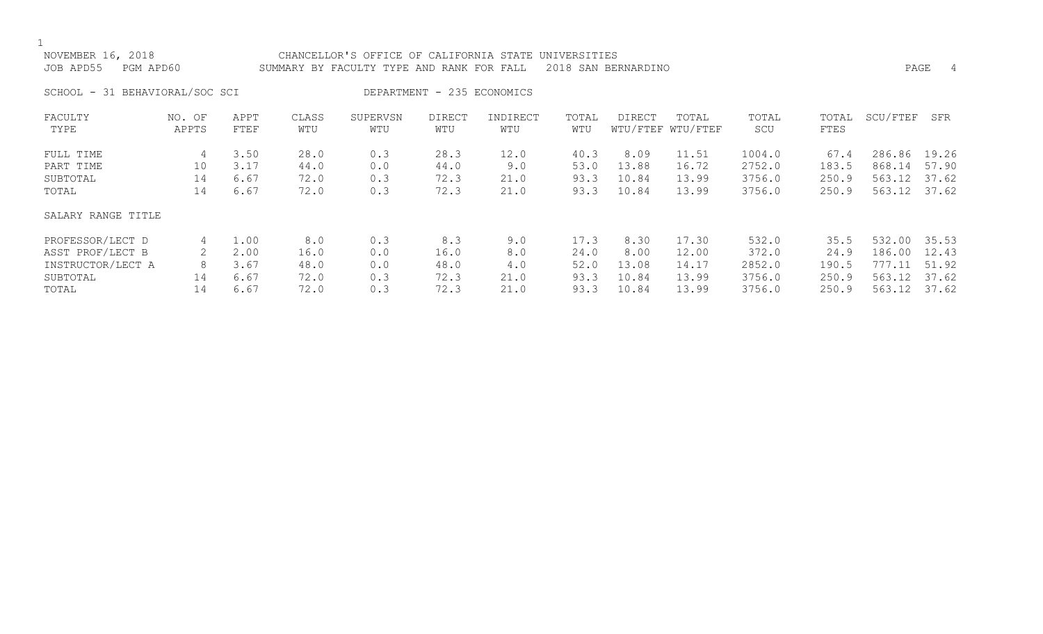| NOVEMBER 16, 2018<br>PGM APD60<br>JOB APD55 |                     |                              |                              | CHANCELLOR'S OFFICE OF CALIFORNIA STATE UNIVERSITIES<br>SUMMARY BY FACULTY TYPE AND RANK FOR FALL |                              |                             |                              | 2018 SAN BERNARDINO             |                                  |                                      |                                 | PAGE                                             | -4             |
|---------------------------------------------|---------------------|------------------------------|------------------------------|---------------------------------------------------------------------------------------------------|------------------------------|-----------------------------|------------------------------|---------------------------------|----------------------------------|--------------------------------------|---------------------------------|--------------------------------------------------|----------------|
| SCHOOL - 31 BEHAVIORAL/SOC SCI              |                     |                              |                              |                                                                                                   | DEPARTMENT - 235 ECONOMICS   |                             |                              |                                 |                                  |                                      |                                 |                                                  |                |
| FACULTY<br>TYPE                             | NO. OF<br>APPTS     | APPT<br>FTEF                 | CLASS<br>WTU                 | SUPERVSN<br>WTU                                                                                   | DIRECT<br>WTU                | INDIRECT<br>WTU             | TOTAL<br>WTU                 | DIRECT                          | TOTAL<br>WTU/FTEF WTU/FTEF       | TOTAL<br>SCU                         | TOTAL<br>FTES                   | SCU/FTEF                                         | SFR            |
| FULL TIME<br>PART TIME<br>SUBTOTAL<br>TOTAL | 4<br>10<br>14<br>14 | 3.50<br>3.17<br>6.67<br>6.67 | 28.0<br>44.0<br>72.0<br>72.0 | 0.3<br>0.0<br>0.3<br>0.3                                                                          | 28.3<br>44.0<br>72.3<br>72.3 | 12.0<br>9.0<br>21.0<br>21.0 | 40.3<br>53.0<br>93.3<br>93.3 | 8.09<br>13.88<br>10.84<br>10.84 | 11.51<br>16.72<br>13.99<br>13.99 | 1004.0<br>2752.0<br>3756.0<br>3756.0 | 67.4<br>183.5<br>250.9<br>250.9 | 286.86 19.26<br>868.14<br>563.12<br>563.12 37.62 | 57.90<br>37.62 |
| SALARY RANGE TITLE                          |                     |                              |                              |                                                                                                   |                              |                             |                              |                                 |                                  |                                      |                                 |                                                  |                |

| PROFESSOR/LECT D  | 1.00 | 8.0  | 0.3 | 8.3  | 9.0  |      | 8.30  | 17.30 | 532.0  | 35.5  | 532.00 | 35.53 |
|-------------------|------|------|-----|------|------|------|-------|-------|--------|-------|--------|-------|
| ASST PROF/LECT B  | 2.00 | ⊥6.O | 0.0 | 16.0 | 8.0  | 24.0 | 8.00  | 12.00 | 372.0  | 24.9  | 186.00 | 12.43 |
| INSTRUCTOR/LECT A | 3.67 | 48.0 | 0.0 | 48.0 | 4.0  | 52.0 | 13.08 | 14.1  | 2852.0 | 190.5 | 777.11 | 51.92 |
| SUBTOTAL          | 6.67 | 72.0 |     | 72.3 | 21.0 | 93.3 | 10.84 | 13.99 | 3756.0 | 250.9 | 563.12 | 37.62 |
| TOTAL             | 6.67 |      |     | 72.3 | 21.0 | 93.3 | 10.84 | ⊥3.99 | 3756.0 | 250.9 | 563.12 | 37.62 |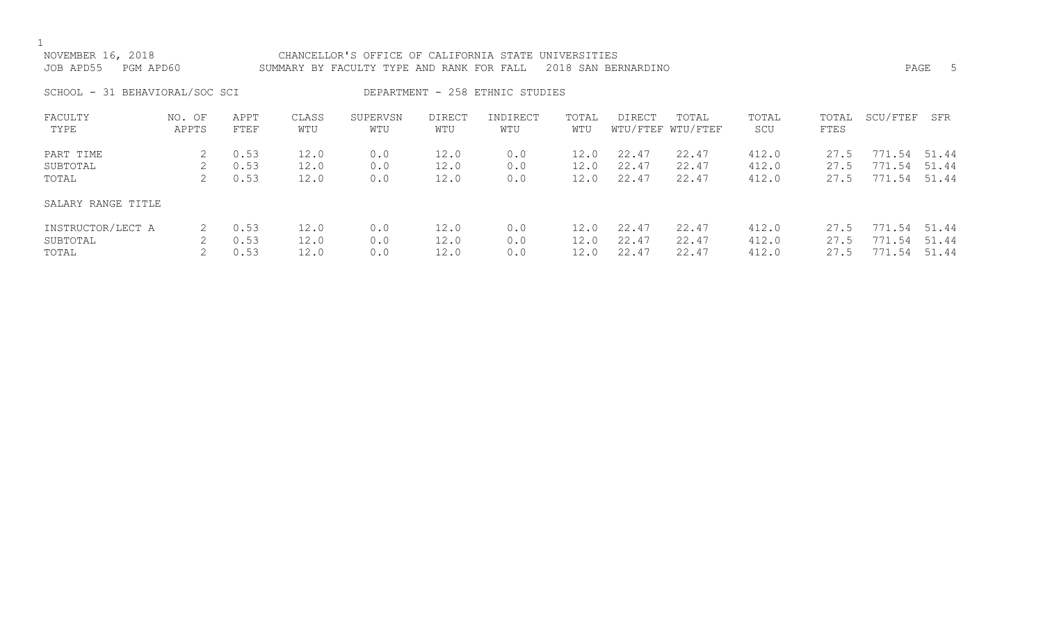| NOVEMBER 16, 2018<br>JOB APD55<br>PGM APD60 |                 |              |              | CHANCELLOR'S OFFICE OF CALIFORNIA STATE UNIVERSITIES<br>SUMMARY BY FACULTY TYPE AND RANK FOR FALL |                      |                                 |              | 2018 SAN BERNARDINO |                            |              |               |          | PAGE<br>- 5 |
|---------------------------------------------|-----------------|--------------|--------------|---------------------------------------------------------------------------------------------------|----------------------|---------------------------------|--------------|---------------------|----------------------------|--------------|---------------|----------|-------------|
| SCHOOL - 31 BEHAVIORAL/SOC SCI              |                 |              |              |                                                                                                   |                      | DEPARTMENT - 258 ETHNIC STUDIES |              |                     |                            |              |               |          |             |
| FACULTY<br>TYPE                             | NO. OF<br>APPTS | APPT<br>FTEF | CLASS<br>WTU | SUPERVSN<br>WTU                                                                                   | <b>DIRECT</b><br>WTU | INDIRECT<br>WTU                 | TOTAL<br>WTU | <b>DIRECT</b>       | TOTAL<br>WTU/FTEF WTU/FTEF | TOTAL<br>SCU | TOTAL<br>FTES | SCU/FTEF | SFR         |
| PART TIME                                   | 2               | 0.53         | 12.0         | 0.0                                                                                               | 12.0                 | 0.0                             | 12.0         | 22.47               | 22.47                      | 412.0        | 27.5          | 771.54   | 51.44       |
| SUBTOTAL                                    | 2               | 0.53         | 12.0         | 0.0                                                                                               | 12.0                 | 0.0                             | 12.0         | 22.47               | 22.47                      | 412.0        | 27.5          | 771.54   | 51.44       |
| TOTAL                                       |                 | 0.53         | 12.0         | 0.0                                                                                               | 12.0                 | 0.0                             | 12.0         | 22.47               | 22.47                      | 412.0        | 27.5          | 771.54   | 51.44       |
| SALARY RANGE TITLE                          |                 |              |              |                                                                                                   |                      |                                 |              |                     |                            |              |               |          |             |
| INSTRUCTOR/LECT A                           | 2               | 0.53         | 12.0         | 0.0                                                                                               | 12.0                 | 0.0                             | 12.0         | 22.47               | 22.47                      | 412.0        | 27.5          | 771.54   | 51.44       |
| SUBTOTAL                                    |                 | 0.53         | 12.0         | 0.0                                                                                               | 12.0                 | 0.0                             | 12.0         | 22.47               | 22.47                      | 412.0        | 27.5          | 771.54   | 51.44       |
| TOTAL                                       |                 | 0.53         | 12.0         | 0.0                                                                                               | 12.0                 | 0.0                             | 12.0         | 22.47               | 22.47                      | 412.0        | 27.5          | 771.54   | 51.44       |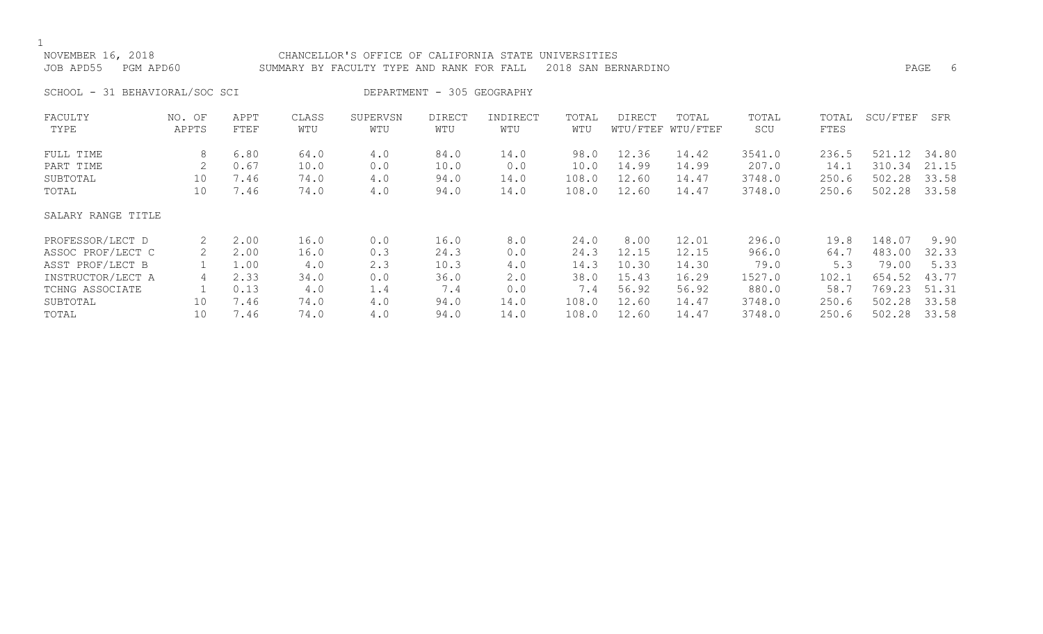$1$  NOV

| NOVEMBER 16, 2018<br>JOB APD55 PGM APD60 | CHANCELLOR'S OFFICE OF CALIFORNIA STATE UNIVERSITIES<br>SUMMARY BY FACULTY TYPE AND RANK FOR FALL 2018 SAN BERNARDINO | PAGE |  |
|------------------------------------------|-----------------------------------------------------------------------------------------------------------------------|------|--|
| SCHOOL - 31 BEHAVIORAL/SOC SCI           | DEPARTMENT - 305 GEOGRAPHY                                                                                            |      |  |

| FACULTY            | NO. OF | APPT | CLASS | SUPERVSN | <b>DIRECT</b> | INDIRECT | TOTAL | <b>DIRECT</b> | TOTAL             | TOTAL  | TOTAL | SCU/FTEF | SFR   |
|--------------------|--------|------|-------|----------|---------------|----------|-------|---------------|-------------------|--------|-------|----------|-------|
| TYPE               | APPTS  | FTEF | WTU   | WTU      | WTU           | WTU      | WTU   |               | WTU/FTEF WTU/FTEF | SCU    | FTES  |          |       |
| FULL TIME          | 8      | 6.80 | 64.0  | 4.0      | 84.0          | 14.0     | 98.0  | 12.36         | 14.42             | 3541.0 | 236.5 | 521.12   | 34.80 |
| PART TIME          |        | 0.67 | 10.0  | 0.0      | 10.0          | 0.0      | 10.0  | 14.99         | 14.99             | 207.0  | 14.1  | 310.34   | 21.15 |
| SUBTOTAL           | 10     | 7.46 | 74.0  | 4.0      | 94.0          | 14.0     | 108.0 | 12.60         | 14.47             | 3748.0 | 250.6 | 502.28   | 33.58 |
| TOTAL              | 10     | 7.46 | 74.0  | 4.0      | 94.0          | 14.0     | 108.0 | 12.60         | 14.47             | 3748.0 | 250.6 | 502.28   | 33.58 |
| SALARY RANGE TITLE |        |      |       |          |               |          |       |               |                   |        |       |          |       |
| PROFESSOR/LECT D   |        | 2.00 | 16.0  | 0.0      | 16.0          | 8.0      | 24.0  | 8.00          | 12.01             | 296.0  | 19.8  | 148.07   | 9.90  |
| ASSOC PROF/LECT C  |        | 2.00 | 16.0  | 0.3      | 24.3          | 0.0      | 24.3  | 12.15         | 12.15             | 966.0  | 64.7  | 483.00   | 32.33 |
| ASST PROF/LECT B   |        | 1.00 | 4.0   | 2.3      | 10.3          | 4.0      | 14.3  | 10.30         | 14.30             | 79.0   | 5.3   | 79.00    | 5.33  |
| INSTRUCTOR/LECT A  | 4      | 2.33 | 34.0  | 0.0      | 36.0          | 2.0      | 38.0  | 15.43         | 16.29             | 1527.0 | 102.1 | 654.52   | 43.77 |
| TCHNG ASSOCIATE    |        | 0.13 | 4.0   | 1.4      | 7.4           | 0.0      | 7.4   | 56.92         | 56.92             | 880.0  | 58.7  | 769.23   | 51.31 |
| SUBTOTAL           | 10     | 7.46 | 74.0  | 4.0      | 94.0          | 14.0     | 108.0 | 12.60         | 14.47             | 3748.0 | 250.6 | 502.28   | 33.58 |
| TOTAL              | 10     | 7.46 | 74.0  | 4.0      | 94.0          | 14.0     | 108.0 | 12.60         | 14.47             | 3748.0 | 250.6 | 502.28   | 33.58 |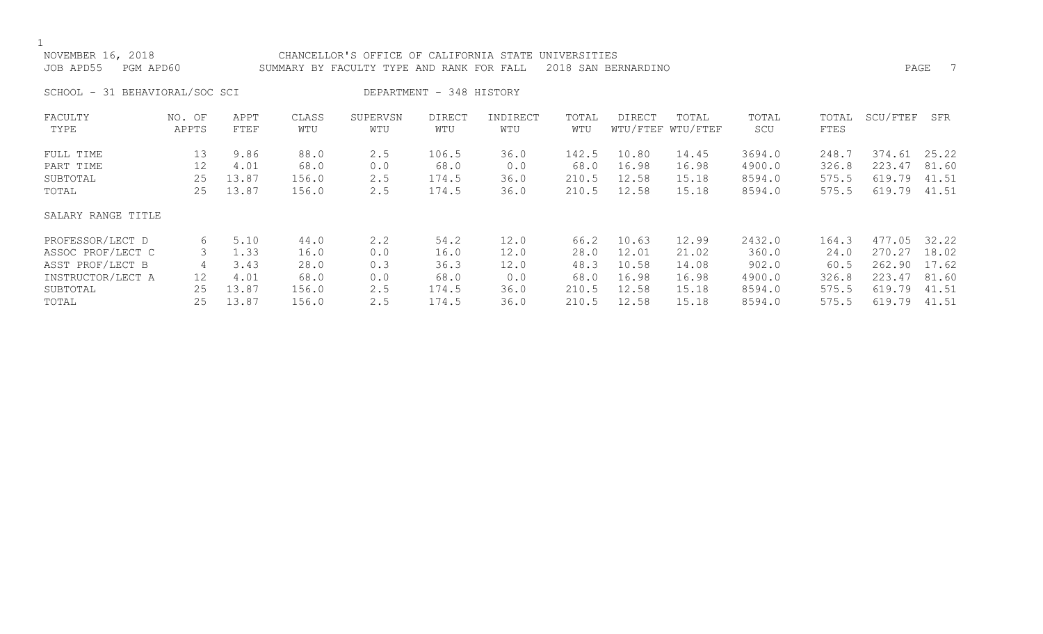| NOVEMBER 16, 2018<br>JOB APD55<br>PGM APD60 |                 |              |              | CHANCELLOR'S OFFICE OF CALIFORNIA STATE<br>SUMMARY BY FACULTY TYPE AND RANK FOR FALL |                          |                 | UNIVERSITIES | 2018 SAN BERNARDINO |                            |              |               | PAGE     | $\overline{7}$ |
|---------------------------------------------|-----------------|--------------|--------------|--------------------------------------------------------------------------------------|--------------------------|-----------------|--------------|---------------------|----------------------------|--------------|---------------|----------|----------------|
| SCHOOL - 31 BEHAVIORAL/SOC SCI              |                 |              |              |                                                                                      | DEPARTMENT - 348 HISTORY |                 |              |                     |                            |              |               |          |                |
| FACULTY<br>TYPE                             | NO. OF<br>APPTS | APPT<br>FTEF | CLASS<br>WTU | SUPERVSN<br>WTU                                                                      | <b>DIRECT</b><br>WTU     | INDIRECT<br>WTU | TOTAL<br>WTU | <b>DIRECT</b>       | TOTAL<br>WTU/FTEF WTU/FTEF | TOTAL<br>SCU | TOTAL<br>FTES | SCU/FTEF | SFR            |
| FULL TIME                                   | 13              | 9.86         | 88.0         | 2.5                                                                                  | 106.5                    | 36.0            | 142.5        | 10.80               | 14.45                      | 3694.0       | 248.7         | 374.61   | 25.22          |
| PART TIME                                   | 12              | 4.01         | 68.0         | 0.0                                                                                  | 68.0                     | 0.0             | 68.0         | 16.98               | 16.98                      | 4900.0       | 326.8         | 223.47   | 81.60          |
| SUBTOTAL                                    | 25              | 13.87        | 156.0        | 2.5                                                                                  | 174.5                    | 36.0            | 210.5        | 12.58               | 15.18                      | 8594.0       | 575.5         | 619.79   | 41.51          |
| TOTAL                                       | 25              | 13.87        | 156.0        | 2.5                                                                                  | 174.5                    | 36.0            | 210.5        | 12.58               | 15.18                      | 8594.0       | 575.5         | 619.79   | 41.51          |
| SALARY RANGE TITLE                          |                 |              |              |                                                                                      |                          |                 |              |                     |                            |              |               |          |                |
| PROFESSOR/LECT D                            | 6               | 5.10         | 44.0         | $2 \cdot 2$                                                                          | 54.2                     | 12.0            | 66.2         | 10.63               | 12.99                      | 2432.0       | 164.3         | 477.05   | 32.22          |
| ASSOC PROF/LECT C                           | 3               | 1.33         | 16.0         | 0.0                                                                                  | 16.0                     | 12.0            | 28.0         | 12.01               | 21.02                      | 360.0        | 24.0          | 270.27   | 18.02          |
| ASST PROF/LECT B                            | 4               | 3.43         | 28.0         | 0.3                                                                                  | 36.3                     | 12.0            | 48.3         | 10.58               | 14.08                      | 902.0        | 60.5          | 262.90   | 17.62          |
| INSTRUCTOR/LECT A                           | 12              | 4.01         | 68.0         | 0.0                                                                                  | 68.0                     | 0.0             | 68.0         | 16.98               | 16.98                      | 4900.0       | 326.8         | 223.47   | 81.60          |
| SUBTOTAL                                    | 25              | 13.87        | 156.0        | 2.5                                                                                  | 174.5                    | 36.0            | 210.5        | 12.58               | 15.18                      | 8594.0       | 575.5         | 619.79   | 41.51          |
| TOTAL                                       | 25              | 13.87        | 156.0        | 2.5                                                                                  | 174.5                    | 36.0            | 210.5        | 12.58               | 15.18                      | 8594.0       | 575.5         | 619.79   | 41.51          |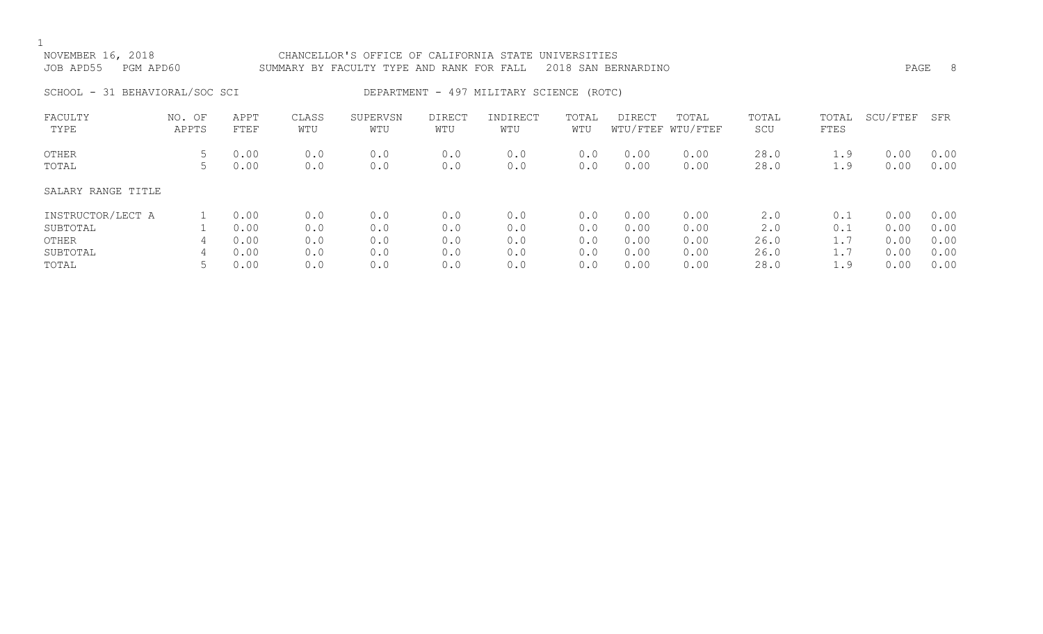# NOVEMBER 16, 2018 CHANCELLOR'S OFFICE OF CALIFORNIA STATE UNIVERSITIES JOB APD55 PGM APD60 SUMMARY BY FACULTY TYPE AND RANK FOR FALL 2018 SAN BERNARDINO PAGE 8 SCHOOL - 31 BEHAVIORAL/SOC SCI DEPARTMENT - 497 MILITARY SCIENCE (ROTC)

| FACULTY<br>TYPE    | NO. OF<br>APPTS | APPT<br>FTEF | CLASS<br>WTU | SUPERVSN<br>WTU | DIRECT<br>WTU | INDIRECT<br>WTU | TOTAL<br>WTU | <b>DIRECT</b> | TOTAL<br>WTU/FTEF WTU/FTEF | TOTAL<br>SCU | TOTAL<br>FTES | SCU/FTEF | SFR  |
|--------------------|-----------------|--------------|--------------|-----------------|---------------|-----------------|--------------|---------------|----------------------------|--------------|---------------|----------|------|
| OTHER              | C               | 0.00         | 0.0          | 0.0             | 0.0           | 0.0             | 0.0          | 0.00          | 0.00                       | 28.0         | 1.9           | 0.00     | 0.00 |
| TOTAL              | C               | 0.00         | 0.0          | 0.0             | 0.0           | 0.0             | 0.0          | 0.00          | 0.00                       | 28.0         | 1.9           | 0.00     | 0.00 |
| SALARY RANGE TITLE |                 |              |              |                 |               |                 |              |               |                            |              |               |          |      |
| INSTRUCTOR/LECT A  |                 | 0.00         | 0.0          | 0.0             | 0.0           | 0.0             | 0.0          | 0.00          | 0.00                       | 2.0          | 0.1           | 0.00     | 0.00 |
| SUBTOTAL           |                 | 0.00         | 0.0          | 0.0             | 0.0           | 0.0             | 0.0          | 0.00          | 0.00                       | 2.0          | 0.1           | 0.00     | 0.00 |
| OTHER              | 4               | 0.00         | 0.0          | 0.0             | 0.0           | 0.0             | 0.0          | 0.00          | 0.00                       | 26.0         | 1.7           | 0.00     | 0.00 |
| SUBTOTAL           | 4               | 0.00         | 0.0          | 0.0             | 0.0           | 0.0             | 0.0          | 0.00          | 0.00                       | 26.0         |               | 0.00     | 0.00 |
| TOTAL              |                 | 0.00         | 0.0          | 0.0             | 0.0           | 0.0             | 0.0          | 0.00          | 0.00                       | 28.0         | 1.9           | 0.00     | 0.00 |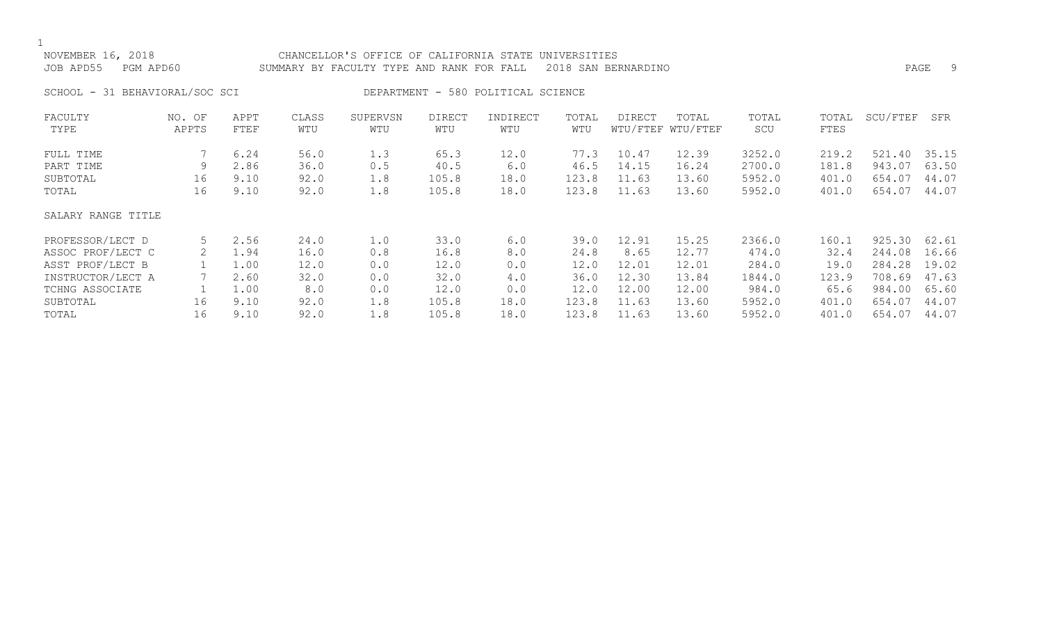| NOVEMBER 16, 2018<br>JOB APD55<br>PGM APD60 |                 |              |              | CHANCELLOR'S OFFICE OF CALIFORNIA STATE<br>SUMMARY BY FACULTY TYPE AND RANK FOR FALL |                      |                                    | UNIVERSITIES | 2018 SAN BERNARDINO |                            |              |               |          | 9<br>PAGE |
|---------------------------------------------|-----------------|--------------|--------------|--------------------------------------------------------------------------------------|----------------------|------------------------------------|--------------|---------------------|----------------------------|--------------|---------------|----------|-----------|
| SCHOOL - 31 BEHAVIORAL/SOC SCI              |                 |              |              |                                                                                      |                      | DEPARTMENT - 580 POLITICAL SCIENCE |              |                     |                            |              |               |          |           |
| FACULTY<br>TYPE                             | NO. OF<br>APPTS | APPT<br>FTEF | CLASS<br>WTU | SUPERVSN<br>WTU                                                                      | <b>DIRECT</b><br>WTU | INDIRECT<br>WTU                    | TOTAL<br>WTU | DIRECT              | TOTAL<br>WTU/FTEF WTU/FTEF | TOTAL<br>SCU | TOTAL<br>FTES | SCU/FTEF | SFR       |
| FULL TIME                                   |                 | 6.24         | 56.0         | 1.3                                                                                  | 65.3                 | 12.0                               | 77.3         | 10.47               | 12.39                      | 3252.0       | 219.2         | 521.40   | 35.15     |
| PART TIME                                   | 9               | 2.86         | 36.0         | 0.5                                                                                  | 40.5                 | 6.0                                | 46.5         | 14.15               | 16.24                      | 2700.0       | 181.8         | 943.07   | 63.50     |
| SUBTOTAL                                    | 16              | 9.10         | 92.0         | 1.8                                                                                  | 105.8                | 18.0                               | 123.8        | 11.63               | 13.60                      | 5952.0       | 401.0         | 654.07   | 44.07     |
| TOTAL                                       | 16              | 9.10         | 92.0         | 1.8                                                                                  | 105.8                | 18.0                               | 123.8        | 11.63               | 13.60                      | 5952.0       | 401.0         | 654.07   | 44.07     |
| SALARY RANGE TITLE                          |                 |              |              |                                                                                      |                      |                                    |              |                     |                            |              |               |          |           |
| PROFESSOR/LECT D                            | 5               | 2.56         | 24.0         | 1.0                                                                                  | 33.0                 | 6.0                                | 39.0         | 12.91               | 15.25                      | 2366.0       | 160.1         | 925.30   | 62.61     |
| ASSOC PROF/LECT C                           | 2               | 1.94         | 16.0         | 0.8                                                                                  | 16.8                 | 8.0                                | 24.8         | 8.65                | 12.77                      | 474.0        | 32.4          | 244.08   | 16.66     |
| ASST PROF/LECT B                            |                 | 1.00         | 12.0         | 0.0                                                                                  | 12.0                 | 0.0                                | 12.0         | 12.01               | 12.01                      | 284.0        | 19.0          | 284.28   | 19.02     |
| INSTRUCTOR/LECT A                           |                 | 2.60         | 32.0         | 0.0                                                                                  | 32.0                 | 4.0                                | 36.0         | 12.30               | 13.84                      | 1844.0       | 123.9         | 708.69   | 47.63     |
| TCHNG ASSOCIATE                             |                 | 1.00         | 8.0          | 0.0                                                                                  | 12.0                 | 0.0                                | 12.0         | 12.00               | 12.00                      | 984.0        | 65.6          | 984.00   | 65.60     |
| SUBTOTAL                                    | 16              | 9.10         | 92.0         | 1.8                                                                                  | 105.8                | 18.0                               | 123.8        | 11.63               | 13.60                      | 5952.0       | 401.0         | 654.07   | 44.07     |

SUBTOTAL 16 9.10 92.0 1.8 105.8 18.0 123.8 11.63 13.60 5952.0 401.0 654.07 44.07 TOTAL 16 9.10 92.0 1.8 105.8 18.0 123.8 11.63 13.60 5952.0 401.0 654.07 44.07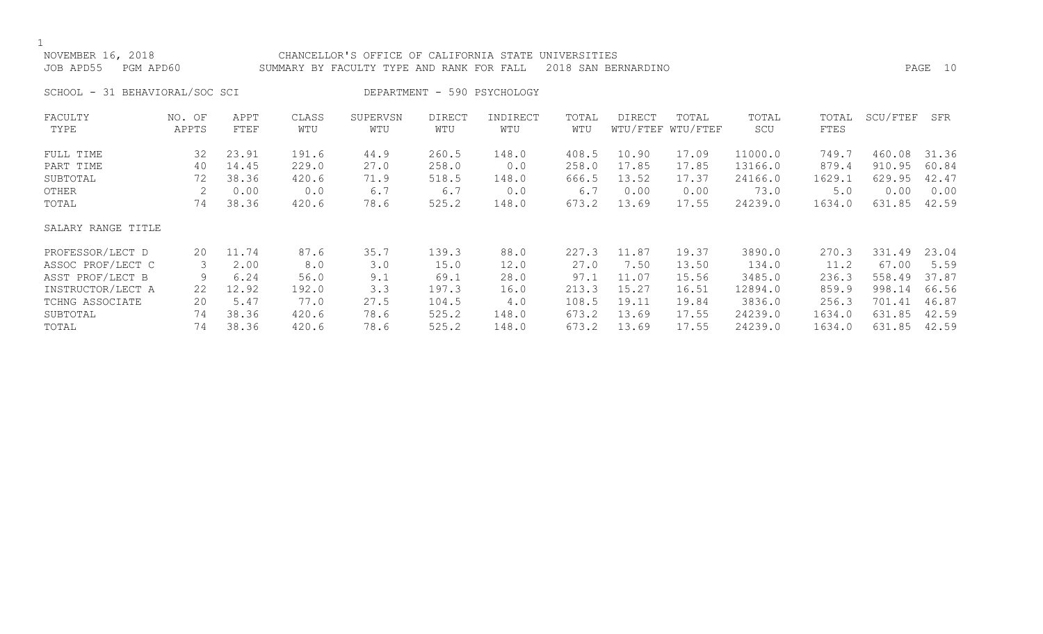## NOVEMBER 16, 2018 CHANCELLOR'S OFFICE OF CALIFORNIA STATE UNIVERSITIES JOB APD55 PGM APD60 SUMMARY BY FACULTY TYPE AND RANK FOR FALL 2018 SAN BERNARDINO PAGE 10

SCHOOL - 31 BEHAVIORAL/SOC SCI DEPARTMENT - 590 PSYCHOLOGY

| FACULTY            | NO. OF | APPT  | CLASS | SUPERVSN | <b>DIRECT</b> | INDIRECT | TOTAL | <b>DIRECT</b> | TOTAL             | TOTAL   | TOTAL  | SCU/FTEF | SFR   |
|--------------------|--------|-------|-------|----------|---------------|----------|-------|---------------|-------------------|---------|--------|----------|-------|
| TYPE               | APPTS  | FTEF  | WTU   | WTU      | WTU           | WTU      | WTU   |               | WTU/FTEF WTU/FTEF | SCU     | FTES   |          |       |
| FULL TIME          | 32     | 23.91 | 191.6 | 44.9     | 260.5         | 148.0    | 408.5 | 10.90         | 17.09             | 11000.0 | 749.7  | 460.08   | 31.36 |
| PART TIME          | 40     | 14.45 | 229.0 | 27.0     | 258.0         | 0.0      | 258.0 | 17.85         | 17.85             | 13166.0 | 879.4  | 910.95   | 60.84 |
| SUBTOTAL           | 72     | 38.36 | 420.6 | 71.9     | 518.5         | 148.0    | 666.5 | 13.52         | 17.37             | 24166.0 | 1629.1 | 629.95   | 42.47 |
| OTHER              |        | 0.00  | 0.0   | 6.7      | 6.7           | 0.0      | 6.7   | 0.00          | 0.00              | 73.0    | 5.0    | 0.00     | 0.00  |
| TOTAL              | 74     | 38.36 | 420.6 | 78.6     | 525.2         | 148.0    | 673.2 | 13.69         | 17.55             | 24239.0 | 1634.0 | 631.85   | 42.59 |
| SALARY RANGE TITLE |        |       |       |          |               |          |       |               |                   |         |        |          |       |
| PROFESSOR/LECT D   | 20     | 11.74 | 87.6  | 35.7     | 139.3         | 88.0     | 227.3 | 11.87         | 19.37             | 3890.0  | 270.3  | 331.49   | 23.04 |
| ASSOC PROF/LECT C  | 3      | 2.00  | 8.0   | 3.0      | 15.0          | 12.0     | 27.0  | 7.50          | 13.50             | 134.0   | 11.2   | 67.00    | 5.59  |
| ASST PROF/LECT B   | 9      | 6.24  | 56.0  | 9.1      | 69.1          | 28.0     | 97.1  | 11.07         | 15.56             | 3485.0  | 236.3  | 558.49   | 37.87 |
| INSTRUCTOR/LECT A  | 22     | 12.92 | 192.0 | 3.3      | 197.3         | 16.0     | 213.3 | 15.27         | 16.51             | 12894.0 | 859.9  | 998.14   | 66.56 |
| TCHNG ASSOCIATE    | 20     | 5.47  | 77.0  | 27.5     | 104.5         | 4.0      | 108.5 | 19.11         | 19.84             | 3836.0  | 256.3  | 701.41   | 46.87 |
| SUBTOTAL           | 74     | 38.36 | 420.6 | 78.6     | 525.2         | 148.0    | 673.2 | 13.69         | 17.55             | 24239.0 | 1634.0 | 631.85   | 42.59 |
| TOTAL              | 74     | 38.36 | 420.6 | 78.6     | 525.2         | 148.0    | 673.2 | 13.69         | 17.55             | 24239.0 | 1634.0 | 631.85   | 42.59 |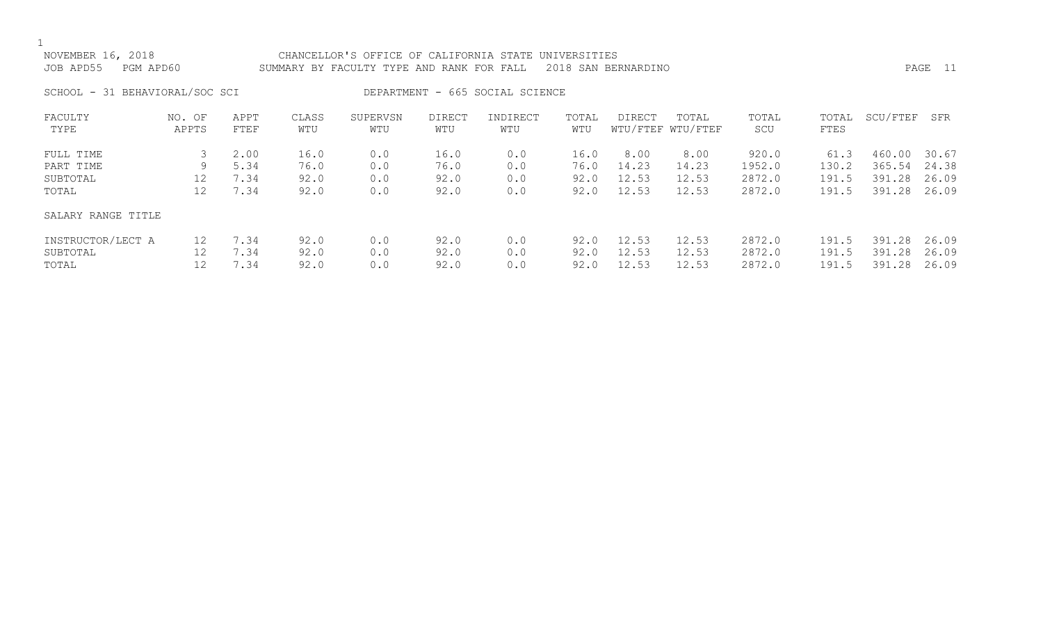| NOVEMBER 16, 2018<br>JOB APD55 | PGM APD60       |                                 |              | CHANCELLOR'S OFFICE OF CALIFORNIA STATE UNIVERSITIES<br>SUMMARY BY FACULTY TYPE AND RANK FOR FALL 2018 SAN BERNARDINO |               |                 |              |        |                            |              |               |          | PAGE 11 |
|--------------------------------|-----------------|---------------------------------|--------------|-----------------------------------------------------------------------------------------------------------------------|---------------|-----------------|--------------|--------|----------------------------|--------------|---------------|----------|---------|
| SCHOOL - 31 BEHAVIORAL/SOC SCI |                 | DEPARTMENT - 665 SOCIAL SCIENCE |              |                                                                                                                       |               |                 |              |        |                            |              |               |          |         |
| FACULTY<br>TYPE                | NO. OF<br>APPTS | APPT<br>FTEF                    | CLASS<br>WTU | SUPERVSN<br>WTU                                                                                                       | DIRECT<br>WTU | INDIRECT<br>WTU | TOTAL<br>WTU | DIRECT | TOTAL<br>WTU/FTEF WTU/FTEF | TOTAL<br>SCU | TOTAL<br>FTES | SCU/FTEF | SFR     |

| FULL TIME          |    | 2.00 | 16.0 | 0.0 | 16.0 | 0.0 | 16.0 | 8.00  | 8.00  | 920.0  | 61.3  | 460.00 | 30.67 |
|--------------------|----|------|------|-----|------|-----|------|-------|-------|--------|-------|--------|-------|
| PART TIME          | 9. | 5.34 | 76.0 | 0.0 | 76.0 | 0.0 | 76.0 | 14.23 | 14.23 | 1952.0 | 130.2 | 365.54 | 24.38 |
| SUBTOTAL           | 12 | 7.34 | 92.0 | 0.0 | 92.0 | 0.0 | 92.0 | 12.53 | 12.53 | 2872.0 | 191.5 | 391.28 | 26.09 |
| TOTAL              | 12 | 7.34 | 92.0 | 0.0 | 92.0 | 0.0 | 92.0 | 12.53 | 12.53 | 2872.0 | 191.5 | 391.28 | 26.09 |
| SALARY RANGE TITLE |    |      |      |     |      |     |      |       |       |        |       |        |       |
| INSTRUCTOR/LECT A  | 12 | 7.34 | 92.0 | 0.0 | 92.0 | 0.0 | 92.0 | 12.53 | 12.53 | 2872.0 | 191.5 | 391.28 | 26.09 |
| SUBTOTAL           |    | 7.34 | 92.0 | 0.0 | 92.0 | 0.0 | 92.0 | 12.53 | 12.53 | 2872.0 | 191.5 | 391.28 | 26.09 |
| TOTAL              |    | 7.34 | 92.0 | 0.0 | 92.0 | 0.0 | 92.0 | 12.53 | 12.53 | 2872.0 | 191.5 | 391.28 | 26.09 |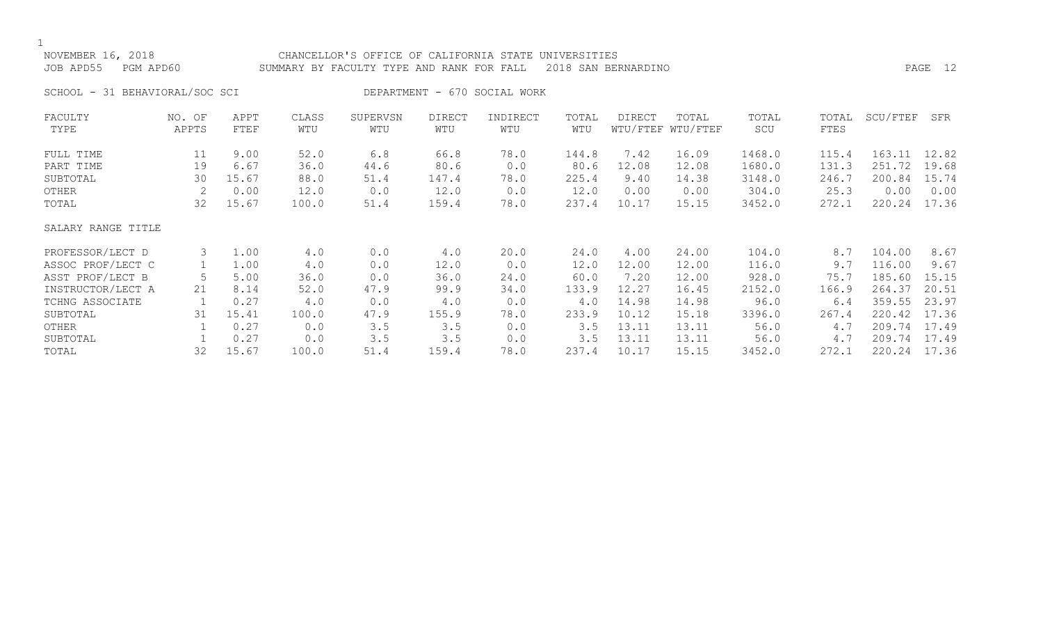## NOVEMBER 16, 2018 CHANCELLOR'S OFFICE OF CALIFORNIA STATE UNIVERSITIES JOB APD55 PGM APD60 SUMMARY BY FACULTY TYPE AND RANK FOR FALL 2018 SAN BERNARDINO PAGE 12

SCHOOL - 31 BEHAVIORAL/SOC SCI DEPARTMENT - 670 SOCIAL WORK

| FACULTY            | NO. OF | APPT  | CLASS | SUPERVSN | <b>DIRECT</b> | INDIRECT | TOTAL | DIRECT | TOTAL             | TOTAL  | TOTAL | SCU/FTEF | SFR   |
|--------------------|--------|-------|-------|----------|---------------|----------|-------|--------|-------------------|--------|-------|----------|-------|
| TYPE               | APPTS  | FTEF  | WTU   | WTU      | WTU           | WTU      | WTU   |        | WTU/FTEF WTU/FTEF | SCU    | FTES  |          |       |
| FULL TIME          | 11     | 9.00  | 52.0  | 6.8      | 66.8          | 78.0     | 144.8 | 7.42   | 16.09             | 1468.0 | 115.4 | 163.11   | 12.82 |
| PART TIME          | 19     | 6.67  | 36.0  | 44.6     | 80.6          | 0.0      | 80.6  | 12.08  | 12.08             | 1680.0 | 131.3 | 251.72   | 19.68 |
| SUBTOTAL           | 30     | 15.67 | 88.0  | 51.4     | 147.4         | 78.0     | 225.4 | 9.40   | 14.38             | 3148.0 | 246.7 | 200.84   | 15.74 |
| OTHER              | 2      | 0.00  | 12.0  | 0.0      | 12.0          | 0.0      | 12.0  | 0.00   | 0.00              | 304.0  | 25.3  | 0.00     | 0.00  |
| TOTAL              | 32     | 15.67 | 100.0 | 51.4     | 159.4         | 78.0     | 237.4 | 10.17  | 15.15             | 3452.0 | 272.1 | 220.24   | 17.36 |
| SALARY RANGE TITLE |        |       |       |          |               |          |       |        |                   |        |       |          |       |
| PROFESSOR/LECT D   | 3      | 1.00  | 4.0   | 0.0      | 4.0           | 20.0     | 24.0  | 4.00   | 24.00             | 104.0  | 8.7   | 104.00   | 8.67  |
| ASSOC PROF/LECT C  |        | 1.00  | 4.0   | 0.0      | 12.0          | 0.0      | 12.0  | 12.00  | 12.00             | 116.0  | 9.7   | 116.00   | 9.67  |
| ASST PROF/LECT B   |        | 5.00  | 36.0  | 0.0      | 36.0          | 24.0     | 60.0  | 7.20   | 12.00             | 928.0  | 75.7  | 185.60   | 15.15 |
| INSTRUCTOR/LECT A  | 21     | 8.14  | 52.0  | 47.9     | 99.9          | 34.0     | 133.9 | 12.27  | 16.45             | 2152.0 | 166.9 | 264.37   | 20.51 |
| TCHNG ASSOCIATE    |        | 0.27  | 4.0   | 0.0      | 4.0           | 0.0      | $4.0$ | 14.98  | 14.98             | 96.0   | 6.4   | 359.55   | 23.97 |
| SUBTOTAL           | 31     | 15.41 | 100.0 | 47.9     | 155.9         | 78.0     | 233.9 | 10.12  | 15.18             | 3396.0 | 267.4 | 220.42   | 17.36 |
| OTHER              |        | 0.27  | 0.0   | 3.5      | 3.5           | 0.0      | 3.5   | 13.11  | 13.11             | 56.0   | 4.7   | 209.74   | 17.49 |
| SUBTOTAL           |        | 0.27  | 0.0   | 3.5      | 3.5           | 0.0      | 3.5   | 13.11  | 13.11             | 56.0   | 4.7   | 209.74   | 17.49 |
| TOTAL              | 32     | 15.67 | 100.0 | 51.4     | 159.4         | 78.0     | 237.4 | 10.17  | 15.15             | 3452.0 | 272.1 | 220.24   | 17.36 |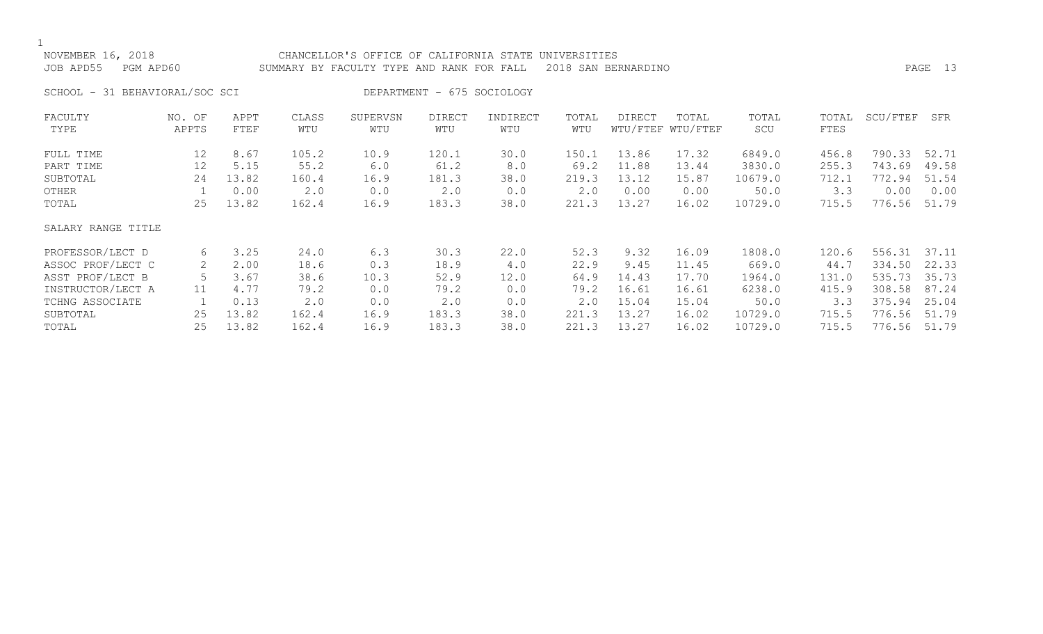$\frac{1}{\text{NO}}$ 

| NOVEMBER 16, 2018<br>JOB APD55 | PGM APD60                      |              |              | CHANCELLOR'S OFFICE OF CALIFORNIA STATE UNIVERSITIES<br>SUMMARY BY FACULTY TYPE AND RANK FOR FALL 2018 SAN BERNARDINO |                            |                 |              |        |                            |              |      |                    | PAGE 13 |
|--------------------------------|--------------------------------|--------------|--------------|-----------------------------------------------------------------------------------------------------------------------|----------------------------|-----------------|--------------|--------|----------------------------|--------------|------|--------------------|---------|
|                                | SCHOOL - 31 BEHAVIORAL/SOC SCI |              |              |                                                                                                                       | DEPARTMENT - 675 SOCIOLOGY |                 |              |        |                            |              |      |                    |         |
| FACULTY<br>TYPE                | NO. OF<br>APPTS                | APPT<br>FTEF | CLASS<br>WTU | SUPERVSN<br>WTU                                                                                                       | DIRECT<br>WTU              | INDIRECT<br>WTU | TOTAL<br>WTU | DIRECT | TOTAL<br>WTU/FTEF WTU/FTEF | TOTAL<br>SCU | FTES | TOTAL SCU/FTEF SFR |         |

| FULL TIME          | 12           | 8.67  | 105.2 | 10.9 | 120.1 | 30.0 | 150.1 | 13.86 | 17.32 | 6849.0  | 456.8 | 790.33 | 52.71 |
|--------------------|--------------|-------|-------|------|-------|------|-------|-------|-------|---------|-------|--------|-------|
| PART TIME          | 12           | 5.15  | 55.2  | 6.0  | 61.2  | 8.0  | 69.2  | 11.88 | 13.44 | 3830.0  | 255.3 | 743.69 | 49.58 |
| SUBTOTAL           | 24           | 13.82 | 160.4 | 16.9 | 181.3 | 38.0 | 219.3 | 13.12 | 15.87 | 10679.0 | 712.1 | 772.94 | 51.54 |
| OTHER              |              | 0.00  | 2.0   | 0.0  | 2.0   | 0.0  | 2.0   | 0.00  | 0.00  | 50.0    | 3.3   | 0.00   | 0.00  |
| TOTAL              | 25           | 13.82 | 162.4 | 16.9 | 183.3 | 38.0 | 221.3 | 13.27 | 16.02 | 10729.0 | 715.5 | 776.56 | 51.79 |
| SALARY RANGE TITLE |              |       |       |      |       |      |       |       |       |         |       |        |       |
| PROFESSOR/LECT D   | რ.           | 3.25  | 24.0  | 6.3  | 30.3  | 22.0 | 52.3  | 9.32  | 16.09 | 1808.0  | 120.6 | 556.31 | 37.11 |
| ASSOC PROF/LECT C  | $\mathbf{2}$ | 2.00  | 18.6  | 0.3  | 18.9  | 4.0  | 22.9  | 9.45  | 11.45 | 669.0   | 44.7  | 334.50 | 22.33 |
| ASST PROF/LECT B   | 5.           | 3.67  | 38.6  | 10.3 | 52.9  | 12.0 | 64.9  | 14.43 | 17.70 | 1964.0  | 131.0 | 535.73 | 35.73 |
| INSTRUCTOR/LECT A  | 11           | 4.77  | 79.2  | 0.0  | 79.2  | 0.0  | 79.2  | 16.61 | 16.61 | 6238.0  | 415.9 | 308.58 | 87.24 |
| TCHNG ASSOCIATE    |              | 0.13  | 2.0   | 0.0  | 2.0   | 0.0  | 2.0   | 15.04 | 15.04 | 50.0    | 3.3   | 375.94 | 25.04 |
| SUBTOTAL           | 25           | 13.82 | 162.4 | 16.9 | 183.3 | 38.0 | 221.3 | 13.27 | 16.02 | 10729.0 | 715.5 | 776.56 | 51.79 |
| TOTAL              | 25           | 13.82 | 162.4 | 16.9 | 183.3 | 38.0 | 221.3 | 13.27 | 16.02 | 10729.0 | 715.5 | 776.56 | 51.79 |
|                    |              |       |       |      |       |      |       |       |       |         |       |        |       |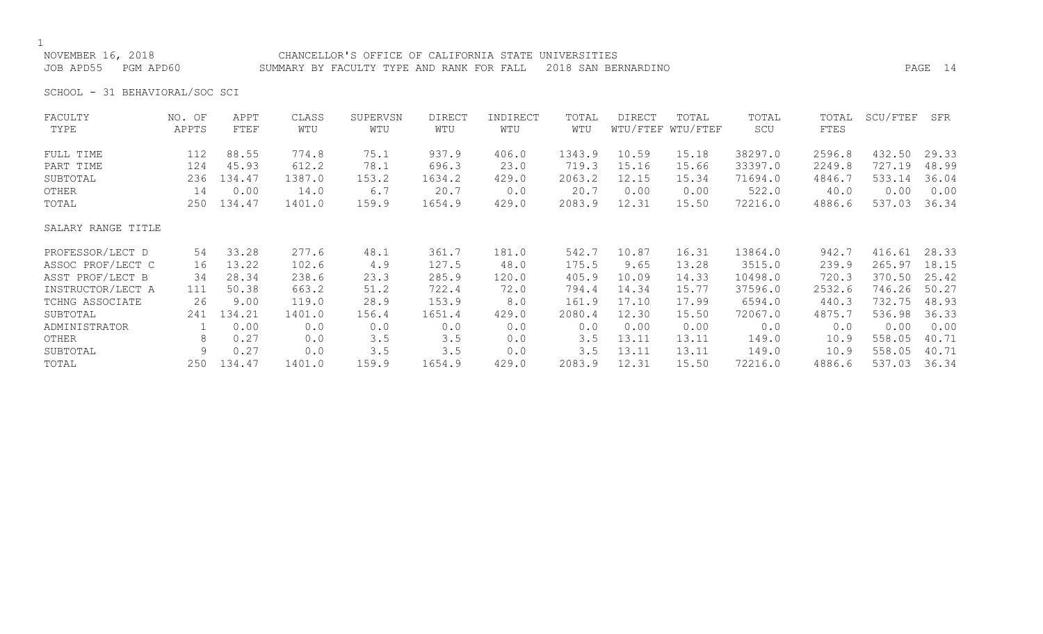### NOVEMBER 16, 2018 CHANCELLOR'S OFFICE OF CALIFORNIA STATE UNIVERSITIES JOB APD55 PGM APD60 SUMMARY BY FACULTY TYPE AND RANK FOR FALL 2018 SAN BERNARDINO PAGE 14

SCHOOL - 31 BEHAVIORAL/SOC SCI

| FACULTY            | NO. OF | APPT   | CLASS  | SUPERVSN | <b>DIRECT</b> | INDIRECT | TOTAL  | <b>DIRECT</b> | TOTAL             | TOTAL   | TOTAL  | SCU/FTEF | SFR   |
|--------------------|--------|--------|--------|----------|---------------|----------|--------|---------------|-------------------|---------|--------|----------|-------|
| TYPE               | APPTS  | FTEF   | WTU    | WTU      | WTU           | WTU      | WTU    |               | WTU/FTEF WTU/FTEF | SCU     | FTES   |          |       |
| FULL TIME          | 112    | 88.55  | 774.8  | 75.1     | 937.9         | 406.0    | 1343.9 | 10.59         | 15.18             | 38297.0 | 2596.8 | 432.50   | 29.33 |
| PART TIME          | 124    | 45.93  | 612.2  | 78.1     | 696.3         | 23.0     | 719.3  | 15.16         | 15.66             | 33397.0 | 2249.8 | 727.19   | 48.99 |
| SUBTOTAL           | 236    | 134.47 | 1387.0 | 153.2    | 1634.2        | 429.0    | 2063.2 | 12.15         | 15.34             | 71694.0 | 4846.7 | 533.14   | 36.04 |
| OTHER              | 14     | 0.00   | 14.0   | 6.7      | 20.7          | 0.0      | 20.7   | 0.00          | 0.00              | 522.0   | 40.0   | 0.00     | 0.00  |
| TOTAL              | 250    | 134.47 | 1401.0 | 159.9    | 1654.9        | 429.0    | 2083.9 | 12.31         | 15.50             | 72216.0 | 4886.6 | 537.03   | 36.34 |
| SALARY RANGE TITLE |        |        |        |          |               |          |        |               |                   |         |        |          |       |
| PROFESSOR/LECT D   | 54     | 33.28  | 277.6  | 48.1     | 361.7         | 181.0    | 542.7  | 10.87         | 16.31             | 13864.0 | 942.7  | 416.61   | 28.33 |
| ASSOC PROF/LECT C  | 16     | 13.22  | 102.6  | 4.9      | 127.5         | 48.0     | 175.5  | 9.65          | 13.28             | 3515.0  | 239.9  | 265.97   | 18.15 |
| ASST PROF/LECT B   | 34     | 28.34  | 238.6  | 23.3     | 285.9         | 120.0    | 405.9  | 10.09         | 14.33             | 10498.0 | 720.3  | 370.50   | 25.42 |
| INSTRUCTOR/LECT A  | 111    | 50.38  | 663.2  | 51.2     | 722.4         | 72.0     | 794.4  | 14.34         | 15.77             | 37596.0 | 2532.6 | 746.26   | 50.27 |
| TCHNG ASSOCIATE    | 26     | 9.00   | 119.0  | 28.9     | 153.9         | 8.0      | 161.9  | 17.10         | 17.99             | 6594.0  | 440.3  | 732.75   | 48.93 |
| SUBTOTAL           | 241    | 134.21 | 1401.0 | 156.4    | 1651.4        | 429.0    | 2080.4 | 12.30         | 15.50             | 72067.0 | 4875.7 | 536.98   | 36.33 |
| ADMINISTRATOR      |        | 0.00   | 0.0    | 0.0      | 0.0           | 0.0      | 0.0    | 0.00          | 0.00              | 0.0     | 0.0    | 0.00     | 0.00  |
| OTHER              | 8      | 0.27   | 0.0    | 3.5      | 3.5           | 0.0      | 3.5    | 13.11         | 13.11             | 149.0   | 10.9   | 558.05   | 40.71 |
| SUBTOTAL           | 9      | 0.27   | 0.0    | 3.5      | 3.5           | 0.0      | 3.5    | 13.11         | 13.11             | 149.0   | 10.9   | 558.05   | 40.71 |
| TOTAL              | 250    | 134.47 | 1401.0 | 159.9    | 1654.9        | 429.0    | 2083.9 | 12.31         | 15.50             | 72216.0 | 4886.6 | 537.03   | 36.34 |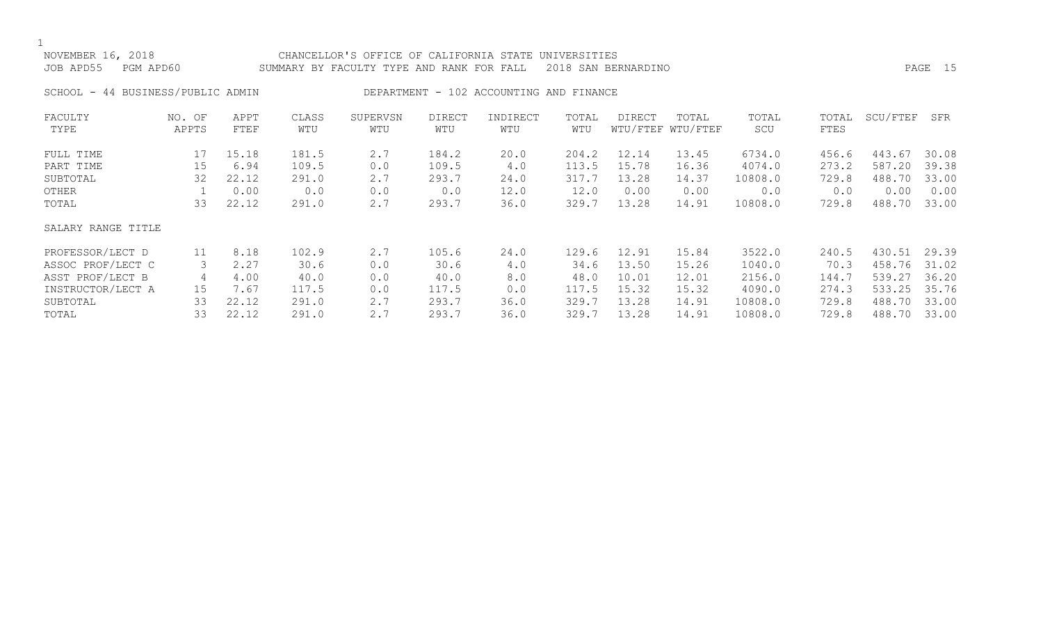# NOVEMBER 16, 2018 CHANCELLOR'S OFFICE OF CALIFORNIA STATE UNIVERSITIES JOB APD55 PGM APD60 SUMMARY BY FACULTY TYPE AND RANK FOR FALL 2018 SAN BERNARDINO PAGE 15

SCHOOL - 44 BUSINESS/PUBLIC ADMIN DEPARTMENT - 102 ACCOUNTING AND FINANCE

| FACULTY            | NO. OF | APPT  | CLASS | SUPERVSN | <b>DIRECT</b> | INDIRECT | TOTAL | <b>DIRECT</b> | TOTAL             | TOTAL   | TOTAL | SCU/FTEF | SFR   |
|--------------------|--------|-------|-------|----------|---------------|----------|-------|---------------|-------------------|---------|-------|----------|-------|
| TYPE               | APPTS  | FTEF  | WTU   | WTU      | WTU           | WTU      | WTU   |               | WTU/FTEF WTU/FTEF | SCU     | FTES  |          |       |
| FULL TIME          | 17     | 15.18 | 181.5 | 2.7      | 184.2         | 20.0     | 204.2 | 12.14         | 13.45             | 6734.0  | 456.6 | 443.67   | 30.08 |
| PART TIME          | 15     | 6.94  | 109.5 | 0.0      | 109.5         | 4.0      | 113.5 | 15.78         | 16.36             | 4074.0  | 273.2 | 587.20   | 39.38 |
| SUBTOTAL           | 32     | 22.12 | 291.0 | 2.7      | 293.7         | 24.0     | 317.7 | 13.28         | 14.37             | 10808.0 | 729.8 | 488.70   | 33.00 |
| OTHER              |        | 0.00  | 0.0   | 0.0      | 0.0           | 12.0     | 12.0  | 0.00          | 0.00              | 0.0     | 0.0   | 0.00     | 0.00  |
| TOTAL              | 33     | 22.12 | 291.0 | 2.7      | 293.7         | 36.0     | 329.7 | 13.28         | 14.91             | 10808.0 | 729.8 | 488.70   | 33.00 |
| SALARY RANGE TITLE |        |       |       |          |               |          |       |               |                   |         |       |          |       |
| PROFESSOR/LECT D   | 11     | 8.18  | 102.9 | 2.7      | 105.6         | 24.0     | 129.6 | 12.91         | 15.84             | 3522.0  | 240.5 | 430.51   | 29.39 |
| ASSOC PROF/LECT C  |        | 2.27  | 30.6  | 0.0      | 30.6          | 4.0      | 34.6  | 13.50         | 15.26             | 1040.0  | 70.3  | 458.76   | 31.02 |
| ASST PROF/LECT B   | 4      | 4.00  | 40.0  | 0.0      | 40.0          | 8.0      | 48.0  | 10.01         | 12.01             | 2156.0  | 144.7 | 539.27   | 36.20 |
| INSTRUCTOR/LECT A  | 15     | 7.67  | 117.5 | 0.0      | 117.5         | 0.0      | 117.5 | 15.32         | 15.32             | 4090.0  | 274.3 | 533.25   | 35.76 |
| SUBTOTAL           | 33     | 22.12 | 291.0 | 2.7      | 293.7         | 36.0     | 329.7 | 13.28         | 14.91             | 10808.0 | 729.8 | 488.70   | 33.00 |
| TOTAL              | 33     | 22.12 | 291.0 | 2.7      | 293.7         | 36.0     | 329.7 | 13.28         | 14.91             | 10808.0 | 729.8 | 488.70   | 33.00 |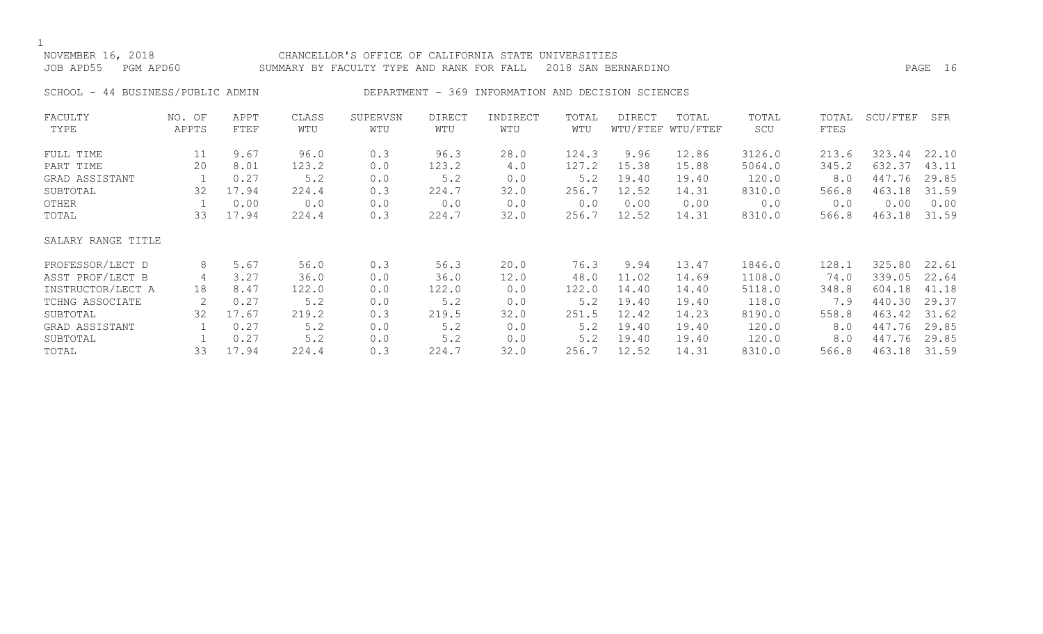### NOVEMBER 16, 2018 CHANCELLOR'S OFFICE OF CALIFORNIA STATE UNIVERSITIES JOB APD55 PGM APD60 SUMMARY BY FACULTY TYPE AND RANK FOR FALL 2018 SAN BERNARDINO PAGE 16

### SCHOOL - 44 BUSINESS/PUBLIC ADMIN DEPARTMENT - 369 INFORMATION AND DECISION SCIENCES

| FACULTY            | NO. OF | APPT  | CLASS | SUPERVSN | DIRECT | INDIRECT | TOTAL | DIRECT | TOTAL             | TOTAL  | TOTAL | SCU/FTEF | SFR   |
|--------------------|--------|-------|-------|----------|--------|----------|-------|--------|-------------------|--------|-------|----------|-------|
| TYPE               | APPTS  | FTEF  | WTU   | WTU      | WTU    | WTU      | WTU   |        | WTU/FTEF WTU/FTEF | SCU    | FTES  |          |       |
| FULL TIME          | 11     | 9.67  | 96.0  | 0.3      | 96.3   | 28.0     | 124.3 | 9.96   | 12.86             | 3126.0 | 213.6 | 323.44   | 22.10 |
| PART TIME          | 20     | 8.01  | 123.2 | 0.0      | 123.2  | 4.0      | 127.2 | 15.38  | 15.88             | 5064.0 | 345.2 | 632.37   | 43.11 |
| GRAD ASSISTANT     |        | 0.27  | 5.2   | 0.0      | 5.2    | 0.0      | 5.2   | 19.40  | 19.40             | 120.0  | 8.0   | 447.76   | 29.85 |
| SUBTOTAL           | 32     | 17.94 | 224.4 | 0.3      | 224.7  | 32.0     | 256.7 | 12.52  | 14.31             | 8310.0 | 566.8 | 463.18   | 31.59 |
| OTHER              |        | 0.00  | 0.0   | 0.0      | 0.0    | 0.0      | 0.0   | 0.00   | 0.00              | 0.0    | 0.0   | 0.00     | 0.00  |
| TOTAL              | 33     | 17.94 | 224.4 | 0.3      | 224.7  | 32.0     | 256.7 | 12.52  | 14.31             | 8310.0 | 566.8 | 463.18   | 31.59 |
| SALARY RANGE TITLE |        |       |       |          |        |          |       |        |                   |        |       |          |       |
| PROFESSOR/LECT D   | 8      | 5.67  | 56.0  | 0.3      | 56.3   | 20.0     | 76.3  | 9.94   | 13.47             | 1846.0 | 128.1 | 325.80   | 22.61 |
| ASST PROF/LECT B   | 4      | 3.27  | 36.0  | 0.0      | 36.0   | 12.0     | 48.0  | 11.02  | 14.69             | 1108.0 | 74.0  | 339.05   | 22.64 |
| INSTRUCTOR/LECT A  | 18     | 8.47  | 122.0 | 0.0      | 122.0  | 0.0      | 122.0 | 14.40  | 14.40             | 5118.0 | 348.8 | 604.18   | 41.18 |
| TCHNG ASSOCIATE    | 2      | 0.27  | 5.2   | 0.0      | 5.2    | 0.0      | 5.2   | 19.40  | 19.40             | 118.0  | 7.9   | 440.30   | 29.37 |
| SUBTOTAL           | 32     | 17.67 | 219.2 | 0.3      | 219.5  | 32.0     | 251.5 | 12.42  | 14.23             | 8190.0 | 558.8 | 463.42   | 31.62 |
| GRAD ASSISTANT     |        | 0.27  | 5.2   | 0.0      | 5.2    | 0.0      | 5.2   | 19.40  | 19.40             | 120.0  | 8.0   | 447.76   | 29.85 |
| SUBTOTAL           |        | 0.27  | 5.2   | 0.0      | 5.2    | 0.0      | 5.2   | 19.40  | 19.40             | 120.0  | 8.0   | 447.76   | 29.85 |
| TOTAL              | 33     | 17.94 | 224.4 | 0.3      | 224.7  | 32.0     | 256.7 | 12.52  | 14.31             | 8310.0 | 566.8 | 463.18   | 31.59 |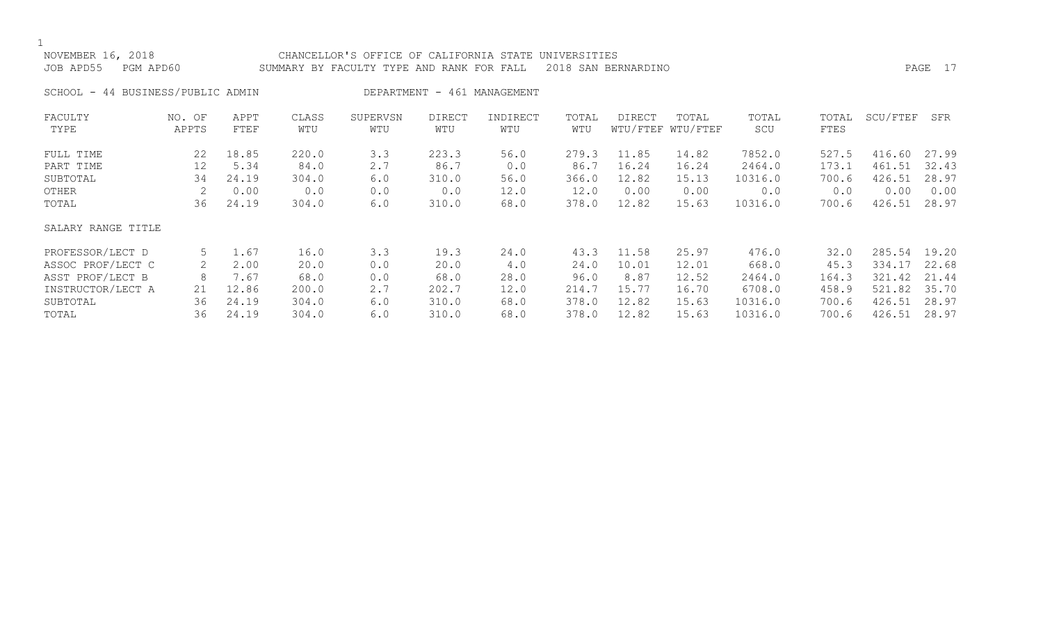$\frac{1}{\text{NO}}$ 

| NOVEMBER 16, 2018                 | CHANCELLOR'S OFFICE OF CALIFORNIA STATE UNIVERSITIES          |         |  |
|-----------------------------------|---------------------------------------------------------------|---------|--|
| JOB APD55    PGM APD60            | SUMMARY BY FACULTY TYPE AND RANK FOR FALL 2018 SAN BERNARDINO | PAGE 17 |  |
| SCHOOL - 44 BUSINESS/PUBLIC ADMIN | DEPARTMENT - 461 MANAGEMENT                                   |         |  |

| FACULTY            | NO. OF | APPT  | CLASS | SUPERVSN | <b>DIRECT</b> | INDIRECT | TOTAL | <b>DIRECT</b> | TOTAL             | TOTAL   | TOTAL | SCU/FTEF | SFR   |
|--------------------|--------|-------|-------|----------|---------------|----------|-------|---------------|-------------------|---------|-------|----------|-------|
| TYPE               | APPTS  | FTEF  | WTU   | WTU      | WTU           | WTU      | WTU   |               | WTU/FTEF WTU/FTEF | SCU     | FTES  |          |       |
| FULL TIME          | 22     | 18.85 | 220.0 | 3.3      | 223.3         | 56.0     | 279.3 | 11.85         | 14.82             | 7852.0  | 527.5 | 416.60   | 27.99 |
| PART TIME          | 12     | 5.34  | 84.0  | 2.7      | 86.7          | 0.0      | 86.7  | 16.24         | 16.24             | 2464.0  | 173.1 | 461.51   | 32.43 |
| SUBTOTAL           | 34     | 24.19 | 304.0 | 6.0      | 310.0         | 56.0     | 366.0 | 12.82         | 15.13             | 10316.0 | 700.6 | 426.51   | 28.97 |
| OTHER              |        | 0.00  | 0.0   | 0.0      | 0.0           | 12.0     | 12.0  | 0.00          | 0.00              | 0.0     | 0.0   | 0.00     | 0.00  |
| TOTAL              | 36     | 24.19 | 304.0 | 6.0      | 310.0         | 68.0     | 378.0 | 12.82         | 15.63             | 10316.0 | 700.6 | 426.51   | 28.97 |
| SALARY RANGE TITLE |        |       |       |          |               |          |       |               |                   |         |       |          |       |
| PROFESSOR/LECT D   | 5      | 1.67  | 16.0  | 3.3      | 19.3          | 24.0     | 43.3  | 11.58         | 25.97             | 476.0   | 32.0  | 285.54   | 19.20 |
| ASSOC PROF/LECT C  | 2      | 2.00  | 20.0  | 0.0      | 20.0          | 4.0      | 24.0  | 10.01         | 12.01             | 668.0   | 45.3  | 334.17   | 22.68 |
| ASST PROF/LECT B   | 8      | 7.67  | 68.0  | 0.0      | 68.0          | 28.0     | 96.0  | 8.87          | 12.52             | 2464.0  | 164.3 | 321.42   | 21.44 |
| INSTRUCTOR/LECT A  | 21     | 12.86 | 200.0 | 2.7      | 202.7         | 12.0     | 214.7 | 15.77         | 16.70             | 6708.0  | 458.9 | 521.82   | 35.70 |
| SUBTOTAL           | 36     | 24.19 | 304.0 | 6.0      | 310.0         | 68.0     | 378.0 | 12.82         | 15.63             | 10316.0 | 700.6 | 426.51   | 28.97 |
| TOTAL              | 36     | 24.19 | 304.0 | 6.0      | 310.0         | 68.0     | 378.0 | 12.82         | 15.63             | 10316.0 | 700.6 | 426.51   | 28.97 |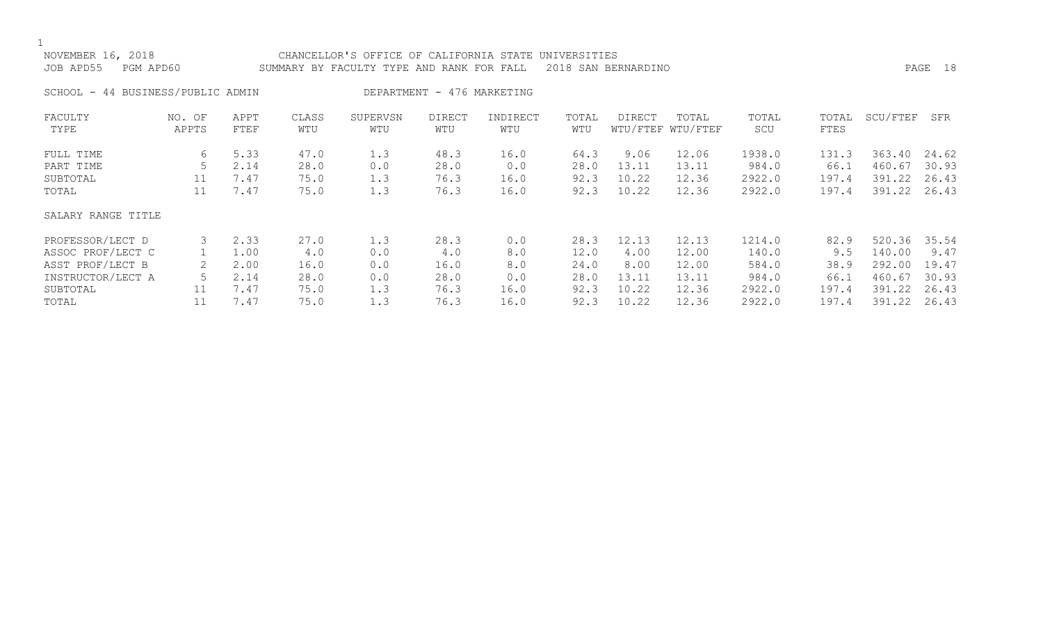| NOVEMBER 16, 2018<br>JOB APD55    | PGM APD60       |              |              | CHANCELLOR'S OFFICE OF CALIFORNIA STATE UNIVERSITIES<br>SUMMARY BY FACULTY TYPE AND RANK FOR FALL |                            |                 |              | 2018 SAN BERNARDINO |                            |              |               |          | PAGE 18 |
|-----------------------------------|-----------------|--------------|--------------|---------------------------------------------------------------------------------------------------|----------------------------|-----------------|--------------|---------------------|----------------------------|--------------|---------------|----------|---------|
| SCHOOL - 44 BUSINESS/PUBLIC ADMIN |                 |              |              |                                                                                                   | DEPARTMENT - 476 MARKETING |                 |              |                     |                            |              |               |          |         |
| FACULTY<br>TYPE                   | NO. OF<br>APPTS | APPT<br>FTEF | CLASS<br>WTU | SUPERVSN<br>WTU                                                                                   | <b>DIRECT</b><br>WTU       | INDIRECT<br>WTU | TOTAL<br>WTU | <b>DIRECT</b>       | TOTAL<br>WTU/FTEF WTU/FTEF | TOTAL<br>SCU | TOTAL<br>FTES | SCU/FTEF | SFR     |
| FULL TIME                         | 6               | 5.33         | 47.0         | 1.3                                                                                               | 48.3                       | 16.0            | 64.3         | 9.06                | 12.06                      | 1938.0       | 131.3         | 363.40   | 24.62   |
| PART TIME                         | 5               | 2.14         | 28.0         | 0.0                                                                                               | 28.0                       | 0.0             | 28.0         | 13.11               | 13.11                      | 984.0        | 66.1          | 460.67   | 30.93   |
| SUBTOTAL                          | 11              | 7.47         | 75.0         | 1.3                                                                                               | 76.3                       | 16.0            | 92.3         | 10.22               | 12.36                      | 2922.0       | 197.4         | 391.22   | 26.43   |
| TOTAL                             | 11              | 7.47         | 75.0         | 1.3                                                                                               | 76.3                       | 16.0            | 92.3         | 10.22               | 12.36                      | 2922.0       | 197.4         | 391.22   | 26.43   |
| SALARY RANGE TITLE                |                 |              |              |                                                                                                   |                            |                 |              |                     |                            |              |               |          |         |
| PROFESSOR/LECT D                  |                 | 2.33         | 27.0         | 1.3                                                                                               | 28.3                       | 0.0             | 28.3         | 12.13               | 12.13                      | 1214.0       | 82.9          | 520.36   | 35.54   |
| ASSOC PROF/LECT C                 |                 | 1.00         | 4.0          | 0.0                                                                                               | 4.0                        | 8.0             | 12.0         | 4.00                | 12.00                      | 140.0        | 9.5           | 140.00   | 9.47    |
| ASST PROF/LECT B                  |                 | 2.00         | 16.0         | 0.0                                                                                               | 16.0                       | 8.0             | 24.0         | 8.00                | 12.00                      | 584.0        | 38.9          | 292.00   | 19.47   |
| INSTRUCTOR/LECT A                 |                 | 2.14         | 28.0         | 0.0                                                                                               | 28.0                       | 0.0             | 28.0         | 13.11               | 13.11                      | 984.0        | 66.1          | 460.67   | 30.93   |

SUBTOTAL 11 7.47 75.0 1.3 76.3 16.0 92.3 10.22 12.36 2922.0 197.4 391.22 26.43 TOTAL 11 7.47 75.0 1.3 76.3 16.0 92.3 10.22 12.36 2922.0 197.4 391.22 26.43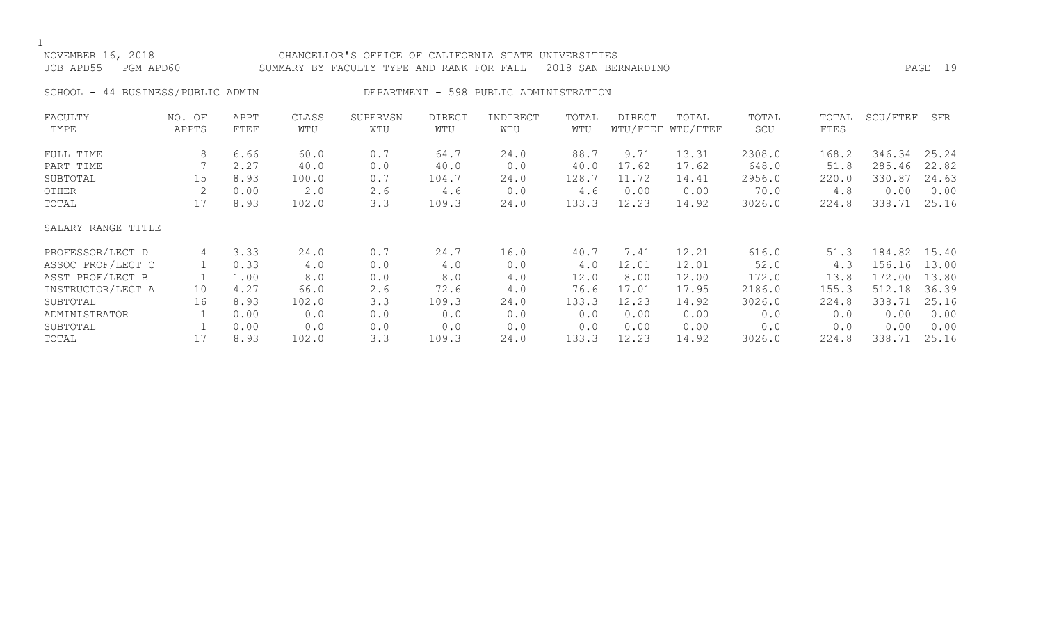| NOVEMBER 16, 2018<br>JOB APD55<br>PGM APD60 |                 |              |              | CHANCELLOR'S OFFICE OF CALIFORNIA STATE<br>SUMMARY BY FACULTY TYPE AND RANK FOR FALL |                      |                                        | UNIVERSITIES | 2018 SAN BERNARDINO |                            |              |               |          | PAGE 19 |
|---------------------------------------------|-----------------|--------------|--------------|--------------------------------------------------------------------------------------|----------------------|----------------------------------------|--------------|---------------------|----------------------------|--------------|---------------|----------|---------|
| SCHOOL - 44 BUSINESS/PUBLIC ADMIN           |                 |              |              |                                                                                      |                      | DEPARTMENT - 598 PUBLIC ADMINISTRATION |              |                     |                            |              |               |          |         |
| FACULTY<br>TYPE                             | NO. OF<br>APPTS | APPT<br>FTEF | CLASS<br>WTU | SUPERVSN<br>WTU                                                                      | <b>DIRECT</b><br>WTU | INDIRECT<br>WTU                        | TOTAL<br>WTU | DIRECT              | TOTAL<br>WTU/FTEF WTU/FTEF | TOTAL<br>SCU | TOTAL<br>FTES | SCU/FTEF | SFR     |
| FULL TIME                                   | 8               | 6.66         | 60.0         | 0.7                                                                                  | 64.7                 | 24.0                                   | 88.7         | 9.71                | 13.31                      | 2308.0       | 168.2         | 346.34   | 25.24   |
| PART TIME                                   |                 | 2.27         | 40.0         | 0.0                                                                                  | 40.0                 | 0.0                                    | 40.0         | 17.62               | 17.62                      | 648.0        | 51.8          | 285.46   | 22.82   |
| SUBTOTAL                                    | 15              | 8.93         | 100.0        | 0.7                                                                                  | 104.7                | 24.0                                   | 128.7        | 11.72               | 14.41                      | 2956.0       | 220.0         | 330.87   | 24.63   |
| OTHER                                       |                 | 0.00         | 2.0          | 2.6                                                                                  | 4.6                  | 0.0                                    | 4.6          | 0.00                | 0.00                       | 70.0         | 4.8           | 0.00     | 0.00    |
| TOTAL                                       | 17              | 8.93         | 102.0        | 3.3                                                                                  | 109.3                | 24.0                                   | 133.3        | 12.23               | 14.92                      | 3026.0       | 224.8         | 338.71   | 25.16   |
| SALARY RANGE TITLE                          |                 |              |              |                                                                                      |                      |                                        |              |                     |                            |              |               |          |         |
| PROFESSOR/LECT D                            | 4               | 3.33         | 24.0         | 0.7                                                                                  | 24.7                 | 16.0                                   | 40.7         | 7.41                | 12.21                      | 616.0        | 51.3          | 184.82   | 15.40   |
| ASSOC PROF/LECT C                           |                 | 0.33         | 4.0          | 0.0                                                                                  | 4.0                  | 0.0                                    | 4.0          | 12.01               | 12.01                      | 52.0         | 4.3           | 156.16   | 13.00   |
| ASST PROF/LECT B                            |                 | 1.00         | 8.0          | 0.0                                                                                  | 8.0                  | 4.0                                    | 12.0         | 8.00                | 12.00                      | 172.0        | 13.8          | 172.00   | 13.80   |

INSTRUCTOR/LECT A 10 4.27 66.0 2.6 72.6 4.0 76.6 17.01 17.95 2186.0 155.3 512.18 36.39 SUBTOTAL 16 8.93 102.0 3.3 109.3 24.0 133.3 12.23 14.92 3026.0 224.8 338.71 25.16 ADMINISTRATOR 1 0.00 0.0 0.0 0.0 0.0 0.00 0.0 0.00 0.00 0.00 0.00 SUBTOTAL 1 0.00 0.0 0.0 0.0 0.0 0.0 0.00 0.00 0.0 0.0 0.00 0.00 TOTAL 17 8.93 102.0 3.3 109.3 24.0 133.3 12.23 14.92 3026.0 224.8 338.71 25.16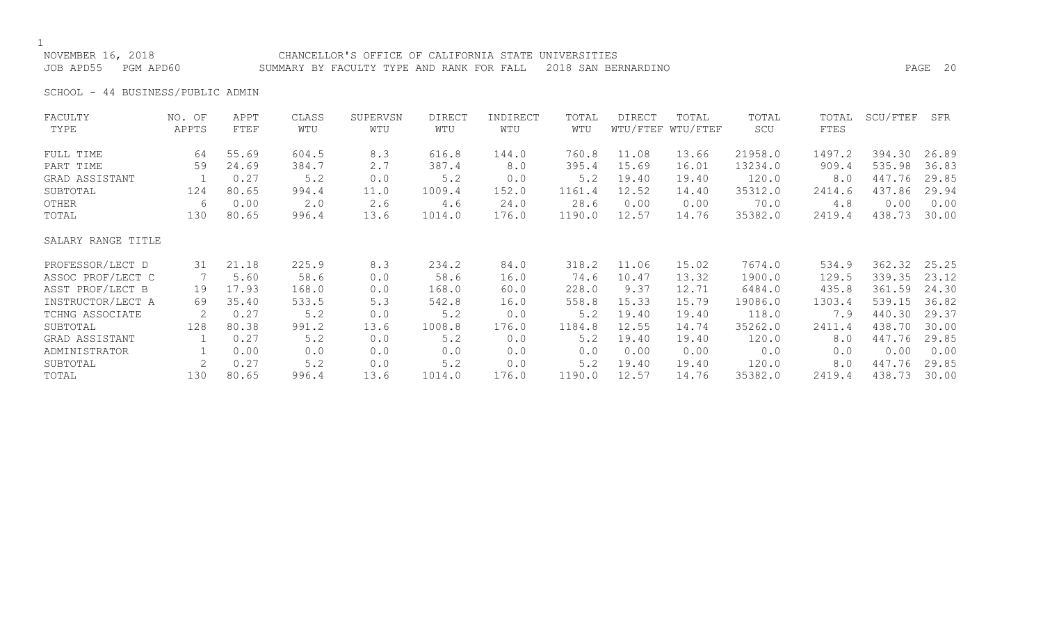# NOVEMBER 16, 2018 CHANCELLOR'S OFFICE OF CALIFORNIA STATE UNIVERSITIES

JOB APD55 PGM APD60 SUMMARY BY FACULTY TYPE AND RANK FOR FALL 2018 SAN BERNARDINO PAGE 20

SCHOOL - 44 BUSINESS/PUBLIC ADMIN

| FACULTY            | NO. OF | APPT  | CLASS | SUPERVSN | <b>DIRECT</b> | INDIRECT | TOTAL  | DIRECT | TOTAL             | TOTAL   | TOTAL  | SCU/FTEF | SFR   |
|--------------------|--------|-------|-------|----------|---------------|----------|--------|--------|-------------------|---------|--------|----------|-------|
| TYPE               | APPTS  | FTEF  | WTU   | WTU      | WTU           | WTU      | WTU    |        | WTU/FTEF WTU/FTEF | SCU     | FTES   |          |       |
| FULL TIME          | 64     | 55.69 | 604.5 | 8.3      | 616.8         | 144.0    | 760.8  | 11.08  | 13.66             | 21958.0 | 1497.2 | 394.30   | 26.89 |
| PART TIME          | 59     | 24.69 | 384.7 | 2.7      | 387.4         | 8.0      | 395.4  | 15.69  | 16.01             | 13234.0 | 909.4  | 535.98   | 36.83 |
| GRAD ASSISTANT     |        | 0.27  | 5.2   | 0.0      | 5.2           | 0.0      | 5.2    | 19.40  | 19.40             | 120.0   | 8.0    | 447.76   | 29.85 |
| SUBTOTAL           | 124    | 80.65 | 994.4 | 11.0     | 1009.4        | 152.0    | 1161.4 | 12.52  | 14.40             | 35312.0 | 2414.6 | 437.86   | 29.94 |
| OTHER              | 6      | 0.00  | 2.0   | 2.6      | 4.6           | 24.0     | 28.6   | 0.00   | 0.00              | 70.0    | 4.8    | 0.00     | 0.00  |
| TOTAL              | 130    | 80.65 | 996.4 | 13.6     | 1014.0        | 176.0    | 1190.0 | 12.57  | 14.76             | 35382.0 | 2419.4 | 438.73   | 30.00 |
| SALARY RANGE TITLE |        |       |       |          |               |          |        |        |                   |         |        |          |       |
| PROFESSOR/LECT D   | 31     | 21.18 | 225.9 | 8.3      | 234.2         | 84.0     | 318.2  | 11.06  | 15.02             | 7674.0  | 534.9  | 362.32   | 25.25 |
| ASSOC PROF/LECT C  | 7      | 5.60  | 58.6  | 0.0      | 58.6          | 16.0     | 74.6   | 10.47  | 13.32             | 1900.0  | 129.5  | 339.35   | 23.12 |
| ASST PROF/LECT B   | 19     | 17.93 | 168.0 | 0.0      | 168.0         | 60.0     | 228.0  | 9.37   | 12.71             | 6484.0  | 435.8  | 361.59   | 24.30 |
| INSTRUCTOR/LECT A  | 69     | 35.40 | 533.5 | 5.3      | 542.8         | 16.0     | 558.8  | 15.33  | 15.79             | 19086.0 | 1303.4 | 539.15   | 36.82 |
| TCHNG ASSOCIATE    | 2      | 0.27  | 5.2   | 0.0      | 5.2           | 0.0      | 5.2    | 19.40  | 19.40             | 118.0   | 7.9    | 440.30   | 29.37 |
| SUBTOTAL           | 128    | 80.38 | 991.2 | 13.6     | 1008.8        | 176.0    | 1184.8 | 12.55  | 14.74             | 35262.0 | 2411.4 | 438.70   | 30.00 |
| GRAD ASSISTANT     |        | 0.27  | 5.2   | 0.0      | 5.2           | 0.0      | 5.2    | 19.40  | 19.40             | 120.0   | 8.0    | 447.76   | 29.85 |
| ADMINISTRATOR      |        | 0.00  | 0.0   | 0.0      | 0.0           | 0.0      | 0.0    | 0.00   | 0.00              | 0.0     | 0.0    | 0.00     | 0.00  |
| SUBTOTAL           |        | 0.27  | 5.2   | 0.0      | 5.2           | 0.0      | 5.2    | 19.40  | 19.40             | 120.0   | 8.0    | 447.76   | 29.85 |
| TOTAL              | 130    | 80.65 | 996.4 | 13.6     | 1014.0        | 176.0    | 1190.0 | 12.57  | 14.76             | 35382.0 | 2419.4 | 438.73   | 30.00 |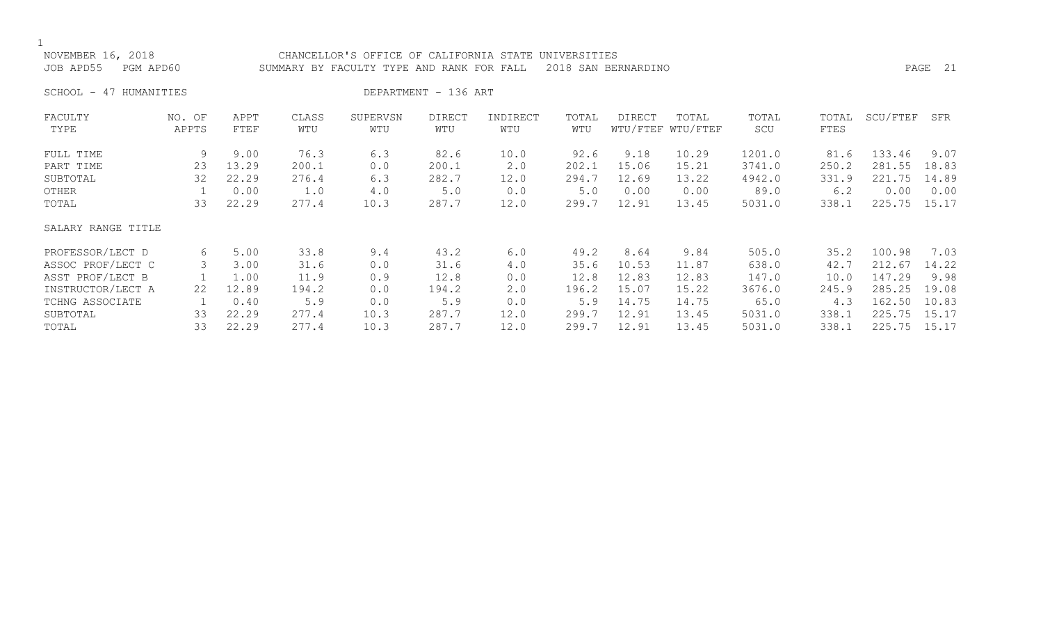| NOVEMBER 16, 2018      | CHANCELLOR'S OFFICE OF CALIFORNIA STATE UNIVERSITIES          |      |  |
|------------------------|---------------------------------------------------------------|------|--|
| JOB APD55<br>PGM APD60 | SUMMARY BY FACULTY TYPE AND RANK FOR FALL 2018 SAN BERNARDINO | PAGE |  |

SCHOOL - 47 HUMANITIES DEPARTMENT - 136 ART

| FACULTY            | NO. OF | APPT  | CLASS | SUPERVSN | <b>DIRECT</b> | INDIRECT | TOTAL | DIRECT | TOTAL             | TOTAL  | TOTAL | SCU/FTEF | SFR   |
|--------------------|--------|-------|-------|----------|---------------|----------|-------|--------|-------------------|--------|-------|----------|-------|
| TYPE               | APPTS  | FTEF  | WTU   | WTU      | WTU           | WTU      | WTU   |        | WTU/FTEF WTU/FTEF | SCU    | FTES  |          |       |
| FULL TIME          | 9      | 9.00  | 76.3  | 6.3      | 82.6          | 10.0     | 92.6  | 9.18   | 10.29             | 1201.0 | 81.6  | 133.46   | 9.07  |
| PART TIME          | 23     | 13.29 | 200.1 | 0.0      | 200.1         | 2.0      | 202.1 | 15.06  | 15.21             | 3741.0 | 250.2 | 281.55   | 18.83 |
| SUBTOTAL           | 32     | 22.29 | 276.4 | 6.3      | 282.7         | 12.0     | 294.7 | 12.69  | 13.22             | 4942.0 | 331.9 | 221.75   | 14.89 |
| OTHER              |        | 0.00  | 1.0   | 4.0      | 5.0           | 0.0      | 5.0   | 0.00   | 0.00              | 89.0   | 6.2   | 0.00     | 0.00  |
| TOTAL              | 33     | 22.29 | 277.4 | 10.3     | 287.7         | 12.0     | 299.7 | 12.91  | 13.45             | 5031.0 | 338.1 | 225.75   | 15.17 |
| SALARY RANGE TITLE |        |       |       |          |               |          |       |        |                   |        |       |          |       |
| PROFESSOR/LECT D   | 6      | 5.00  | 33.8  | 9.4      | 43.2          | 6.0      | 49.2  | 8.64   | 9.84              | 505.0  | 35.2  | 100.98   | 7.03  |
| ASSOC PROF/LECT C  | 3      | 3.00  | 31.6  | 0.0      | 31.6          | 4.0      | 35.6  | 10.53  | 11.87             | 638.0  | 42.7  | 212.67   | 14.22 |
| ASST PROF/LECT B   |        | 1.00  | 11.9  | 0.9      | 12.8          | 0.0      | 12.8  | 12.83  | 12.83             | 147.0  | 10.0  | 147.29   | 9.98  |
| INSTRUCTOR/LECT A  | 22     | 12.89 | 194.2 | 0.0      | 194.2         | 2.0      | 196.2 | 15.07  | 15.22             | 3676.0 | 245.9 | 285.25   | 19.08 |
| TCHNG ASSOCIATE    |        | 0.40  | 5.9   | 0.0      | 5.9           | 0.0      | 5.9   | 14.75  | 14.75             | 65.0   | 4.3   | 162.50   | 10.83 |
| SUBTOTAL           | 33     | 22.29 | 277.4 | 10.3     | 287.7         | 12.0     | 299.7 | 12.91  | 13.45             | 5031.0 | 338.1 | 225.75   | 15.17 |
| TOTAL              | 33     | 22.29 | 277.4 | 10.3     | 287.7         | 12.0     | 299.7 | 12.91  | 13.45             | 5031.0 | 338.1 | 225.75   | 15.17 |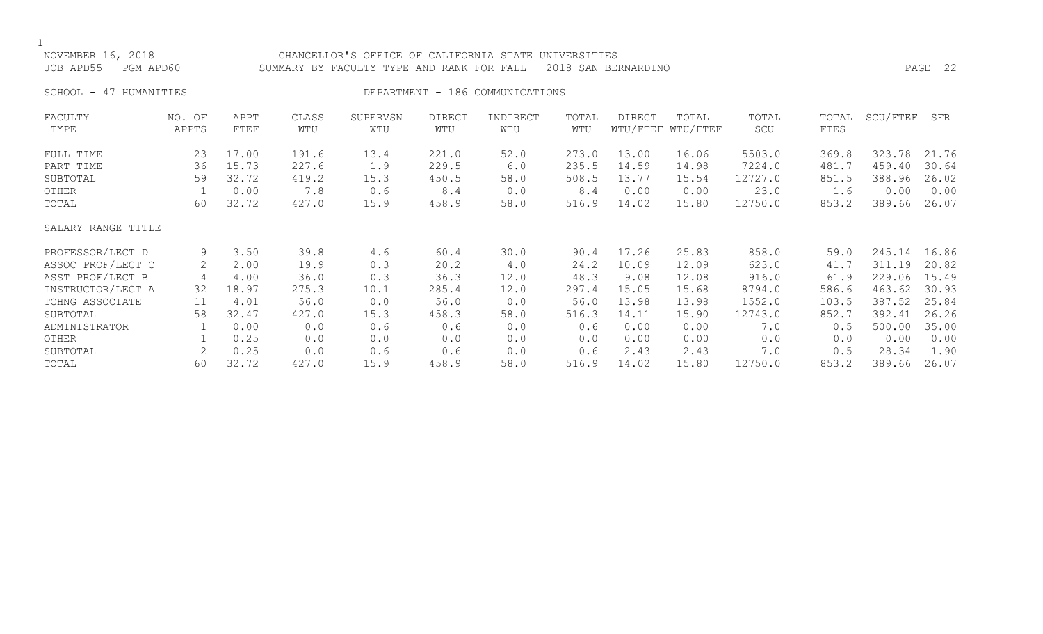| NOVEMBER 16, 2018<br>JOB APD55<br>PGM APD60 |                 |              |              | CHANCELLOR'S OFFICE OF CALIFORNIA STATE UNIVERSITIES<br>SUMMARY BY FACULTY TYPE AND RANK FOR FALL |                      | PAGE 22                         |              |               |                            |              |                      |          |       |
|---------------------------------------------|-----------------|--------------|--------------|---------------------------------------------------------------------------------------------------|----------------------|---------------------------------|--------------|---------------|----------------------------|--------------|----------------------|----------|-------|
| SCHOOL -<br>47 HUMANITIES                   |                 |              |              |                                                                                                   |                      | DEPARTMENT - 186 COMMUNICATIONS |              |               |                            |              |                      |          |       |
| FACULTY<br>TYPE                             | NO. OF<br>APPTS | APPT<br>FTEF | CLASS<br>WTU | SUPERVSN<br>WTU                                                                                   | <b>DIRECT</b><br>WTU | INDIRECT<br>WTU                 | TOTAL<br>WTU | <b>DIRECT</b> | TOTAL<br>WTU/FTEF WTU/FTEF | TOTAL<br>SCU | TOTAL<br><b>FTES</b> | SCU/FTEF | SFR   |
| FULL TIME                                   | 23              | 17.00        | 191.6        | 13.4                                                                                              | 221.0                | 52.0                            | 273.0        | 13.00         | 16.06                      | 5503.0       | 369.8                | 323.78   | 21.76 |
| PART TIME                                   | 36              | 15.73        | 227.6        | 1.9                                                                                               | 229.5                | 6.0                             | 235.5        | 14.59         | 14.98                      | 7224.0       | 481.7                | 459.40   | 30.64 |
| SUBTOTAL                                    | 59              | 32.72        | 419.2        | 15.3                                                                                              | 450.5                | 58.0                            | 508.5        | 13.77         | 15.54                      | 12727.0      | 851.5                | 388.96   | 26.02 |
| OTHER                                       |                 | 0.00         | 7.8          | 0.6                                                                                               | 8.4                  | 0.0                             | 8.4          | 0.00          | 0.00                       | 23.0         | 1.6                  | 0.00     | 0.00  |
| TOTAL                                       | 60              | 32.72        | 427.0        | 15.9                                                                                              | 458.9                | 58.0                            | 516.9        | 14.02         | 15.80                      | 12750.0      | 853.2                | 389.66   | 26.07 |
| SALARY RANGE TITLE                          |                 |              |              |                                                                                                   |                      |                                 |              |               |                            |              |                      |          |       |
| PROFESSOR/LECT D                            | 9               | 3.50         | 39.8         | 4.6                                                                                               | 60.4                 | 30.0                            | 90.4         | 17.26         | 25.83                      | 858.0        | 59.0                 | 245.14   | 16.86 |
| ASSOC PROF/LECT C                           |                 | 2.00         | 19.9         | 0.3                                                                                               | 20.2                 | 4.0                             | 24.2         | 10.09         | 12.09                      | 623.0        | 41.7                 | 311.19   | 20.82 |
| ASST PROF/LECT B                            | 4               | 4.00         | 36.0         | 0.3                                                                                               | 36.3                 | 12.0                            | 48.3         | 9.08          | 12.08                      | 916.0        | 61.9                 | 229.06   | 15.49 |
| INSTRUCTOR/LECT A                           | 32              | 18.97        | 275.3        | 10.1                                                                                              | 285.4                | 12.0                            | 297.4        | 15.05         | 15.68                      | 8794.0       | 586.6                | 463.62   | 30.93 |
| TCHNG ASSOCIATE                             | 11              | 4.01         | 56.0         | 0.0                                                                                               | 56.0                 | 0.0                             | 56.0         | 13.98         | 13.98                      | 1552.0       | 103.5                | 387.52   | 25.84 |
| SUBTOTAL                                    | 58              | 32.47        | 427.0        | 15.3                                                                                              | 458.3                | 58.0                            | 516.3        | 14.11         | 15.90                      | 12743.0      | 852.7                | 392.41   | 26.26 |
| ADMINISTRATOR                               |                 | 0.00         | 0.0          | 0.6                                                                                               | 0.6                  | 0.0                             | 0.6          | 0.00          | 0.00                       | 7.0          | 0.5                  | 500.00   | 35.00 |
| OTHER                                       |                 | 0.25         | 0.0          | 0.0                                                                                               | 0.0                  | 0.0                             | 0.0          | 0.00          | 0.00                       | 0.0          | 0.0                  | 0.00     | 0.00  |
| SUBTOTAL                                    | 2               | 0.25         | 0.0          | 0.6                                                                                               | 0.6                  | 0.0                             | 0.6          | 2.43          | 2.43                       | 7.0          | 0.5                  | 28.34    | 1.90  |
| TOTAL                                       | 60              | 32.72        | 427.0        | 15.9                                                                                              | 458.9                | 58.0                            | 516.9        | 14.02         | 15.80                      | 12750.0      | 853.2                | 389.66   | 26.07 |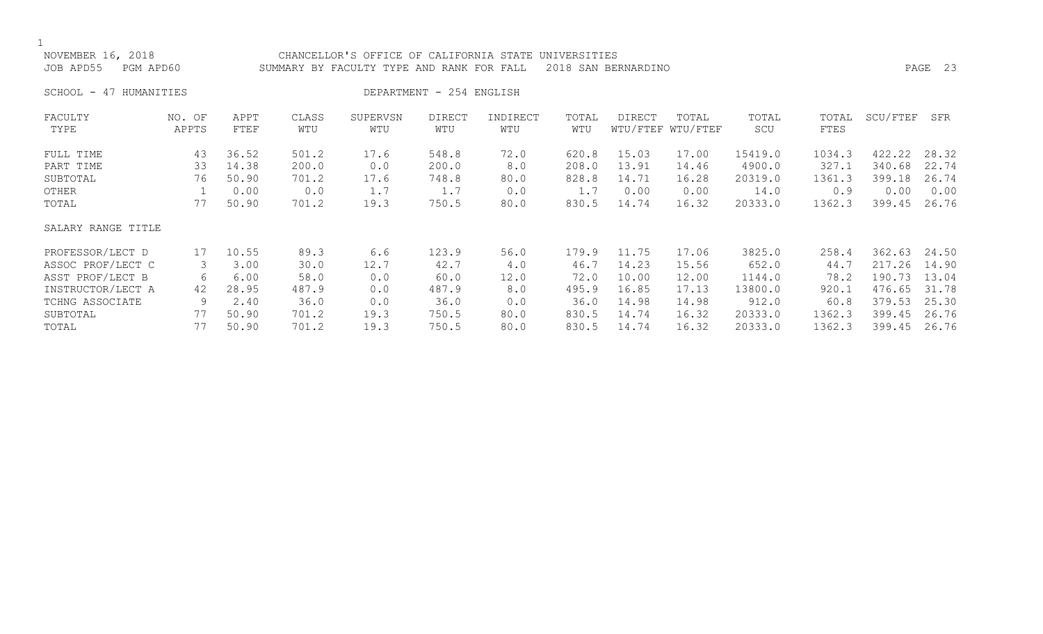| NOVEMBER 16, 2018<br>JOB APD55<br>PGM APD60 |        |       | CHANCELLOR'S OFFICE OF CALIFORNIA STATE<br>UNIVERSITIES<br>PAGE 23<br>2018 SAN BERNARDINO<br>SUMMARY BY FACULTY TYPE AND RANK FOR FALL |          |                          |          |       |        |                   |         |        |          |       |  |
|---------------------------------------------|--------|-------|----------------------------------------------------------------------------------------------------------------------------------------|----------|--------------------------|----------|-------|--------|-------------------|---------|--------|----------|-------|--|
| 47 HUMANITIES<br>SCHOOL -                   |        |       |                                                                                                                                        |          | DEPARTMENT - 254 ENGLISH |          |       |        |                   |         |        |          |       |  |
| FACULTY                                     | NO. OF | APPT  | CLASS                                                                                                                                  | SUPERVSN | <b>DIRECT</b>            | INDIRECT | TOTAL | DIRECT | TOTAL             | TOTAL   | TOTAL  | SCU/FTEF | SFR   |  |
| TYPE                                        | APPTS  | FTEF  | WTU                                                                                                                                    | WTU      | WTU                      | WTU      | WTU   |        | WTU/FTEF WTU/FTEF | SCU     | FTES   |          |       |  |
| FULL TIME                                   | 43     | 36.52 | 501.2                                                                                                                                  | 17.6     | 548.8                    | 72.0     | 620.8 | 15.03  | 17.00             | 15419.0 | 1034.3 | 422.22   | 28.32 |  |
| PART TIME                                   | 33     | 14.38 | 200.0                                                                                                                                  | 0.0      | 200.0                    | 8.0      | 208.0 | 13.91  | 14.46             | 4900.0  | 327.1  | 340.68   | 22.74 |  |
| SUBTOTAL                                    | 76     | 50.90 | 701.2                                                                                                                                  | 17.6     | 748.8                    | 80.0     | 828.8 | 14.71  | 16.28             | 20319.0 | 1361.3 | 399.18   | 26.74 |  |
| OTHER                                       |        | 0.00  | 0.0                                                                                                                                    | 1.7      | 1.7                      | 0.0      | 1.7   | 0.00   | 0.00              | 14.0    | 0.9    | 0.00     | 0.00  |  |
| TOTAL                                       | 77     | 50.90 | 701.2                                                                                                                                  | 19.3     | 750.5                    | 80.0     | 830.5 | 14.74  | 16.32             | 20333.0 | 1362.3 | 399.45   | 26.76 |  |
| SALARY RANGE TITLE                          |        |       |                                                                                                                                        |          |                          |          |       |        |                   |         |        |          |       |  |
| PROFESSOR/LECT D                            | 17     | 10.55 | 89.3                                                                                                                                   | 6.6      | 123.9                    | 56.0     | 179.9 | 11.75  | 17.06             | 3825.0  | 258.4  | 362.63   | 24.50 |  |
| ASSOC PROF/LECT C                           | 3      | 3.00  | 30.0                                                                                                                                   | 12.7     | 42.7                     | 4.0      | 46.7  | 14.23  | 15.56             | 652.0   | 44.7   | 217.26   | 14.90 |  |
| ASST PROF/LECT B                            | 6      | 6.00  | 58.0                                                                                                                                   | 0.0      | 60.0                     | 12.0     | 72.0  | 10.00  | 12.00             | 1144.0  | 78.2   | 190.73   | 13.04 |  |
| INSTRUCTOR/LECT A                           | 42     | 28.95 | 487.9                                                                                                                                  | 0.0      | 487.9                    | 8.0      | 495.9 | 16.85  | 17.13             | 13800.0 | 920.1  | 476.65   | 31.78 |  |
| TCHNG ASSOCIATE                             | 9      | 2.40  | 36.0                                                                                                                                   | 0.0      | 36.0                     | 0.0      | 36.0  | 14.98  | 14.98             | 912.0   | 60.8   | 379.53   | 25.30 |  |
| SUBTOTAL                                    | 77     | 50.90 | 701.2                                                                                                                                  | 19.3     | 750.5                    | 80.0     | 830.5 | 14.74  | 16.32             | 20333.0 | 1362.3 | 399.45   | 26.76 |  |
| TOTAL                                       | 77     | 50.90 | 701.2                                                                                                                                  | 19.3     | 750.5                    | 80.0     | 830.5 | 14.74  | 16.32             | 20333.0 | 1362.3 | 399.45   | 26.76 |  |
|                                             |        |       |                                                                                                                                        |          |                          |          |       |        |                   |         |        |          |       |  |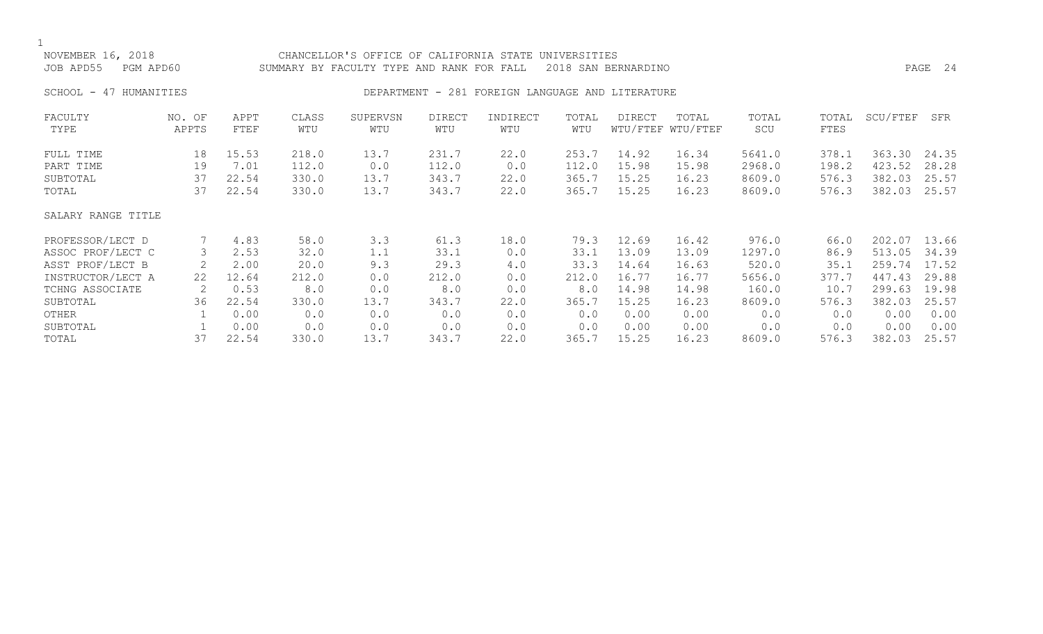| NOVEMBER 16, 2018<br>JOB APD55<br>PGM APD60 |        | CHANCELLOR'S OFFICE OF CALIFORNIA STATE UNIVERSITIES<br>2018 SAN BERNARDINO<br>SUMMARY BY FACULTY TYPE AND RANK FOR FALL |       |          |               |                                                  |       |        |                   |        |       |          | PAGE 24 |
|---------------------------------------------|--------|--------------------------------------------------------------------------------------------------------------------------|-------|----------|---------------|--------------------------------------------------|-------|--------|-------------------|--------|-------|----------|---------|
| SCHOOL - 47 HUMANITIES                      |        |                                                                                                                          |       |          |               | DEPARTMENT - 281 FOREIGN LANGUAGE AND LITERATURE |       |        |                   |        |       |          |         |
| FACULTY                                     | NO. OF | APPT                                                                                                                     | CLASS | SUPERVSN | <b>DIRECT</b> | INDIRECT                                         | TOTAL | DIRECT | TOTAL             | TOTAL  | TOTAL | SCU/FTEF | SFR     |
| TYPE                                        | APPTS  | FTEF                                                                                                                     | WTU   | WTU      | WTU           | WTU                                              | WTU   |        | WTU/FTEF WTU/FTEF | SCU    | FTES  |          |         |
| FULL TIME                                   | 18     | 15.53                                                                                                                    | 218.0 | 13.7     | 231.7         | 22.0                                             | 253.7 | 14.92  | 16.34             | 5641.0 | 378.1 | 363.30   | 24.35   |
| PART TIME                                   | 19     | 7.01                                                                                                                     | 112.0 | 0.0      | 112.0         | 0.0                                              | 112.0 | 15.98  | 15.98             | 2968.0 | 198.2 | 423.52   | 28.28   |
| SUBTOTAL                                    | 37     | 22.54                                                                                                                    | 330.0 | 13.7     | 343.7         | 22.0                                             | 365.7 | 15.25  | 16.23             | 8609.0 | 576.3 | 382.03   | 25.57   |
| TOTAL                                       | 37     | 22.54                                                                                                                    | 330.0 | 13.7     | 343.7         | 22.0                                             | 365.7 | 15.25  | 16.23             | 8609.0 | 576.3 | 382.03   | 25.57   |
| SALARY RANGE TITLE                          |        |                                                                                                                          |       |          |               |                                                  |       |        |                   |        |       |          |         |
| PROFESSOR/LECT D                            |        | 4.83                                                                                                                     | 58.0  | 3.3      | 61.3          | 18.0                                             | 79.3  | 12.69  | 16.42             | 976.0  | 66.0  | 202.07   | 13.66   |
| ASSOC PROF/LECT C                           | 3      | 2.53                                                                                                                     | 32.0  | 1.1      | 33.1          | 0.0                                              | 33.1  | 13.09  | 13.09             | 1297.0 | 86.9  | 513.05   | 34.39   |
| ASST PROF/LECT B                            | 2      | 2.00                                                                                                                     | 20.0  | 9.3      | 29.3          | 4.0                                              | 33.3  | 14.64  | 16.63             | 520.0  | 35.1  | 259.74   | 17.52   |
| INSTRUCTOR/LECT A                           | 22     | 12.64                                                                                                                    | 212.0 | 0.0      | 212.0         | 0.0                                              | 212.0 | 16.77  | 16.77             | 5656.0 | 377.7 | 447.43   | 29.88   |
| TCHNG ASSOCIATE                             | 2      | 0.53                                                                                                                     | 8.0   | 0.0      | 8.0           | 0.0                                              | 8.0   | 14.98  | 14.98             | 160.0  | 10.7  | 299.63   | 19.98   |
| SUBTOTAL                                    | 36     | 22.54                                                                                                                    | 330.0 | 13.7     | 343.7         | 22.0                                             | 365.7 | 15.25  | 16.23             | 8609.0 | 576.3 | 382.03   | 25.57   |
| OTHER                                       |        | 0.00                                                                                                                     | 0.0   | 0.0      | 0.0           | 0.0                                              | 0.0   | 0.00   | 0.00              | 0.0    | 0.0   | 0.00     | 0.00    |
| SUBTOTAL                                    |        | 0.00                                                                                                                     | 0.0   | 0.0      | 0.0           | 0.0                                              | 0.0   | 0.00   | 0.00              | 0.0    | 0.0   | 0.00     | 0.00    |
| TOTAL                                       | 37     | 22.54                                                                                                                    | 330.0 | 13.7     | 343.7         | 22.0                                             | 365.7 | 15.25  | 16.23             | 8609.0 | 576.3 | 382.03   | 25.57   |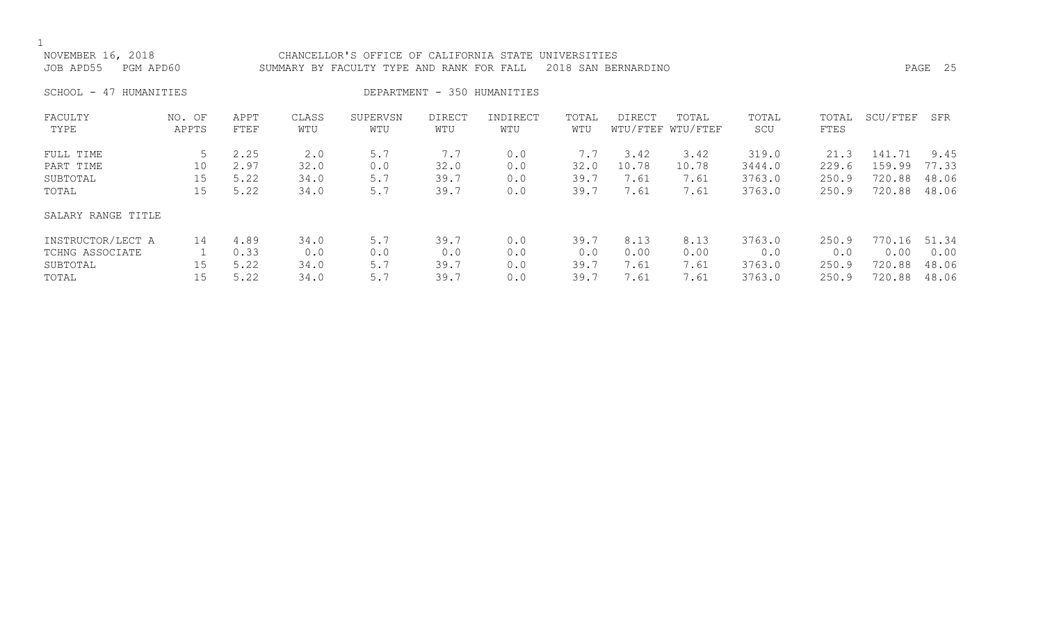| NOVEMBER 16, 2018<br>JOB APD55                        | PGM APD60                         |                              |                             | CHANCELLOR'S OFFICE OF CALIFORNIA STATE UNIVERSITIES<br>SUMMARY BY FACULTY TYPE AND RANK FOR FALL |                             |                          |                             | 2018 SAN BERNARDINO           |                               |                                     |                                 | PAGE 25                              |                                 |  |  |  |  |  |  |
|-------------------------------------------------------|-----------------------------------|------------------------------|-----------------------------|---------------------------------------------------------------------------------------------------|-----------------------------|--------------------------|-----------------------------|-------------------------------|-------------------------------|-------------------------------------|---------------------------------|--------------------------------------|---------------------------------|--|--|--|--|--|--|
| DEPARTMENT - 350 HUMANITIES<br>SCHOOL - 47 HUMANITIES |                                   |                              |                             |                                                                                                   |                             |                          |                             |                               |                               |                                     |                                 |                                      |                                 |  |  |  |  |  |  |
| FACULTY<br>TYPE                                       | NO. OF<br>APPTS                   | APPT<br>FTEF                 | CLASS<br>WTU                | SUPERVSN<br>WTU                                                                                   | DIRECT<br>WTU               | INDIRECT<br>WTU          | TOTAL<br>WTU                | DIRECT                        | TOTAL<br>WTU/FTEF WTU/FTEF    | TOTAL<br>SCU                        | TOTAL<br>FTES                   | SCU/FTEF                             | SFR                             |  |  |  |  |  |  |
| FULL TIME<br>PART TIME<br>SUBTOTAL<br>TOTAL           | 5.<br>10<br>15 <sub>1</sub><br>15 | 2.25<br>2.97<br>5.22<br>5.22 | 2.0<br>32.0<br>34.0<br>34.0 | 5.7<br>0.0<br>5.7<br>5.7                                                                          | 7.7<br>32.0<br>39.7<br>39.7 | 0.0<br>0.0<br>0.0<br>0.0 | 7.7<br>32.0<br>39.7<br>39.7 | 3.42<br>10.78<br>7.61<br>7.61 | 3.42<br>10.78<br>7.61<br>7.61 | 319.0<br>3444.0<br>3763.0<br>3763.0 | 21.3<br>229.6<br>250.9<br>250.9 | 141.71<br>159.99<br>720.88<br>720.88 | 9.45<br>77.33<br>48.06<br>48.06 |  |  |  |  |  |  |
| SALARY RANGE TITLE                                    |                                   |                              |                             |                                                                                                   |                             |                          |                             |                               |                               |                                     |                                 |                                      |                                 |  |  |  |  |  |  |

| INSTRUCTOR/LECT A | 4.89 | 34.0 | 5.7 | 39.7 | 39.7 | 8.13 | 8.13 | 3763.0 | 250.9 | 770.16 51.34 |      |
|-------------------|------|------|-----|------|------|------|------|--------|-------|--------------|------|
| TCHNG ASSOCIATE   | 0.33 |      | 0.0 |      |      | 0.00 | 0.00 | 0.0    | 0.0   | 0.00         | 0.00 |
| SUBTOTAL          |      | 34.0 | 5.7 | 39.7 | 39.7 | 7.61 | 7.61 | 3763.0 | 250.9 | 720.88 48.06 |      |
| TOTAL             |      | 34.0 | 5.7 | 39.7 | 39.7 | 7.61 | 7.61 | 3763.0 | 250.9 | 720.88 48.06 |      |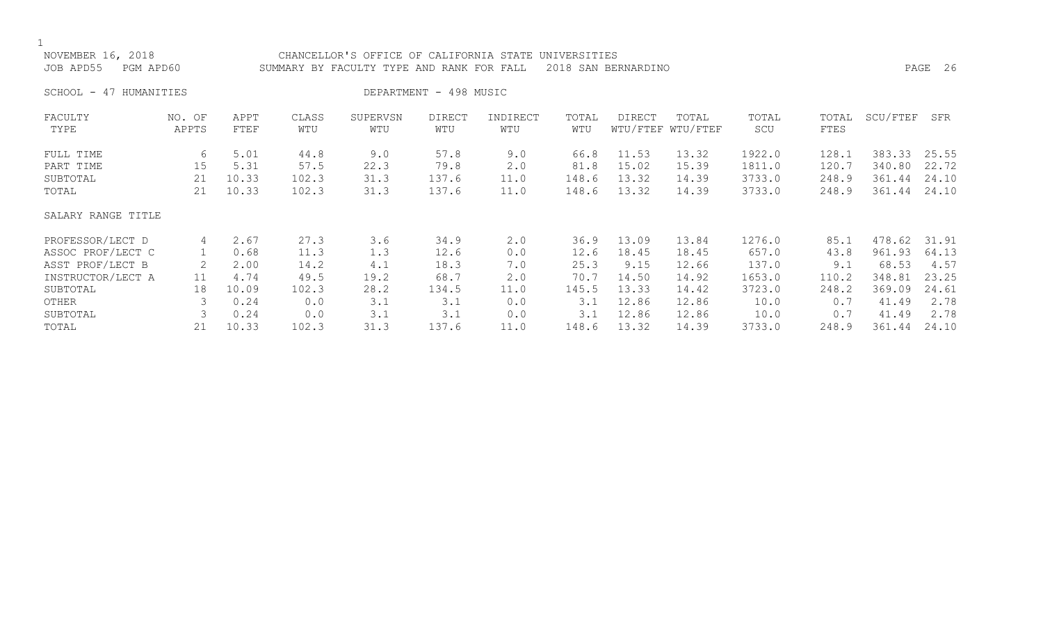| NOVEMBER 16, 2018<br>JOB APD55 | PGM APD60       |              | CHANCELLOR'S OFFICE OF CALIFORNIA STATE UNIVERSITIES<br>PAGE<br>SUMMARY BY FACULTY TYPE AND RANK FOR FALL<br>2018 SAN BERNARDINO |                 |                        |                 |              |        |                            |              |               |          |       |  |
|--------------------------------|-----------------|--------------|----------------------------------------------------------------------------------------------------------------------------------|-----------------|------------------------|-----------------|--------------|--------|----------------------------|--------------|---------------|----------|-------|--|
| SCHOOL - 47 HUMANITIES         |                 |              |                                                                                                                                  |                 | DEPARTMENT - 498 MUSIC |                 |              |        |                            |              |               |          |       |  |
| FACULTY<br>TYPE                | NO. OF<br>APPTS | APPT<br>FTEF | CLASS<br>WTU                                                                                                                     | SUPERVSN<br>WTU | <b>DIRECT</b><br>WTU   | INDIRECT<br>WTU | TOTAL<br>WTU | DIRECT | TOTAL<br>WTU/FTEF WTU/FTEF | TOTAL<br>SCU | TOTAL<br>FTES | SCU/FTEF | SFR   |  |
| FULL TIME                      | 6               | 5.01         | 44.8                                                                                                                             | 9.0             | 57.8                   | 9.0             | 66.8         | 11.53  | 13.32                      | 1922.0       | 128.1         | 383.33   | 25.55 |  |
| PART TIME                      | 15              | 5.31         | 57.5                                                                                                                             | 22.3            | 79.8                   | 2.0             | 81.8         | 15.02  | 15.39                      | 1811.0       | 120.7         | 340.80   | 22.72 |  |
| SUBTOTAL                       | 21              | 10.33        | 102.3                                                                                                                            | 31.3            | 137.6                  | 11.0            | 148.6        | 13.32  | 14.39                      | 3733.0       | 248.9         | 361.44   | 24.10 |  |
| TOTAL                          | 21              | 10.33        | 102.3                                                                                                                            | 31.3            | 137.6                  | 11.0            | 148.6        | 13.32  | 14.39                      | 3733.0       | 248.9         | 361.44   | 24.10 |  |
| SALARY RANGE TITLE             |                 |              |                                                                                                                                  |                 |                        |                 |              |        |                            |              |               |          |       |  |
| PROFESSOR/LECT D               | 4               | 2.67         | 27.3                                                                                                                             | 3.6             | 34.9                   | 2.0             | 36.9         | 13.09  | 13.84                      | 1276.0       | 85.1          | 478.62   | 31.91 |  |
| ASSOC PROF/LECT C              | $\mathbf{1}$    | 0.68         | 11.3                                                                                                                             | 1.3             | 12.6                   | 0.0             | 12.6         | 18.45  | 18.45                      | 657.0        | 43.8          | 961.93   | 64.13 |  |
| ASST PROF/LECT B               |                 | 2.00         | 14.2                                                                                                                             | 4.1             | 18.3                   | 7.0             | 25.3         | 9.15   | 12.66                      | 137.0        | 9.1           | 68.53    | 4.57  |  |
| INSTRUCTOR/LECT A              | 11              | 4.74         | 49.5                                                                                                                             | 19.2            | 68.7                   | 2.0             | 70.7         | 14.50  | 14.92                      | 1653.0       | 110.2         | 348.81   | 23.25 |  |
| SUBTOTAL                       | 18              | 10.09        | 102.3                                                                                                                            | 28.2            | 134.5                  | 11.0            | 145.5        | 13.33  | 14.42                      | 3723.0       | 248.2         | 369.09   | 24.61 |  |
| OTHER                          | 3               | 0.24         | 0.0                                                                                                                              | 3.1             | 3.1                    | 0.0             | 3.1          | 12.86  | 12.86                      | 10.0         | 0.7           | 41.49    | 2.78  |  |
| SUBTOTAL                       |                 | 0.24         | 0.0                                                                                                                              | 3.1             | 3.1                    | 0.0             | 3.1          | 12.86  | 12.86                      | 10.0         | 0.7           | 41.49    | 2.78  |  |
| TOTAL                          | 21              | 10.33        | 102.3                                                                                                                            | 31.3            | 137.6                  | 11.0            | 148.6        | 13.32  | 14.39                      | 3733.0       | 248.9         | 361.44   | 24.10 |  |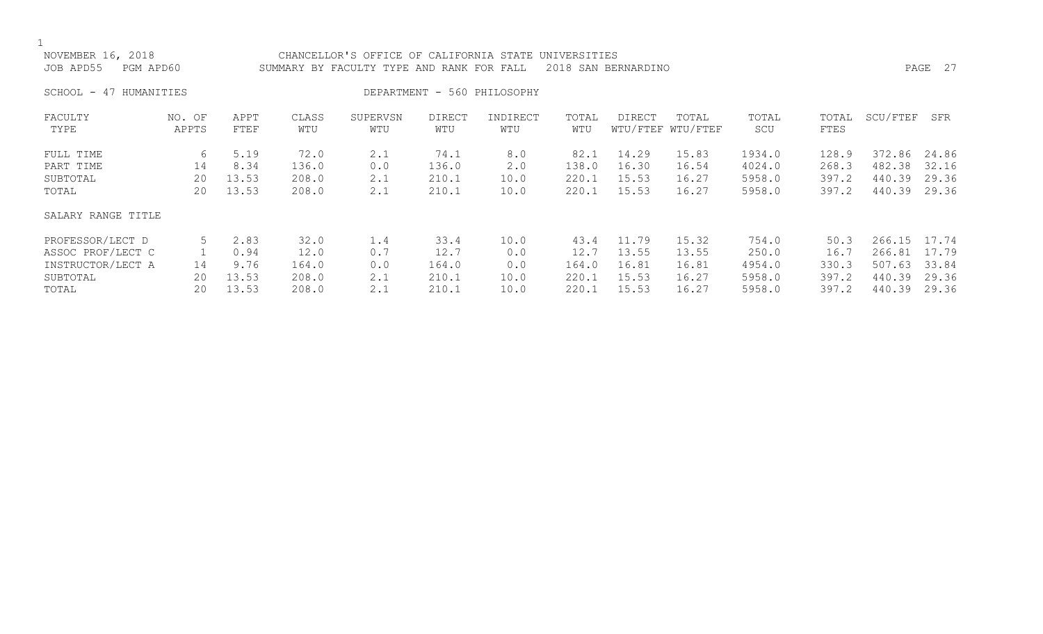| NOVEMBER 16, 2018<br>JOB APD55<br>PGM APD60                                     |                     |                                        | CHANCELLOR'S OFFICE OF CALIFORNIA<br>STATE<br>UNIVERSITIES<br>2018 SAN BERNARDINO<br>SUMMARY BY FACULTY TYPE AND RANK FOR FALL |                                 |                                         |                                    |                                         |                                           |                                           |                                              |                                         |                                                |                                           |  |
|---------------------------------------------------------------------------------|---------------------|----------------------------------------|--------------------------------------------------------------------------------------------------------------------------------|---------------------------------|-----------------------------------------|------------------------------------|-----------------------------------------|-------------------------------------------|-------------------------------------------|----------------------------------------------|-----------------------------------------|------------------------------------------------|-------------------------------------------|--|
| SCHOOL - 47 HUMANITIES                                                          |                     |                                        |                                                                                                                                |                                 |                                         | DEPARTMENT - 560 PHILOSOPHY        |                                         |                                           |                                           |                                              |                                         |                                                |                                           |  |
| FACULTY<br>TYPE                                                                 | NO. OF<br>APPTS     | APPT<br>FTEF                           | CLASS<br>WTU                                                                                                                   | SUPERVSN<br>WTU                 | <b>DIRECT</b><br>WTU                    | INDIRECT<br>WTU                    | TOTAL<br>WTU                            | <b>DIRECT</b><br>WTU/FTEF                 | TOTAL<br>WTU/FTEF                         | TOTAL<br>SCU                                 | TOTAL<br>FTES                           | SCU/FTEF                                       | SFR                                       |  |
| FULL TIME<br>PART TIME<br>SUBTOTAL<br>TOTAL                                     | 6<br>14<br>20<br>20 | 5.19<br>8.34<br>13.53<br>13.53         | 72.0<br>136.0<br>208.0<br>208.0                                                                                                | 2.1<br>0.0<br>2.1<br>2.1        | 74.1<br>136.0<br>210.1<br>210.1         | 8.0<br>2.0<br>10.0<br>10.0         | 82.1<br>138.0<br>220.1<br>220.1         | 14.29<br>16.30<br>15.53<br>15.53          | 15.83<br>16.54<br>16.27<br>16.27          | 1934.0<br>4024.0<br>5958.0<br>5958.0         | 128.9<br>268.3<br>397.2<br>397.2        | 372.86<br>482.38<br>440.39<br>440.39           | 24.86<br>32.16<br>29.36<br>29.36          |  |
| SALARY RANGE TITLE                                                              |                     |                                        |                                                                                                                                |                                 |                                         |                                    |                                         |                                           |                                           |                                              |                                         |                                                |                                           |  |
| PROFESSOR/LECT D<br>ASSOC PROF/LECT C<br>INSTRUCTOR/LECT A<br>SUBTOTAL<br>TOTAL | 5<br>14<br>20<br>20 | 2.83<br>0.94<br>9.76<br>13.53<br>13.53 | 32.0<br>12.0<br>164.0<br>208.0<br>208.0                                                                                        | 1.4<br>0.7<br>0.0<br>2.1<br>2.1 | 33.4<br>12.7<br>164.0<br>210.1<br>210.1 | 10.0<br>0.0<br>0.0<br>10.0<br>10.0 | 43.4<br>12.7<br>164.0<br>220.1<br>220.1 | 11.79<br>13.55<br>16.81<br>15.53<br>15.53 | 15.32<br>13.55<br>16.81<br>16.27<br>16.27 | 754.0<br>250.0<br>4954.0<br>5958.0<br>5958.0 | 50.3<br>16.7<br>330.3<br>397.2<br>397.2 | 266.15<br>266.81<br>507.63<br>440.39<br>440.39 | 17.74<br>17.79<br>33.84<br>29.36<br>29.36 |  |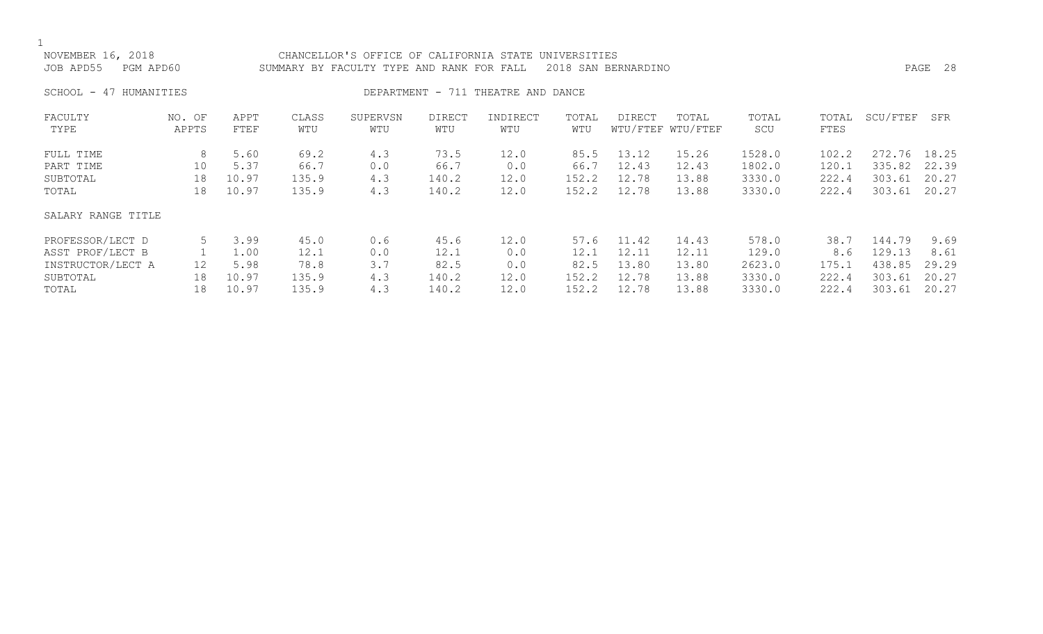NOVEMBER 16, 2018 CHANCELLOR'S OFFICE OF CALIFORNIA STATE UNIVERSITIES JOB APD55 PGM APD60 SUMMARY BY FACULTY TYPE AND RANK FOR FALL 2018 SAN BERNARDINO PAGE 28

SCHOOL - 47 HUMANITIES SERVICES DEPARTMENT - 711 THEATRE AND DANCE

| FACULTY<br>TYPE    | NO. OF<br>APPTS | APPT<br>FTEF | CLASS<br>WTU | SUPERVSN<br>WTU | DIRECT<br>WTU | INDIRECT<br>WTU | TOTAL<br>WTU | <b>DIRECT</b> | TOTAL<br>WTU/FTEF WTU/FTEF | TOTAL<br>SCU | TOTAL<br>FTES | SCU/FTEF | SFR   |
|--------------------|-----------------|--------------|--------------|-----------------|---------------|-----------------|--------------|---------------|----------------------------|--------------|---------------|----------|-------|
|                    |                 |              |              |                 |               |                 |              |               |                            |              |               |          |       |
| FULL TIME          | 8               | 5.60         | 69.2         | 4.3             | 73.5          | 12.0            | 85.5         | 13.12         | 15.26                      | 1528.0       | 102.2         | 272.76   | 18.25 |
| PART TIME          | 10              | 5.37         | 66.7         | 0.0             | 66.7          | 0.0             | 66.7         | 12.43         | 12.43                      | 1802.0       | 120.1         | 335.82   | 22.39 |
| SUBTOTAL           | 18              | 10.97        | 135.9        | 4.3             | 140.2         | 12.0            | 152.2        | 12.78         | 13.88                      | 3330.0       | 222.4         | 303.61   | 20.27 |
| TOTAL              | 18              | 10.97        | 135.9        | 4.3             | 140.2         | 12.0            | 152.2        | 12.78         | 13.88                      | 3330.0       | 222.4         | 303.61   | 20.27 |
| SALARY RANGE TITLE |                 |              |              |                 |               |                 |              |               |                            |              |               |          |       |
| PROFESSOR/LECT D   |                 | 3.99         | 45.0         | 0.6             | 45.6          | 12.0            | 57.6         | 11.42         | 14.43                      | 578.0        | 38.7          | 144.79   | 9.69  |
| ASST PROF/LECT B   |                 | 1.00         | 12.1         | 0.0             | 12.1          | 0.0             | 12.1         | 12.11         | 12.11                      | 129.0        | 8.6           | 129.13   | 8.61  |
| INSTRUCTOR/LECT A  | 12              | 5.98         | 78.8         | 3.7             | 82.5          | 0.0             | 82.5         | 13.80         | 13.80                      | 2623.0       | 175.1         | 438.85   | 29.29 |
| SUBTOTAL           | 18              | 10.97        | 135.9        | 4.3             | 140.2         | 12.0            | 152.2        | 12.78         | 13.88                      | 3330.0       | 222.4         | 303.61   | 20.27 |
| TOTAL              | 18              | 10.97        | 135.9        | 4.3             | 140.2         | 12.0            | 152.2        | 12.78         | 13.88                      | 3330.0       | 222.4         | 303.61   | 20.27 |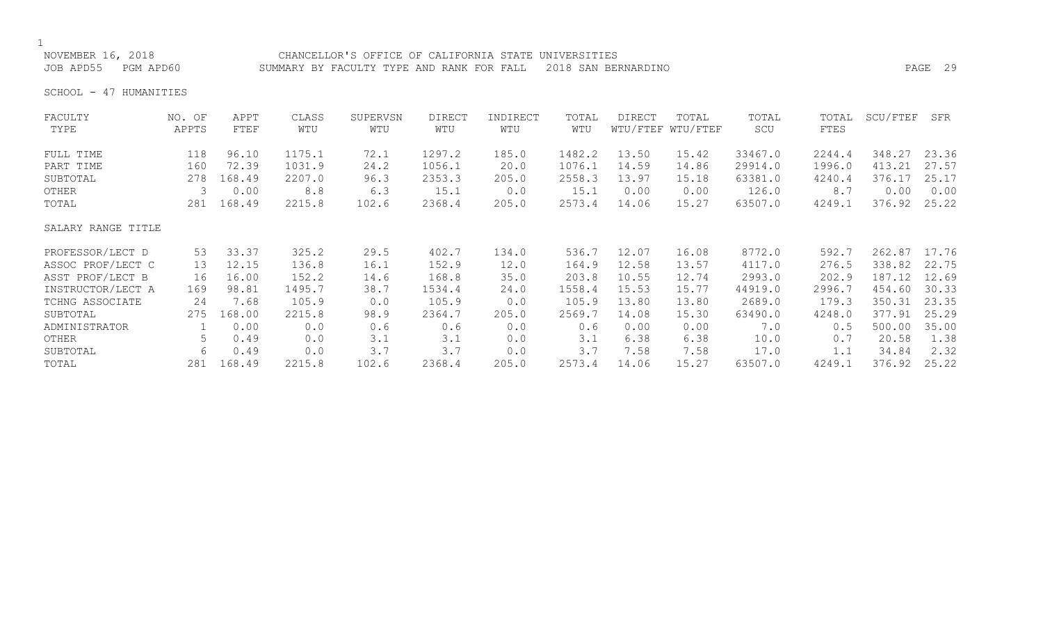NOVEMBER 16, 2018 CHANCELLOR'S OFFICE OF CALIFORNIA STATE UNIVERSITIES JOB APD55 PGM APD60 SUMMARY BY FACULTY TYPE AND RANK FOR FALL 2018 SAN BERNARDINO PAGE 29

SCHOOL - 47 HUMANITIES

| FACULTY            | NO. OF | APPT   | CLASS  | SUPERVSN | <b>DIRECT</b> | INDIRECT | TOTAL  | <b>DIRECT</b> | TOTAL             | TOTAL   | TOTAL  | SCU/FTEF | SFR   |
|--------------------|--------|--------|--------|----------|---------------|----------|--------|---------------|-------------------|---------|--------|----------|-------|
| TYPE               | APPTS  | FTEF   | WTU    | WTU      | WTU           | WTU      | WTU    |               | WTU/FTEF WTU/FTEF | SCU     | FTES   |          |       |
| FULL TIME          | 118    | 96.10  | 1175.1 | 72.1     | 1297.2        | 185.0    | 1482.2 | 13.50         | 15.42             | 33467.0 | 2244.4 | 348.27   | 23.36 |
| PART TIME          | 160    | 72.39  | 1031.9 | 24.2     | 1056.1        | 20.0     | 1076.1 | 14.59         | 14.86             | 29914.0 | 1996.0 | 413.21   | 27.57 |
| SUBTOTAL           | 278    | 168.49 | 2207.0 | 96.3     | 2353.3        | 205.0    | 2558.3 | 13.97         | 15.18             | 63381.0 | 4240.4 | 376.17   | 25.17 |
| OTHER              | 3      | 0.00   | 8.8    | 6.3      | 15.1          | 0.0      | 15.1   | 0.00          | 0.00              | 126.0   | 8.7    | 0.00     | 0.00  |
| TOTAL              | 281    | 168.49 | 2215.8 | 102.6    | 2368.4        | 205.0    | 2573.4 | 14.06         | 15.27             | 63507.0 | 4249.1 | 376.92   | 25.22 |
| SALARY RANGE TITLE |        |        |        |          |               |          |        |               |                   |         |        |          |       |
| PROFESSOR/LECT D   | 53     | 33.37  | 325.2  | 29.5     | 402.7         | 134.0    | 536.7  | 12.07         | 16.08             | 8772.0  | 592.7  | 262.87   | 17.76 |
| ASSOC PROF/LECT C  | 13     | 12.15  | 136.8  | 16.1     | 152.9         | 12.0     | 164.9  | 12.58         | 13.57             | 4117.0  | 276.5  | 338.82   | 22.75 |
| ASST PROF/LECT B   | 16     | 16.00  | 152.2  | 14.6     | 168.8         | 35.0     | 203.8  | 10.55         | 12.74             | 2993.0  | 202.9  | 187.12   | 12.69 |
| INSTRUCTOR/LECT A  | 169    | 98.81  | 1495.7 | 38.7     | 1534.4        | 24.0     | 1558.4 | 15.53         | 15.77             | 44919.0 | 2996.7 | 454.60   | 30.33 |
| TCHNG ASSOCIATE    | 24     | 7.68   | 105.9  | 0.0      | 105.9         | 0.0      | 105.9  | 13.80         | 13.80             | 2689.0  | 179.3  | 350.31   | 23.35 |
| SUBTOTAL           | 275    | 168.00 | 2215.8 | 98.9     | 2364.7        | 205.0    | 2569.7 | 14.08         | 15.30             | 63490.0 | 4248.0 | 377.91   | 25.29 |
| ADMINISTRATOR      |        | 0.00   | 0.0    | 0.6      | 0.6           | 0.0      | 0.6    | 0.00          | 0.00              | 7.0     | 0.5    | 500.00   | 35.00 |
| OTHER              | 5      | 0.49   | 0.0    | 3.1      | 3.1           | 0.0      | 3.1    | 6.38          | 6.38              | 10.0    | 0.7    | 20.58    | 1.38  |
| SUBTOTAL           | 6      | 0.49   | 0.0    | 3.7      | 3.7           | 0.0      | 3.7    | 7.58          | 7.58              | 17.0    | 1.1    | 34.84    | 2.32  |
| TOTAL              | 281    | 168.49 | 2215.8 | 102.6    | 2368.4        | 205.0    | 2573.4 | 14.06         | 15.27             | 63507.0 | 4249.1 | 376.92   | 25.22 |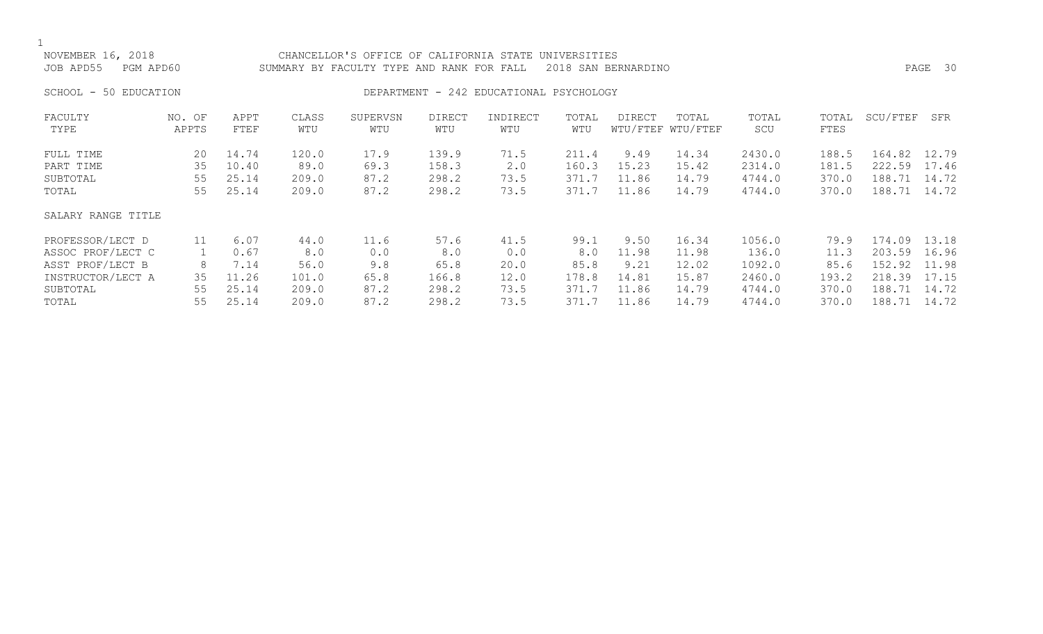| NOVEMBER 16, 2018<br>JOB APD55<br>PGM APD60 |                 |              |              | CHANCELLOR'S OFFICE OF CALIFORNIA STATE<br>SUMMARY BY FACULTY TYPE AND RANK FOR FALL |                      |                                         | UNIVERSITIES | 2018 SAN BERNARDINO |                            |              |               |          | PAGE 30 |
|---------------------------------------------|-----------------|--------------|--------------|--------------------------------------------------------------------------------------|----------------------|-----------------------------------------|--------------|---------------------|----------------------------|--------------|---------------|----------|---------|
| 50 EDUCATION<br>SCHOOL -                    |                 |              |              |                                                                                      |                      | DEPARTMENT - 242 EDUCATIONAL PSYCHOLOGY |              |                     |                            |              |               |          |         |
| FACULTY<br>TYPE                             | NO. OF<br>APPTS | APPT<br>FTEF | CLASS<br>WTU | SUPERVSN<br>WTU                                                                      | <b>DIRECT</b><br>WTU | INDIRECT<br>WTU                         | TOTAL<br>WTU | DIRECT              | TOTAL<br>WTU/FTEF WTU/FTEF | TOTAL<br>SCU | TOTAL<br>FTES | SCU/FTEF | SFR     |
| FULL TIME                                   | 20              | 14.74        | 120.0        | 17.9                                                                                 | 139.9                | 71.5                                    | 211.4        | 9.49                | 14.34                      | 2430.0       | 188.5         | 164.82   | 12.79   |
| PART TIME                                   | 35              | 10.40        | 89.0         | 69.3                                                                                 | 158.3                | 2.0                                     | 160.3        | 15.23               | 15.42                      | 2314.0       | 181.5         | 222.59   | 17.46   |
| SUBTOTAL                                    | 55              | 25.14        | 209.0        | 87.2                                                                                 | 298.2                | 73.5                                    | 371.7        | 11.86               | 14.79                      | 4744.0       | 370.0         | 188.71   | 14.72   |
| TOTAL                                       | 55              | 25.14        | 209.0        | 87.2                                                                                 | 298.2                | 73.5                                    | 371.7        | 11.86               | 14.79                      | 4744.0       | 370.0         | 188.71   | 14.72   |
| SALARY RANGE TITLE                          |                 |              |              |                                                                                      |                      |                                         |              |                     |                            |              |               |          |         |
| PROFESSOR/LECT D                            | 11              | 6.07         | 44.0         | 11.6                                                                                 | 57.6                 | 41.5                                    | 99.1         | 9.50                | 16.34                      | 1056.0       | 79.9          | 174.09   | 13.18   |
| ASSOC PROF/LECT C                           |                 | 0.67         | 8.0          | 0.0                                                                                  | 8.0                  | 0.0                                     | 8.0          | 11.98               | 11.98                      | 136.0        | 11.3          | 203.59   | 16.96   |
| ASST PROF/LECT B                            | 8               | 7.14         | 56.0         | 9.8                                                                                  | 65.8                 | 20.0                                    | 85.8         | 9.21                | 12.02                      | 1092.0       | 85.6          | 152.92   | 11.98   |
| INSTRUCTOR/LECT A                           | 35              | 11.26        | 101.0        | 65.8                                                                                 | 166.8                | 12.0                                    | 178.8        | 14.81               | 15.87                      | 2460.0       | 193.2         | 218.39   | 17.15   |
| SUBTOTAL                                    | 55              | 25.14        | 209.0        | 87.2                                                                                 | 298.2                | 73.5                                    | 371.7        | 11.86               | 14.79                      | 4744.0       | 370.0         | 188.71   | 14.72   |
| TOTAL                                       | 55              | 25.14        | 209.0        | 87.2                                                                                 | 298.2                | 73.5                                    | 371.7        | 11.86               | 14.79                      | 4744.0       | 370.0         | 188.71   | 14.72   |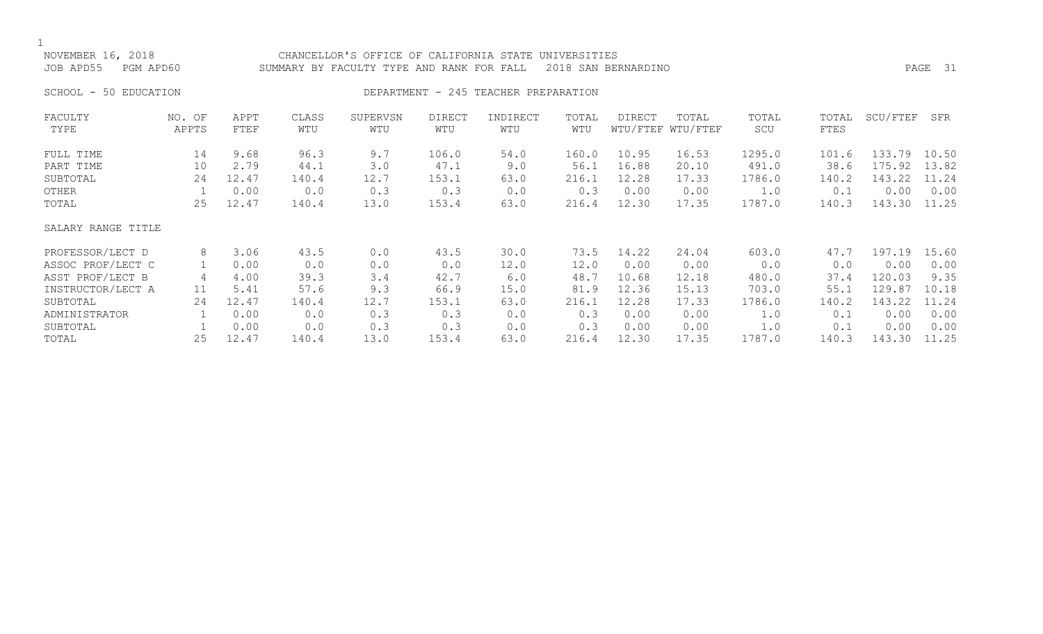NOVEMBER 16, 2018 CHANCELLOR'S OFFICE OF CALIFORNIA STATE UNIVERSITIES JOB APD55 PGM APD60 SUMMARY BY FACULTY TYPE AND RANK FOR FALL 2018 SAN BERNARDINO PAGE 31 SCHOOL - 50 EDUCATION **DEPARTMENT - 245 TEACHER PREPARATION** 

FACULTY NO. OF APPT CLASS SUPERVSN DIRECT INDIRECT TOTAL DIRECT TOTAL TOTAL TOTAL SCU/FTEF SFR TYPE APPTS FTEF WTU WTU WTU WTU WTU WTU/FTEF WTU/FTEF SCU FTES FULL TIME 14 9.68 96.3 9.7 106.0 54.0 160.0 10.95 16.53 1295.0 101.6 133.79 10.50 PART TIME 10 2.79 44.1 3.0 47.1 9.0 56.1 16.88 20.10 491.0 38.6 175.92 13.82 SUBTOTAL 24 12.47 140.4 12.7 153.1 63.0 216.1 12.28 17.33 1786.0 140.2 143.22 11.24 OTHER 1 0.00 0.0 0.3 0.3 0.0 0.3 0.00 0.00 1.0 0.1 0.00 0.00 TOTAL 25 12.47 140.4 13.0 153.4 63.0 216.4 12.30 17.35 1787.0 140.3 143.30 11.25 SALARY RANGE TITLE PROFESSOR/LECT D 8 3.06 43.5 0.0 43.5 30.0 73.5 14.22 24.04 603.0 47.7 197.19 15.60 ASSOC PROF/LECT C 1 0.00 0.0 0.0 0.0 12.0 12.0 0.00 0.00 0.0 0.0 0.00 0.00 ASST PROF/LECT B 4 4.00 39.3 3.4 42.7 6.0 48.7 10.68 12.18 480.0 37.4 120.03 9.35 INSTRUCTOR/LECT A 11 5.41 57.6 9.3 66.9 15.0 81.9 12.36 15.13 703.0 55.1 129.87 10.18 SUBTOTAL 24 12.47 140.4 12.7 153.1 63.0 216.1 12.28 17.33 1786.0 140.2 143.22 11.24 ADMINISTRATOR 1 0.00 0.0 0.3 0.3 0.0 0.3 0.00 0.00 1.0 0.1 0.00 0.00 SUBTOTAL 1 0.00 0.0 0.3 0.3 0.0 0.3 0.00 0.00 1.0 0.1 0.00 0.00 TOTAL 25 12.47 140.4 13.0 153.4 63.0 216.4 12.30 17.35 1787.0 140.3 143.30 11.25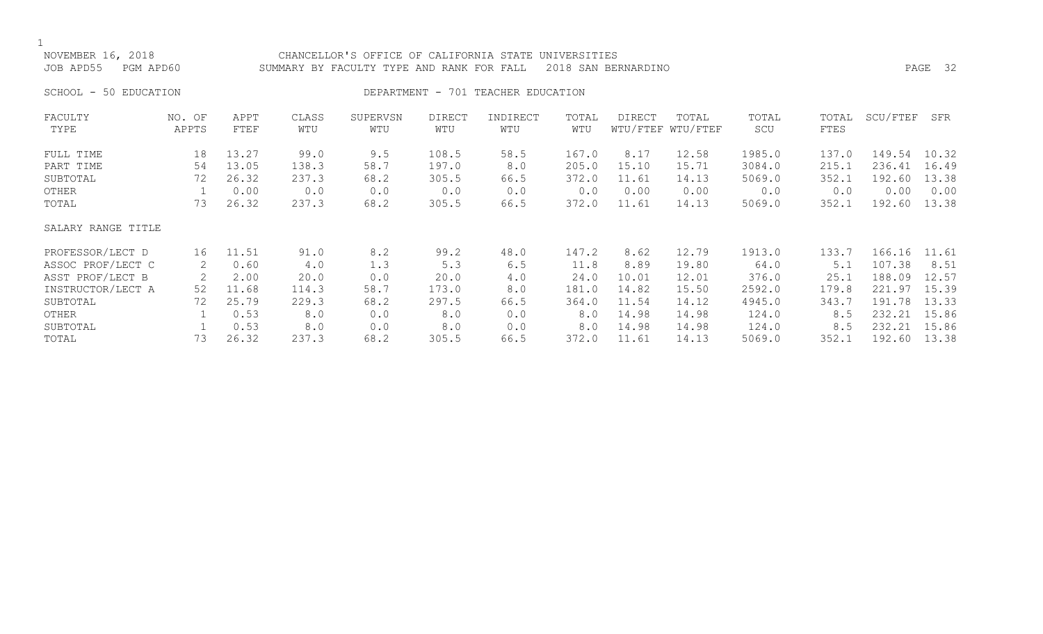| NOVEMBER 16, 2018<br>JOB APD55 | PGM APD60       |              |              | CHANCELLOR'S OFFICE OF CALIFORNIA STATE UNIVERSITIES<br>SUMMARY BY FACULTY TYPE AND RANK FOR FALL |                      |                   |              | 2018 SAN BERNARDINO |                            |              |               |          | PAGE 32 |
|--------------------------------|-----------------|--------------|--------------|---------------------------------------------------------------------------------------------------|----------------------|-------------------|--------------|---------------------|----------------------------|--------------|---------------|----------|---------|
| SCHOOL - 50 EDUCATION          |                 |              |              | DEPARTMENT                                                                                        | 701<br>$\sim$        | TEACHER EDUCATION |              |                     |                            |              |               |          |         |
| FACULTY<br>TYPE                | NO. OF<br>APPTS | APPT<br>FTEF | CLASS<br>WTU | SUPERVSN<br>WTU                                                                                   | <b>DIRECT</b><br>WTU | INDIRECT<br>WTU   | TOTAL<br>WTU | <b>DIRECT</b>       | TOTAL<br>WTU/FTEF WTU/FTEF | TOTAL<br>SCU | TOTAL<br>FTES | SCU/FTEF | SFR     |
| FULL TIME                      | 18              | 13.27        | 99.0         | 9.5                                                                                               | 108.5                | 58.5              | 167.0        | 8.17                | 12.58                      | 1985.0       | 137.0         | 149.54   | 10.32   |
| PART TIME                      | 54              | 13.05        | 138.3        | 58.7                                                                                              | 197.0                | 8.0               | 205.0        | 15.10               | 15.71                      | 3084.0       | 215.1         | 236.41   | 16.49   |
| SUBTOTAL                       | 72              | 26.32        | 237.3        | 68.2                                                                                              | 305.5                | 66.5              | 372.0        | 11.61               | 14.13                      | 5069.0       | 352.1         | 192.60   | 13.38   |
| OTHER                          |                 | 0.00         | 0.0          | 0.0                                                                                               | 0.0                  | 0.0               | 0.0          | 0.00                | 0.00                       | 0.0          | 0.0           | 0.00     | 0.00    |
| TOTAL                          |                 | 26.32        | 237.3        | 68.2                                                                                              | 305.5                | 66.5              | 372.0        | 11.61               | 14.13                      | 5069.0       | 352.1         | 192.60   | 13.38   |

SALARY RANGE TITLE

| PROFESSOR/LECT D  | ၊ 6 | 11.51 | 91.0  | 8.2  | 99.2  | 48.0 | 147.2 | 8.62  | 12.79 | 1913.0 | 133.7 | 166.16 11.61 |       |
|-------------------|-----|-------|-------|------|-------|------|-------|-------|-------|--------|-------|--------------|-------|
| ASSOC PROF/LECT C |     | 0.60  | 4.0   |      | 5.3   | 6.5  | 11.8  | 8.89  | 19.80 | 64.0   | 5.1   | 107.38       | 8.51  |
| ASST PROF/LECT B  |     | 2.00  | 20.0  | 0.0  | 20.0  | 4.0  | 24.0  | 10.01 | 12.01 | 376.0  | 25.1  | 188.09       | 12.57 |
| INSTRUCTOR/LECT A | 52  | 11.68 | 114.3 | 58.7 | 173.0 | 8.0  | 181.0 | 14.82 | 15.50 | 2592.0 | 179.8 | 221<br>.97   | 15.39 |
| SUBTOTAL          | 72. | 25.79 | 229.3 | 68.2 | 297.5 | 66.5 | 364.0 | 11.54 | 14.12 | 4945.0 | 343.7 | 191.78       | 13.33 |
| OTHER             |     | 0.53  | 8.0   | 0.0  | 8.0   | 0.0  | 8.0   | 14.98 | 14.98 | 124.0  | 8.5   | 232.21       | 15.86 |
| SUBTOTAL          |     | 0.53  | 8.0   | 0.0  | 8.0   | 0.0  | 8.0   | 14.98 | 14.98 | 124.0  | 8.5   | 232.21       | 15.86 |
| TOTAL             | 73  | 26.32 | 237.3 | 68.2 | 305.5 | 66.5 | 372.0 | 11.61 | 14.13 | 5069.0 | 352.3 | 192.60       | 13.38 |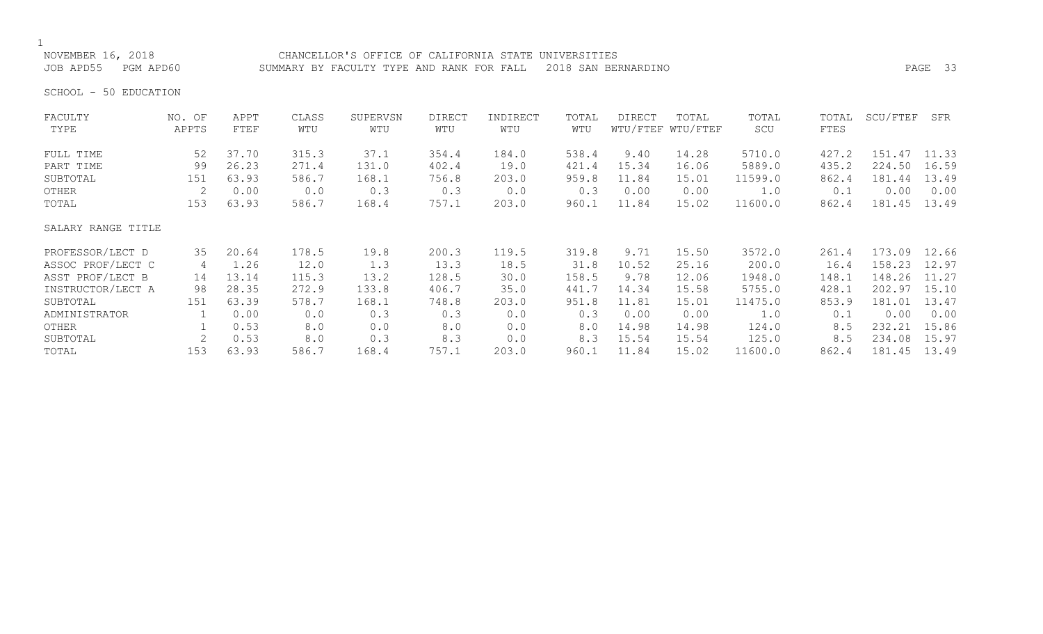NOVEMBER 16, 2018 CHANCELLOR'S OFFICE OF CALIFORNIA STATE UNIVERSITIES JOB APD55 PGM APD60 SUMMARY BY FACULTY TYPE AND RANK FOR FALL 2018 SAN BERNARDINO PAGE 33

SCHOOL - 50 EDUCATION

| FACULTY            | NO. OF | APPT  | CLASS | SUPERVSN | <b>DIRECT</b> | INDIRECT | TOTAL | <b>DIRECT</b> | TOTAL             | TOTAL   | TOTAL | SCU/FTEF | SFR   |
|--------------------|--------|-------|-------|----------|---------------|----------|-------|---------------|-------------------|---------|-------|----------|-------|
| TYPE               | APPTS  | FTEF  | WTU   | WTU      | WTU           | WTU      | WTU   |               | WTU/FTEF WTU/FTEF | SCU     | FTES  |          |       |
| FULL TIME          | 52     | 37.70 | 315.3 | 37.1     | 354.4         | 184.0    | 538.4 | 9.40          | 14.28             | 5710.0  | 427.2 | 151.47   | 11.33 |
| PART TIME          | 99     | 26.23 | 271.4 | 131.0    | 402.4         | 19.0     | 421.4 | 15.34         | 16.06             | 5889.0  | 435.2 | 224.50   | 16.59 |
| SUBTOTAL           | 151    | 63.93 | 586.7 | 168.1    | 756.8         | 203.0    | 959.8 | 11.84         | 15.01             | 11599.0 | 862.4 | 181.44   | 13.49 |
| OTHER              | 2      | 0.00  | 0.0   | 0.3      | 0.3           | 0.0      | 0.3   | 0.00          | 0.00              | 1.0     | 0.1   | 0.00     | 0.00  |
| TOTAL              | 153    | 63.93 | 586.7 | 168.4    | 757.1         | 203.0    | 960.1 | 11.84         | 15.02             | 11600.0 | 862.4 | 181.45   | 13.49 |
| SALARY RANGE TITLE |        |       |       |          |               |          |       |               |                   |         |       |          |       |
| PROFESSOR/LECT D   | 35     | 20.64 | 178.5 | 19.8     | 200.3         | 119.5    | 319.8 | 9.71          | 15.50             | 3572.0  | 261.4 | 173.09   | 12.66 |
| ASSOC PROF/LECT C  | 4      | 1.26  | 12.0  | 1.3      | 13.3          | 18.5     | 31.8  | 10.52         | 25.16             | 200.0   | 16.4  | 158.23   | 12.97 |
| ASST PROF/LECT B   | 14     | 13.14 | 115.3 | 13.2     | 128.5         | 30.0     | 158.5 | 9.78          | 12.06             | 1948.0  | 148.1 | 148.26   | 11.27 |
| INSTRUCTOR/LECT A  | 98     | 28.35 | 272.9 | 133.8    | 406.7         | 35.0     | 441.7 | 14.34         | 15.58             | 5755.0  | 428.1 | 202.97   | 15.10 |
| SUBTOTAL           | 151    | 63.39 | 578.7 | 168.1    | 748.8         | 203.0    | 951.8 | 11.81         | 15.01             | 11475.0 | 853.9 | 181.01   | 13.47 |
| ADMINISTRATOR      |        | 0.00  | 0.0   | 0.3      | 0.3           | 0.0      | 0.3   | 0.00          | 0.00              | 1.0     | 0.1   | 0.00     | 0.00  |
| OTHER              |        | 0.53  | 8.0   | 0.0      | 8.0           | 0.0      | 8.0   | 14.98         | 14.98             | 124.0   | 8.5   | 232.21   | 15.86 |
| SUBTOTAL           | 2      | 0.53  | 8.0   | 0.3      | 8.3           | 0.0      | 8.3   | 15.54         | 15.54             | 125.0   | 8.5   | 234.08   | 15.97 |
| TOTAL              | 153    | 63.93 | 586.7 | 168.4    | 757.1         | 203.0    | 960.1 | 11.84         | 15.02             | 11600.0 | 862.4 | 181.45   | 13.49 |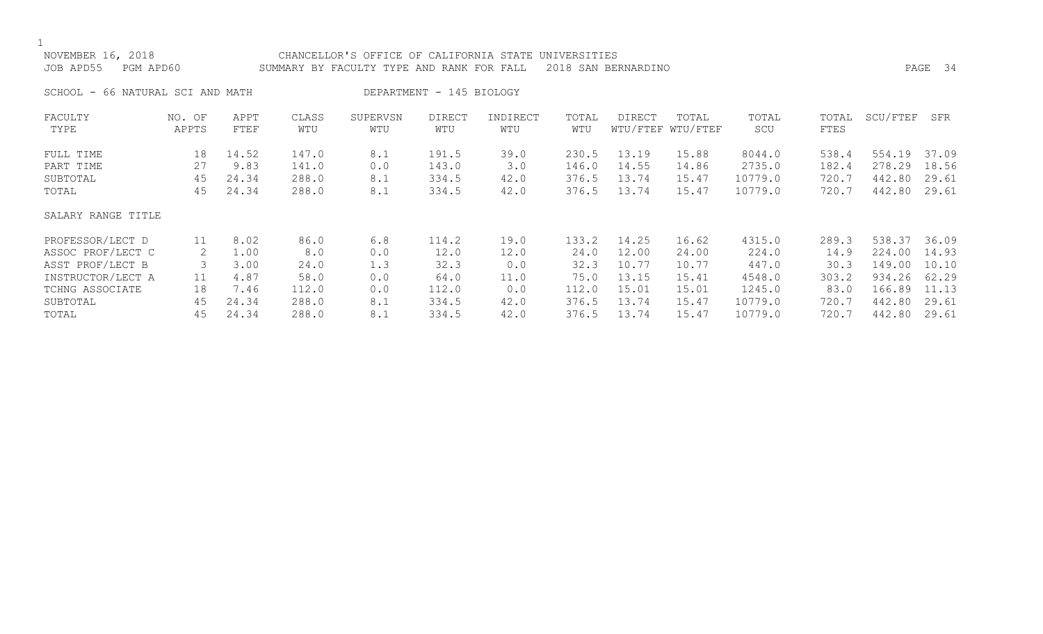| NOVEMBER 16, 2018<br>JOB APD55<br>PGM APD60 |                 |              |              | CHANCELLOR'S OFFICE OF CALIFORNIA STATE UNIVERSITIES<br>SUMMARY BY FACULTY TYPE AND RANK FOR FALL<br>2018 SAN BERNARDINO |                          |                 |              |        |                            |              |               |          | PAGE 34 |
|---------------------------------------------|-----------------|--------------|--------------|--------------------------------------------------------------------------------------------------------------------------|--------------------------|-----------------|--------------|--------|----------------------------|--------------|---------------|----------|---------|
| SCHOOL - 66 NATURAL SCI AND MATH            |                 |              |              |                                                                                                                          | DEPARTMENT - 145 BIOLOGY |                 |              |        |                            |              |               |          |         |
| FACULTY<br>TYPE                             | NO. OF<br>APPTS | APPT<br>FTEF | CLASS<br>WTU | SUPERVSN<br>WTU                                                                                                          | <b>DIRECT</b><br>WTU     | INDIRECT<br>WTU | TOTAL<br>WTU | DIRECT | TOTAL<br>WTU/FTEF WTU/FTEF | TOTAL<br>SCU | TOTAL<br>FTES | SCU/FTEF | SFR     |
| FULL TIME                                   | 18              | 14.52        | 147.0        | 8.1                                                                                                                      | 191.5                    | 39.0            | 230.5        | 13.19  | 15.88                      | 8044.0       | 538.4         | 554.19   | 37.09   |
| PART TIME                                   | 27              | 9.83         | 141.0        | 0.0                                                                                                                      | 143.0                    | 3.0             | 146.0        | 14.55  | 14.86                      | 2735.0       | 182.4         | 278.29   | 18.56   |
| SUBTOTAL                                    | 45              | 24.34        | 288.0        | 8.1                                                                                                                      | 334.5                    | 42.0            | 376.5        | 13.74  | 15.47                      | 10779.0      | 720.7         | 442.80   | 29.61   |
| TOTAL                                       | 45              | 24.34        | 288.0        | 8.1                                                                                                                      | 334.5                    | 42.0            | 376.5        | 13.74  | 15.47                      | 10779.0      | 720.7         | 442.80   | 29.61   |
| SALARY RANGE TITLE                          |                 |              |              |                                                                                                                          |                          |                 |              |        |                            |              |               |          |         |
| PROFESSOR/LECT D                            | 11              | 8.02         | 86.0         | 6.8                                                                                                                      | 114.2                    | 19.0            | 133.2        | 14.25  | 16.62                      | 4315.0       | 289.3         | 538.37   | 36.09   |
| ASSOC PROF/LECT C                           | 2               | 1.00         | 8.0          | 0.0                                                                                                                      | 12.0                     | 12.0            | 24.0         | 12.00  | 24.00                      | 224.0        | 14.9          | 224.00   | 14.93   |
| ASST PROF/LECT B                            | 3               | 3.00         | 24.0         | 1.3                                                                                                                      | 32.3                     | 0.0             | 32.3         | 10.77  | 10.77                      | 447.0        | 30.3          | 149.00   | 10.10   |
| INSTRUCTOR/LECT A                           | 11              | 4.87         | 58.0         | 0.0                                                                                                                      | 64.0                     | 11.0            | 75.0         | 13.15  | 15.41                      | 4548.0       | 303.2         | 934.26   | 62.29   |
| TCHNG ASSOCIATE                             | 18              | 7.46         | 112.0        | 0.0                                                                                                                      | 112.0                    | 0.0             | 112.0        | 15.01  | 15.01                      | 1245.0       | 83.0          | 166.89   | 11.13   |
| SUBTOTAL                                    | 45              | 24.34        | 288.0        | 8.1                                                                                                                      | 334.5                    | 42.0            | 376.5        | 13.74  | 15.47                      | 10779.0      | 720.7         | 442.80   | 29.61   |
| TOTAL                                       | 45              | 24.34        | 288.0        | 8.1                                                                                                                      | 334.5                    | 42.0            | 376.5        | 13.74  | 15.47                      | 10779.0      | 720.7         | 442.80   | 29.61   |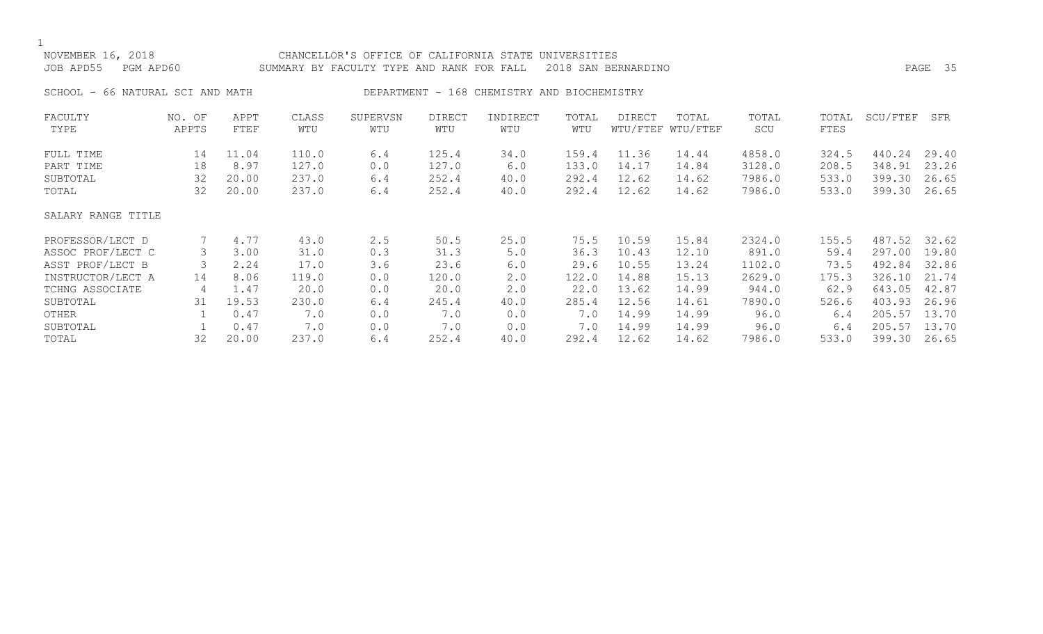|--|

# NOVEMBER 16, 2018 CHANCELLOR'S OFFICE OF CALIFORNIA STATE UNIVERSITIES JOB APD55 PGM APD60 SUMMARY BY FACULTY TYPE AND RANK FOR FALL 2018 SAN BERNARDINO PAGE 35 SCHOOL - 66 NATURAL SCI AND MATH DEPARTMENT - 168 CHEMISTRY AND BIOCHEMISTRY FACULTY NO. OF APPT CLASS SUPERVSN DIRECT INDIRECT TOTAL DIRECT TOTAL TOTAL TOTAL SCU/FTEF SFR TYPE APPTS FTEF WTU WTU WTU WTU WTU WTU/FTEF WTU/FTEF SCU FTES FULL TIME 14 11.04 110.0 6.4 125.4 34.0 159.4 11.36 14.44 4858.0 324.5 440.24 29.40 PART TIME 18 8.97 127.0 0.0 127.0 6.0 133.0 14.17 14.84 3128.0 208.5 348.91 23.26 SUBTOTAL 32 20.00 237.0 6.4 252.4 40.0 292.4 12.62 14.62 7986.0 533.0 399.30 26.65 TOTAL 32 20.00 237.0 6.4 252.4 40.0 292.4 12.62 14.62 7986.0 533.0 399.30 26.65 SALARY RANGE TITLE PROFESSOR/LECT D 7 4.77 43.0 2.5 50.5 25.0 75.5 10.59 15.84 2324.0 155.5 487.52 32.62 ASSOC PROF/LECT C 3 3.00 31.0 0.3 31.3 5.0 36.3 10.43 12.10 891.0 59.4 297.00 19.80 ASST PROF/LECT B 3 2.24 17.0 3.6 23.6 6.0 29.6 10.55 13.24 1102.0 73.5 492.84 32.86 INSTRUCTOR/LECT A 14 8.06 119.0 0.0 120.0 2.0 122.0 14.88 15.13 2629.0 175.3 326.10 21.74 TCHNG ASSOCIATE 4 1.47 20.0 0.0 20.0 2.0 22.0 13.62 14.99 944.0 62.9 643.05 42.87 SUBTOTAL 31 19.53 230.0 6.4 245.4 40.0 285.4 12.56 14.61 7890.0 526.6 403.93 26.96 OTHER 1 0.47 7.0 0.0 7.0 0.0 7.0 14.99 14.99 96.0 6.4 205.57 13.70<br>SUBTOTAL 1 0.47 7.0 0.0 7.0 0.0 7.0 14.99 14.99 96.0 6.4 205.57 13.70

SUBTOTAL 1 0.47 7.0 0.0 7.0 0.0 7.0 14.99 14.99 96.0 6.4 205.57 13.70 TOTAL 32 20.00 237.0 6.4 252.4 40.0 292.4 12.62 14.62 7986.0 533.0 399.30 26.65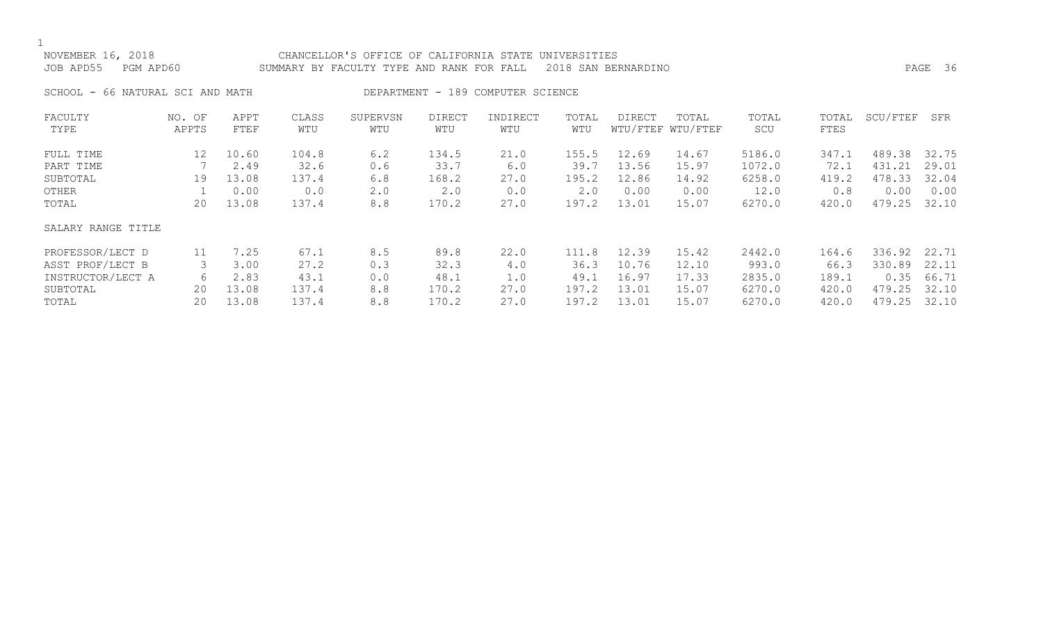## NOVEMBER 16, 2018 CHANCELLOR'S OFFICE OF CALIFORNIA STATE UNIVERSITIES JOB APD55 PGM APD60 SUMMARY BY FACULTY TYPE AND RANK FOR FALL 2018 SAN BERNARDINO PAGE 36

SCHOOL - 66 NATURAL SCI AND MATH DEPARTMENT - 189 COMPUTER SCIENCE

| FACULTY            | NO. OF          | APPT  | CLASS | SUPERVSN | <b>DIRECT</b> | INDIRECT | TOTAL | <b>DIRECT</b> | TOTAL             | TOTAL  | TOTAL | SCU/FTEF | SFR   |
|--------------------|-----------------|-------|-------|----------|---------------|----------|-------|---------------|-------------------|--------|-------|----------|-------|
| TYPE               | APPTS           | FTEF  | WTU   | WTU      | WTU           | WTU      | WTU   |               | WTU/FTEF WTU/FTEF | SCU    | FTES  |          |       |
| FULL TIME          | 12 <sup>°</sup> | 10.60 | 104.8 | 6.2      | 134.5         | 21.0     | 155.5 | 12.69         | 14.67             | 5186.0 | 347.1 | 489.38   | 32.75 |
| PART TIME          |                 | 2.49  | 32.6  | 0.6      | 33.7          | 6.0      | 39.7  | 13.56         | 15.97             | 1072.0 | 72.1  | 431.21   | 29.01 |
| SUBTOTAL           | 19              | 13.08 | 137.4 | 6.8      | 168.2         | 27.0     | 195.2 | 12.86         | 14.92             | 6258.0 | 419.2 | 478.33   | 32.04 |
| OTHER              |                 | 0.00  | 0.0   | 2.0      | 2.0           | 0.0      | 2.0   | 0.00          | 0.00              | 12.0   | 0.8   | 0.00     | 0.00  |
| TOTAL              | 20              | 13.08 | 137.4 | 8.8      | 170.2         | 27.0     | 197.2 | 13.01         | 15.07             | 6270.0 | 420.0 | 479.25   | 32.10 |
| SALARY RANGE TITLE |                 |       |       |          |               |          |       |               |                   |        |       |          |       |
| PROFESSOR/LECT D   | 11              | 7.25  | 67.1  | 8.5      | 89.8          | 22.0     | 111.8 | 12.39         | 15.42             | 2442.0 | 164.6 | 336.92   | 22.71 |
| ASST PROF/LECT B   | 3               | 3.00  | 27.2  | 0.3      | 32.3          | 4.0      | 36.3  | 10.76         | 12.10             | 993.0  | 66.3  | 330.89   | 22.11 |
| INSTRUCTOR/LECT A  | 6               | 2.83  | 43.1  | 0.0      | 48.1          | 1.0      | 49.1  | 16.97         | 17.33             | 2835.0 | 189.1 | 0.35     | 66.71 |
| SUBTOTAL           | 20              | 13.08 | 137.4 | 8.8      | 170.2         | 27.0     | 197.2 | 13.01         | 15.07             | 6270.0 | 420.0 | 479.25   | 32.10 |
| TOTAL              | 20              | 13.08 | 137.4 | 8.8      | 170.2         | 27.0     | 197.2 | 13.01         | 15.07             | 6270.0 | 420.0 | 479.25   | 32.10 |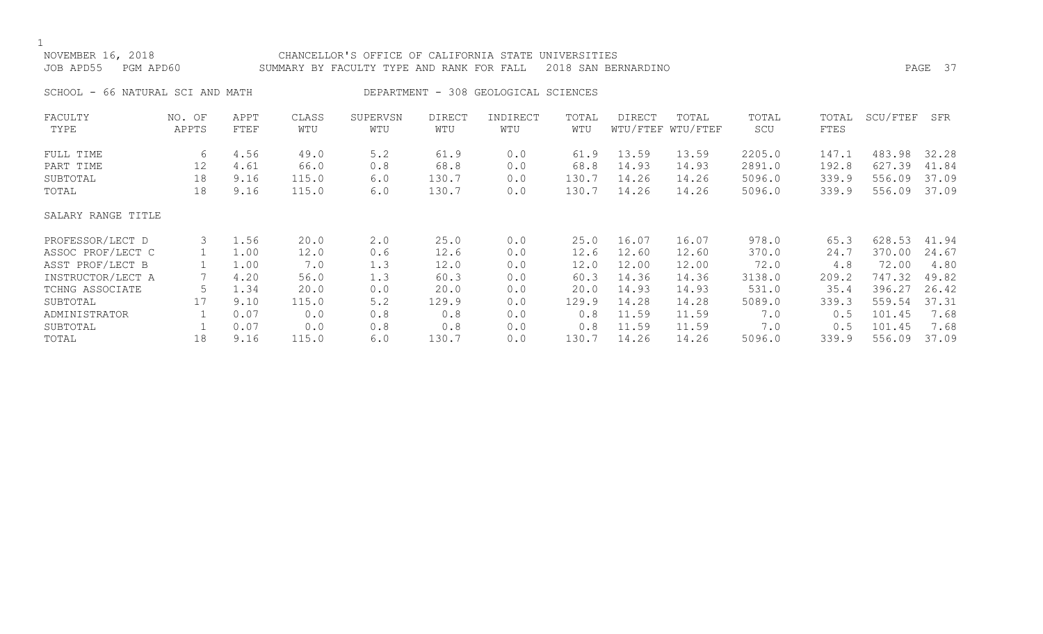## NOVEMBER 16, 2018 CHANCELLOR'S OFFICE OF CALIFORNIA STATE UNIVERSITIES JOB APD55 PGM APD60 SUMMARY BY FACULTY TYPE AND RANK FOR FALL 2018 SAN BERNARDINO PAGE 37 SCHOOL - 66 NATURAL SCI AND MATH DEPARTMENT - 308 GEOLOGICAL SCIENCES FACULTY NO. OF APPT CLASS SUPERVSN DIRECT INDIRECT TOTAL DIRECT TOTAL TOTAL TOTAL SCU/FTEF SFR TYPE APPTS FTEF WTU WTU WTU WTU WTU WTU/FTEF WTU/FTEF SCU FTES FULL TIME 6 4.56 49.0 5.2 61.9 0.0 61.9 13.59 13.59 2205.0 147.1 483.98 32.28 PART TIME 12 4.61 66.0 0.8 68.8 0.0 68.8 14.93 14.93 2891.0 192.8 627.39 41.84 SUBTOTAL 18 9.16 115.0 6.0 130.7 0.0 130.7 14.26 14.26 5096.0 339.9 556.09 37.09 TOTAL 18 9.16 115.0 6.0 130.7 0.0 130.7 14.26 14.26 5096.0 339.9 556.09 37.09 SALARY RANGE TITLE PROFESSOR/LECT D 3 1.56 20.0 2.0 25.0 0.0 25.0 16.07 16.07 978.0 65.3 628.53 41.94 ASSOC PROF/LECT C 1 1.00 12.0 0.6 12.6 0.0 12.6 12.60 12.60 370.0 24.7 370.00 24.67 ASST PROF/LECT B 1 1.00 7.0 1.3 12.0 0.0 12.0 12.00 12.00 72.0 4.8 72.00 4.80 INSTRUCTOR/LECT A 7 4.20 56.0 1.3 60.3 0.0 60.3 14.36 14.36 3138.0 209.2 747.32 49.82 TCHNG ASSOCIATE 5 1.34 20.0 0.0 20.0 0.0 20.0 14.93 14.93 531.0 35.4 396.27 26.42 SUBTOTAL 17 9.10 115.0 5.2 129.9 0.0 129.9 14.28 14.28 5089.0 339.3 559.54 37.31 ADMINISTRATOR 1 0.07 0.0 0.8 0.8 0.0 0.8 11.59 11.59 7.0 0.5 101.45 7.68<br>SUBTOTAL 1 0.07 0.0 0.8 0.8 0.0 0.8 11.59 11.59 7.0 0.5 101.45 7.68 SUBTOTAL 1 0.07 0.0 0.8 0.8 0.0 0.8 11.59 11.59 7.0 0.5 101.45 7.68

TOTAL 18 9.16 115.0 6.0 130.7 0.0 130.7 14.26 14.26 5096.0 339.9 556.09 37.09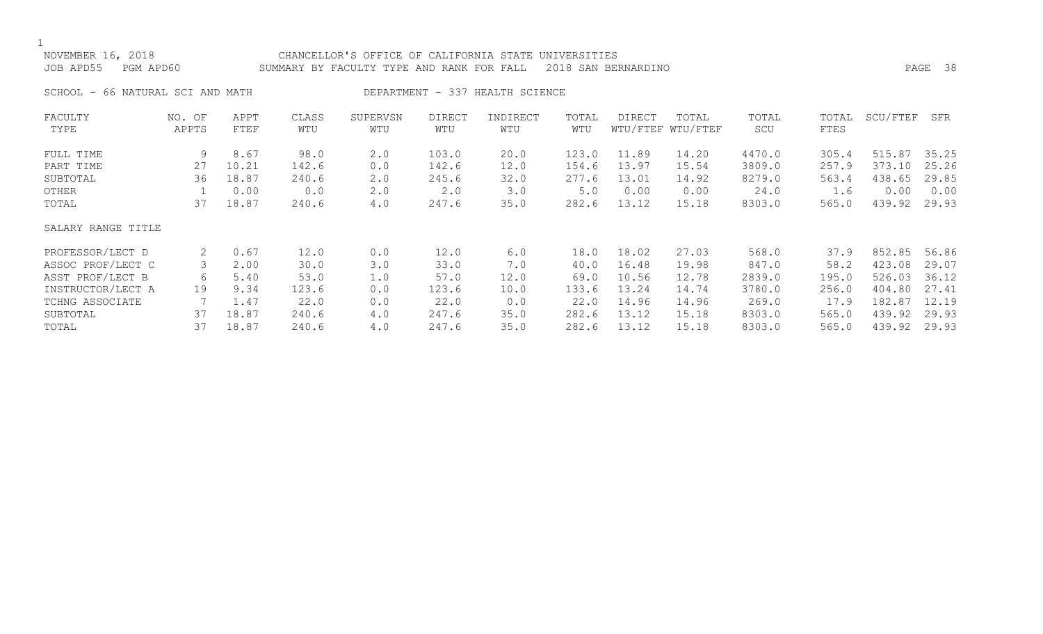## NOVEMBER 16, 2018 CHANCELLOR'S OFFICE OF CALIFORNIA STATE UNIVERSITIES JOB APD55 PGM APD60 SUMMARY BY FACULTY TYPE AND RANK FOR FALL 2018 SAN BERNARDINO PAGE 38

SCHOOL - 66 NATURAL SCI AND MATH DEPARTMENT - 337 HEALTH SCIENCE

| FACULTY            | NO. OF | APPT  | CLASS | SUPERVSN | <b>DIRECT</b> | INDIRECT | TOTAL | DIRECT | TOTAL             | TOTAL  | TOTAL | SCU/FTEF | SFR   |
|--------------------|--------|-------|-------|----------|---------------|----------|-------|--------|-------------------|--------|-------|----------|-------|
| TYPE               | APPTS  | FTEF  | WTU   | WTU      | WTU           | WTU      | WTU   |        | WTU/FTEF WTU/FTEF | SCU    | FTES  |          |       |
| FULL TIME          | 9      | 8.67  | 98.0  | 2.0      | 103.0         | 20.0     | 123.0 | 11.89  | 14.20             | 4470.0 | 305.4 | 515.87   | 35.25 |
| PART TIME          | 27     | 10.21 | 142.6 | 0.0      | 142.6         | 12.0     | 154.6 | 13.97  | 15.54             | 3809.0 | 257.9 | 373.10   | 25.26 |
| SUBTOTAL           | 36     | 18.87 | 240.6 | 2.0      | 245.6         | 32.0     | 277.6 | 13.01  | 14.92             | 8279.0 | 563.4 | 438.65   | 29.85 |
| OTHER              |        | 0.00  | 0.0   | 2.0      | 2.0           | 3.0      | 5.0   | 0.00   | 0.00              | 24.0   | 1.6   | 0.00     | 0.00  |
| TOTAL              | 37     | 18.87 | 240.6 | $4.0$    | 247.6         | 35.0     | 282.6 | 13.12  | 15.18             | 8303.0 | 565.0 | 439.92   | 29.93 |
| SALARY RANGE TITLE |        |       |       |          |               |          |       |        |                   |        |       |          |       |
| PROFESSOR/LECT D   | 2      | 0.67  | 12.0  | 0.0      | 12.0          | 6.0      | 18.0  | 18.02  | 27.03             | 568.0  | 37.9  | 852.85   | 56.86 |
| ASSOC PROF/LECT C  |        | 2.00  | 30.0  | 3.0      | 33.0          | 7.0      | 40.0  | 16.48  | 19.98             | 847.0  | 58.2  | 423.08   | 29.07 |
| ASST PROF/LECT B   | 6      | 5.40  | 53.0  | 1.0      | 57.0          | 12.0     | 69.0  | 10.56  | 12.78             | 2839.0 | 195.0 | 526.03   | 36.12 |
| INSTRUCTOR/LECT A  | 19     | 9.34  | 123.6 | 0.0      | 123.6         | 10.0     | 133.6 | 13.24  | 14.74             | 3780.0 | 256.0 | 404.80   | 27.41 |
| TCHNG ASSOCIATE    |        | 1.47  | 22.0  | 0.0      | 22.0          | 0.0      | 22.0  | 14.96  | 14.96             | 269.0  | 17.9  | 182.87   | 12.19 |
| SUBTOTAL           | 37     | 18.87 | 240.6 | 4.0      | 247.6         | 35.0     | 282.6 | 13.12  | 15.18             | 8303.0 | 565.0 | 439.92   | 29.93 |
| TOTAL              | 37     | 18.87 | 240.6 | 4.0      | 247.6         | 35.0     | 282.6 | 13.12  | 15.18             | 8303.0 | 565.0 | 439.92   | 29.93 |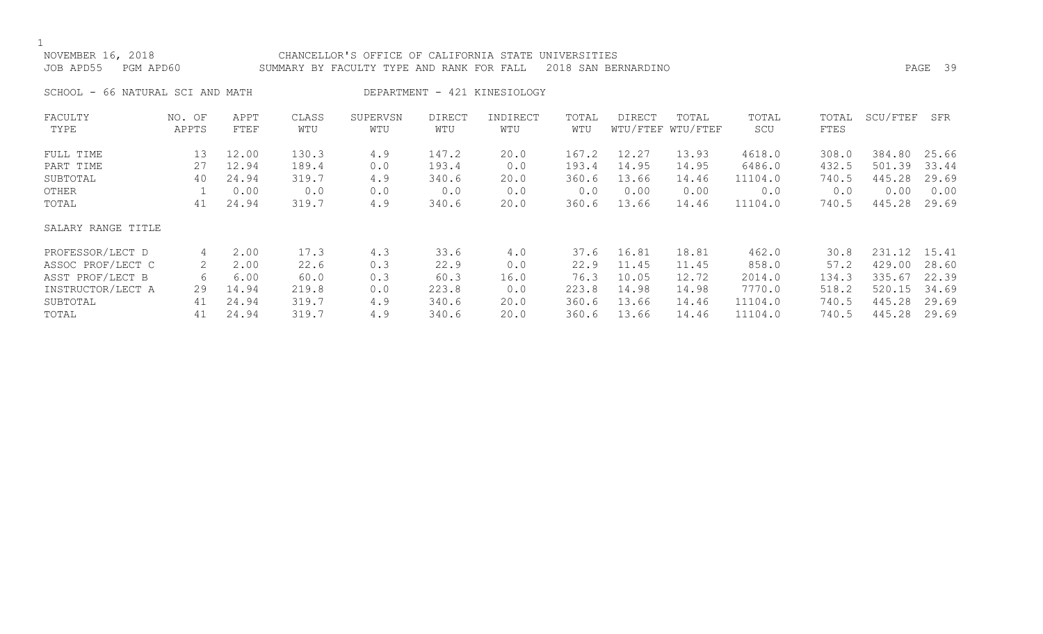### NOVEMBER 16, 2018 CHANCELLOR'S OFFICE OF CALIFORNIA STATE UNIVERSITIES JOB APD55 PGM APD60 SUMMARY BY FACULTY TYPE AND RANK FOR FALL 2018 SAN BERNARDINO PAGE 39

SCHOOL - 66 NATURAL SCI AND MATH DEPARTMENT - 421 KINESIOLOGY

| FACULTY            | NO. OF | APPT  | CLASS | SUPERVSN | <b>DIRECT</b> | INDIRECT | TOTAL | DIRECT | TOTAL             | TOTAL   | TOTAL | SCU/FTEF | SFR   |
|--------------------|--------|-------|-------|----------|---------------|----------|-------|--------|-------------------|---------|-------|----------|-------|
| TYPE               | APPTS  | FTEF  | WTU   | WTU      | WTU           | WTU      | WTU   |        | WTU/FTEF WTU/FTEF | SCU     | FTES  |          |       |
| FULL TIME          | 13     | 12.00 | 130.3 | 4.9      | 147.2         | 20.0     | 167.2 | 12.27  | 13.93             | 4618.0  | 308.0 | 384.80   | 25.66 |
| PART TIME          | 27     | 12.94 | 189.4 | 0.0      | 193.4         | 0.0      | 193.4 | 14.95  | 14.95             | 6486.0  | 432.5 | 501.39   | 33.44 |
| SUBTOTAL           | 40     | 24.94 | 319.7 | 4.9      | 340.6         | 20.0     | 360.6 | 13.66  | 14.46             | 11104.0 | 740.5 | 445.28   | 29.69 |
| OTHER              |        | 0.00  | 0.0   | 0.0      | 0.0           | 0.0      | 0.0   | 0.00   | 0.00              | 0.0     | 0.0   | 0.00     | 0.00  |
| TOTAL              | 41     | 24.94 | 319.7 | 4.9      | 340.6         | 20.0     | 360.6 | 13.66  | 14.46             | 11104.0 | 740.5 | 445.28   | 29.69 |
| SALARY RANGE TITLE |        |       |       |          |               |          |       |        |                   |         |       |          |       |
| PROFESSOR/LECT D   | 4      | 2.00  | 17.3  | 4.3      | 33.6          | 4.0      | 37.6  | 16.81  | 18.81             | 462.0   | 30.8  | 231.12   | 15.41 |
| ASSOC PROF/LECT C  | 2      | 2.00  | 22.6  | 0.3      | 22.9          | 0.0      | 22.9  | 11.45  | 11.45             | 858.0   | 57.2  | 429.00   | 28.60 |
| ASST PROF/LECT B   | 6      | 6.00  | 60.0  | 0.3      | 60.3          | 16.0     | 76.3  | 10.05  | 12.72             | 2014.0  | 134.3 | 335.67   | 22.39 |
| INSTRUCTOR/LECT A  | 29     | 14.94 | 219.8 | 0.0      | 223.8         | 0.0      | 223.8 | 14.98  | 14.98             | 7770.0  | 518.2 | 520.15   | 34.69 |
| SUBTOTAL           | 41     | 24.94 | 319.7 | 4.9      | 340.6         | 20.0     | 360.6 | 13.66  | 14.46             | 11104.0 | 740.5 | 445.28   | 29.69 |
| TOTAL              | 41     | 24.94 | 319.7 | 4.9      | 340.6         | 20.0     | 360.6 | 13.66  | 14.46             | 11104.0 | 740.5 | 445.28   | 29.69 |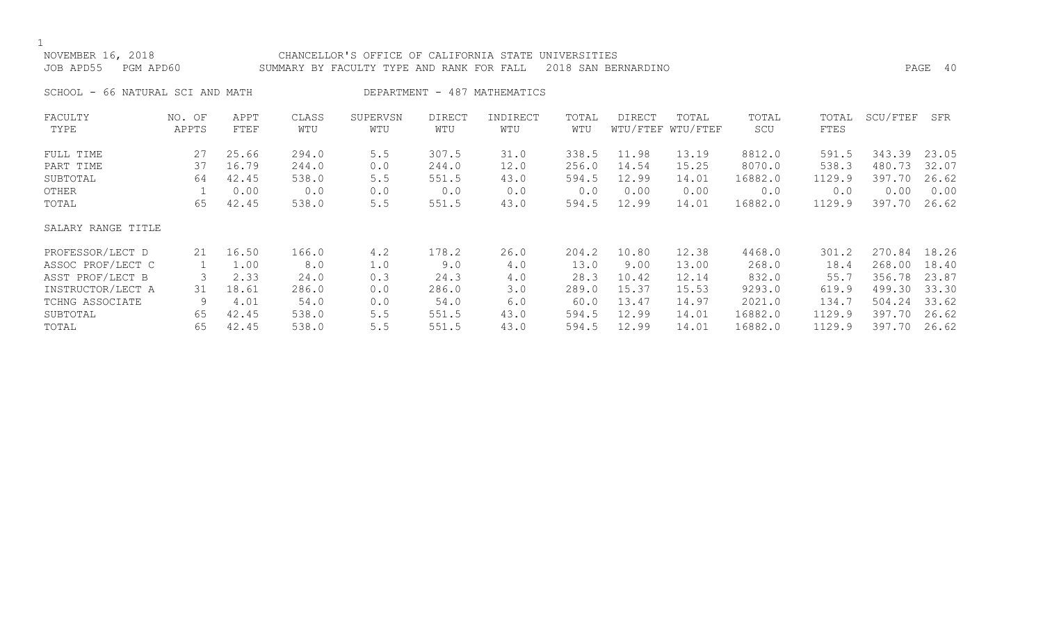## NOVEMBER 16, 2018 CHANCELLOR'S OFFICE OF CALIFORNIA STATE UNIVERSITIES JOB APD55 PGM APD60 SUMMARY BY FACULTY TYPE AND RANK FOR FALL 2018 SAN BERNARDINO PAGE 40

SCHOOL - 66 NATURAL SCI AND MATH DEPARTMENT - 487 MATHEMATICS

| FACULTY            | NO. OF | APPT  | CLASS | SUPERVSN | <b>DIRECT</b> | INDIRECT | TOTAL | DIRECT   | TOTAL    | TOTAL   | TOTAL  | SCU/FTEF | SFR   |
|--------------------|--------|-------|-------|----------|---------------|----------|-------|----------|----------|---------|--------|----------|-------|
| TYPE               | APPTS  | FTEF  | WTU   | WTU      | WTU           | WTU      | WTU   | WTU/FTEF | WTU/FTEF | SCU     | FTES   |          |       |
| FULL TIME          | 27     | 25.66 | 294.0 | 5.5      | 307.5         | 31.0     | 338.5 | 11.98    | 13.19    | 8812.0  | 591.5  | 343.39   | 23.05 |
| PART TIME          | 37     | 16.79 | 244.0 | 0.0      | 244.0         | 12.0     | 256.0 | 14.54    | 15.25    | 8070.0  | 538.3  | 480.73   | 32.07 |
| SUBTOTAL           | 64     | 42.45 | 538.0 | 5.5      | 551.5         | 43.0     | 594.5 | 12.99    | 14.01    | 16882.0 | 1129.9 | 397.70   | 26.62 |
| OTHER              |        | 0.00  | 0.0   | 0.0      | 0.0           | 0.0      | 0.0   | 0.00     | 0.00     | 0.0     | 0.0    | 0.00     | 0.00  |
| TOTAL              | 65     | 42.45 | 538.0 | 5.5      | 551.5         | 43.0     | 594.5 | 12.99    | 14.01    | 16882.0 | 1129.9 | 397.70   | 26.62 |
| SALARY RANGE TITLE |        |       |       |          |               |          |       |          |          |         |        |          |       |
| PROFESSOR/LECT D   | 21     | 16.50 | 166.0 | 4.2      | 178.2         | 26.0     | 204.2 | 10.80    | 12.38    | 4468.0  | 301.2  | 270.84   | 18.26 |
| ASSOC PROF/LECT C  |        | 1.00  | 8.0   | 1.0      | 9.0           | 4.0      | 13.0  | 9.00     | 13.00    | 268.0   | 18.4   | 268.00   | 18.40 |
| ASST PROF/LECT B   |        | 2.33  | 24.0  | 0.3      | 24.3          | 4.0      | 28.3  | 10.42    | 12.14    | 832.0   | 55.7   | 356.78   | 23.87 |
| INSTRUCTOR/LECT A  | 31     | 18.61 | 286.0 | 0.0      | 286.0         | 3.0      | 289.0 | 15.37    | 15.53    | 9293.0  | 619.9  | 499.30   | 33.30 |
| TCHNG ASSOCIATE    | 9      | 4.01  | 54.0  | 0.0      | 54.0          | 6.0      | 60.0  | 13.47    | 14.97    | 2021.0  | 134.7  | 504.24   | 33.62 |
| SUBTOTAL           | 65     | 42.45 | 538.0 | 5.5      | 551.5         | 43.0     | 594.5 | 12.99    | 14.01    | 16882.0 | 1129.9 | 397.70   | 26.62 |
| TOTAL              | 65     | 42.45 | 538.0 | 5.5      | 551.5         | 43.0     | 594.5 | 12.99    | 14.01    | 16882.0 | 1129.9 | 397.70   | 26.62 |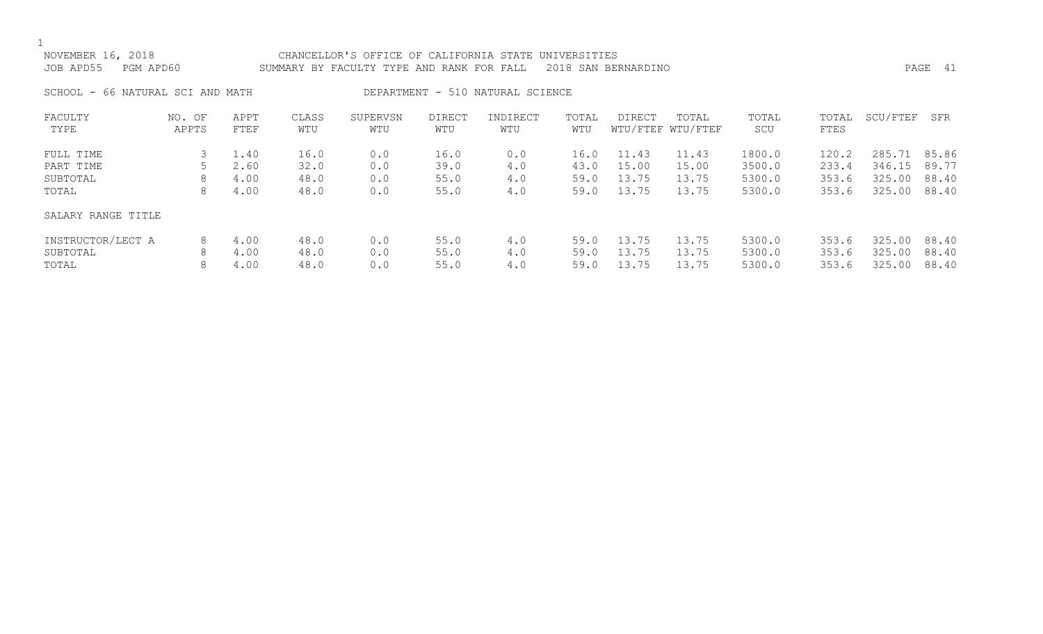$\frac{1}{\lambda}$ 

| NOVEMBER 16, 2018<br>JOB APD55 PGM APD60 | CHANCELLOR'S OFFICE OF CALIFORNIA STATE UNIVERSITIES<br>SUMMARY BY FACULTY TYPE AND RANK FOR FALL 2018 SAN BERNARDINO | PAGE 41 |  |
|------------------------------------------|-----------------------------------------------------------------------------------------------------------------------|---------|--|
| SCHOOL - 66 NATURAL SCI AND MATH         | DEPARTMENT - 510 NATURAL SCIENCE                                                                                      |         |  |

| FACULTY<br>TYPE    | NO. OF<br>APPTS | APPT<br>FTEF | CLASS<br>WTU | SUPERVSN<br>WTU | <b>DIRECT</b><br>WTU | INDIRECT<br>WTU | TOTAL<br>WTU | DIRECT | TOTAL<br>WTU/FTEF WTU/FTEF | TOTAL<br>SCU | TOTAL<br>FTES | SCU/FTEF | SFR   |
|--------------------|-----------------|--------------|--------------|-----------------|----------------------|-----------------|--------------|--------|----------------------------|--------------|---------------|----------|-------|
| FULL TIME          |                 | 1.40         | 16.0         | 0.0             | 16.0                 | 0.0             | 16.0         | 11.43  | 11.43                      | 1800.0       | 120.2         | 285.71   | 85.86 |
| PART TIME          |                 | 2.60         | 32.0         | 0.0             | 39.0                 | 4.0             | 43.0         | 15.00  | 15.00                      | 3500.0       | 233.4         | 346.15   | 89.77 |
| SUBTOTAL           | 8               | 4.00         | 48.0         | 0.0             | 55.0                 | 4.0             | 59.0         | 13.75  | 13.75                      | 5300.0       | 353.6         | 325.00   | 88.40 |
| TOTAL              | 8               | 4.00         | 48.0         | 0.0             | 55.0                 | 4.0             | 59.0         | 13.75  | 13.75                      | 5300.0       | 353.6         | 325.00   | 88.40 |
| SALARY RANGE TITLE |                 |              |              |                 |                      |                 |              |        |                            |              |               |          |       |
| INSTRUCTOR/LECT A  | 8               | 4.00         | 48.0         | 0.0             | 55.0                 | 4.0             | 59.0         | 13.75  | 13.75                      | 5300.0       | 353.6         | 325.00   | 88.40 |
| SUBTOTAL           | 8               | 4.00         | 48.0         | 0.0             | 55.0                 | 4.0             | 59.0         | 13.75  | 13.75                      | 5300.0       | 353.6         | 325.00   | 88.40 |
| TOTAL              | 8               | 4.00         | 48.0         | 0.0             | 55.0                 | 4.0             | 59.0         | 13.75  | 13.75                      | 5300.0       | 353.6         | 325.00   | 88.40 |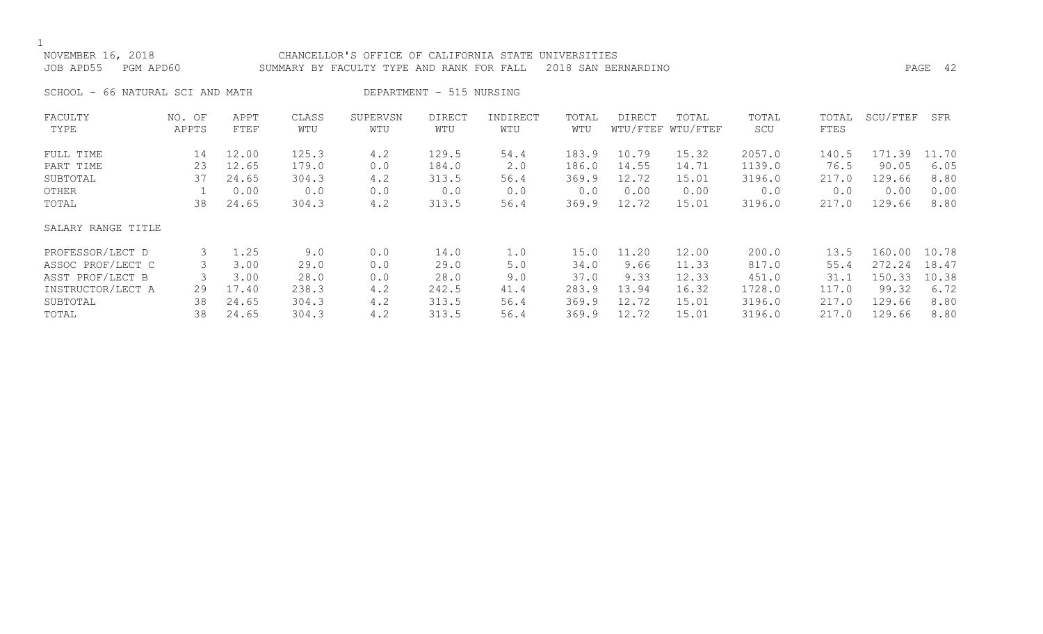## NOVEMBER 16, 2018 CHANCELLOR'S OFFICE OF CALIFORNIA STATE UNIVERSITIES JOB APD55 PGM APD60 SUMMARY BY FACULTY TYPE AND RANK FOR FALL 2018 SAN BERNARDINO PAGE 42

SCHOOL - 66 NATURAL SCI AND MATH DEPARTMENT - 515 NURSING

| FACULTY            | NO. OF | APPT  | CLASS | SUPERVSN | <b>DIRECT</b> | INDIRECT | TOTAL | <b>DIRECT</b> | TOTAL             | TOTAL  | TOTAL | SCU/FTEF   | SFR   |
|--------------------|--------|-------|-------|----------|---------------|----------|-------|---------------|-------------------|--------|-------|------------|-------|
| TYPE               | APPTS  | FTEF  | WTU   | WTU      | WTU           | WTU      | WTU   |               | WTU/FTEF WTU/FTEF | SCU    | FTES  |            |       |
| FULL TIME          | 14     | 12.00 | 125.3 | 4.2      | 129.5         | 54.4     | 183.9 | 10.79         | 15.32             | 2057.0 | 140.5 | 171<br>.39 | 11.70 |
| PART TIME          | 23     | 12.65 | 179.0 | 0.0      | 184.0         | 2.0      | 186.0 | 14.55         | 14.71             | 1139.0 | 76.5  | 90.05      | 6.05  |
| SUBTOTAL           | 37     | 24.65 | 304.3 | 4.2      | 313.5         | 56.4     | 369.9 | 12.72         | 15.01             | 3196.0 | 217.0 | 129.66     | 8.80  |
| OTHER              |        | 0.00  | 0.0   | 0.0      | 0.0           | 0.0      | 0.0   | 0.00          | 0.00              | 0.0    | 0.0   | 0.00       | 0.00  |
| TOTAL              | 38     | 24.65 | 304.3 | 4.2      | 313.5         | 56.4     | 369.9 | 12.72         | 15.01             | 3196.0 | 217.0 | 129.66     | 8.80  |
| SALARY RANGE TITLE |        |       |       |          |               |          |       |               |                   |        |       |            |       |
| PROFESSOR/LECT D   | 3      | 1.25  | 9.0   | 0.0      | 14.0          | 1.0      | 15.0  | 11.20         | 12.00             | 200.0  | 13.5  | 160.00     | 10.78 |
| ASSOC PROF/LECT C  |        | 3.00  | 29.0  | 0.0      | 29.0          | 5.0      | 34.0  | 9.66          | 11.33             | 817.0  | 55.4  | 272.24     | 18.47 |
| ASST PROF/LECT B   |        | 3.00  | 28.0  | 0.0      | 28.0          | 9.0      | 37.0  | 9.33          | 12.33             | 451.0  | 31.1  | 150.33     | 10.38 |
| INSTRUCTOR/LECT A  | 29     | 17.40 | 238.3 | 4.2      | 242.5         | 41.4     | 283.9 | 13.94         | 16.32             | 1728.0 | 117.0 | 99.32      | 6.72  |
| SUBTOTAL           | 38     | 24.65 | 304.3 | 4.2      | 313.5         | 56.4     | 369.9 | 12.72         | 15.01             | 3196.0 | 217.0 | 129.66     | 8.80  |
| TOTAL              | 38     | 24.65 | 304.3 | 4.2      | 313.5         | 56.4     | 369.9 | 12.72         | 15.01             | 3196.0 | 217.0 | 129.66     | 8.80  |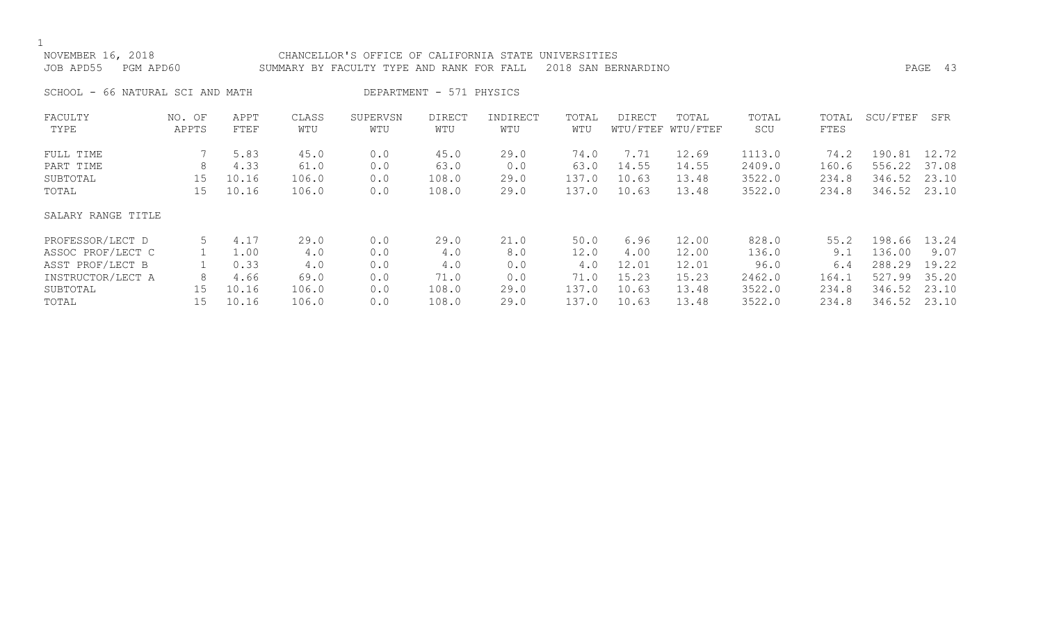| NOVEMBER 16, 2018<br>JOB APD55<br>PGM APD60 |                 |              | CHANCELLOR'S OFFICE OF CALIFORNIA STATE<br>SUMMARY BY FACULTY TYPE AND RANK FOR FALL |                 | PAGE 43                  |                 |              |               |                            |              |               |              |       |
|---------------------------------------------|-----------------|--------------|--------------------------------------------------------------------------------------|-----------------|--------------------------|-----------------|--------------|---------------|----------------------------|--------------|---------------|--------------|-------|
| SCHOOL - 66 NATURAL SCI AND MATH            |                 |              |                                                                                      |                 | DEPARTMENT - 571 PHYSICS |                 |              |               |                            |              |               |              |       |
| FACULTY<br>TYPE                             | NO. OF<br>APPTS | APPT<br>FTEF | CLASS<br>WTU                                                                         | SUPERVSN<br>WTU | <b>DIRECT</b><br>WTU     | INDIRECT<br>WTU | TOTAL<br>WTU | <b>DIRECT</b> | TOTAL<br>WTU/FTEF WTU/FTEF | TOTAL<br>SCU | TOTAL<br>FTES | SCU/FTEF     | SFR   |
| FULL TIME                                   |                 | 5.83         | 45.0                                                                                 | 0.0             | 45.0                     | 29.0            | 74.0         | 7.71          | 12.69                      | 1113.0       | 74.2          | 190.81 12.72 |       |
| PART TIME                                   | 8               | 4.33         | 61.0                                                                                 | 0.0             | 63.0                     | 0.0             | 63.0         | 14.55         | 14.55                      | 2409.0       | 160.6         | 556.22 37.08 |       |
| SUBTOTAL                                    | 15              | 10.16        | 106.0                                                                                | 0.0             | 108.0                    | 29.0            | 137.0        | 10.63         | 13.48                      | 3522.0       | 234.8         | 346.52       | 23.10 |
| TOTAL                                       | 15 <sub>1</sub> | 10.16        | 106.0                                                                                | 0.0             | 108.0                    | 29.0            | 137.0        | 10.63         | 13.48                      | 3522.0       | 234.8         | 346.52 23.10 |       |
| SALARY RANGE TITLE                          |                 |              |                                                                                      |                 |                          |                 |              |               |                            |              |               |              |       |
| PROFESSOR/LECT D                            | 5               | 4.17         | 29.0                                                                                 | 0.0             | 29.0                     | 21.0            | 50.0         | 6.96          | 12.00                      | 828.0        | 55.2          | 198.66       | 13.24 |
| ASSOC PROF/LECT C                           |                 | 1.00         | 4.0                                                                                  | 0.0             | 4.0                      | 8.0             | 12.0         | 4.00          | 12.00                      | 136.0        | 9.1           | 136.00       | 9.07  |
| ASST PROF/LECT B                            |                 | 0.33         | 4.0                                                                                  | 0.0             | 4.0                      | 0.0             | 4.0          | 12.01         | 12.01                      | 96.0         | 6.4           | 288.29       | 19.22 |
| INSTRUCTOR/LECT A                           | 8               | 4.66         | 69.0                                                                                 | 0.0             | 71.0                     | 0.0             | 71.0         | 15.23         | 15.23                      | 2462.0       | 164.1         | 527.99       | 35.20 |

SUBTOTAL 15 10.16 106.0 0.0 108.0 29.0 137.0 10.63 13.48 3522.0 234.8 346.52 23.10<br>TOTAL 15 10.16 106.0 0.0 108.0 29.0 137.0 10.63 13.48 3522.0 234.8 3 TOTAL 15 10.16 106.0 0.0 108.0 29.0 137.0 10.63 13.48 3522.0 234.8 346.52 23.10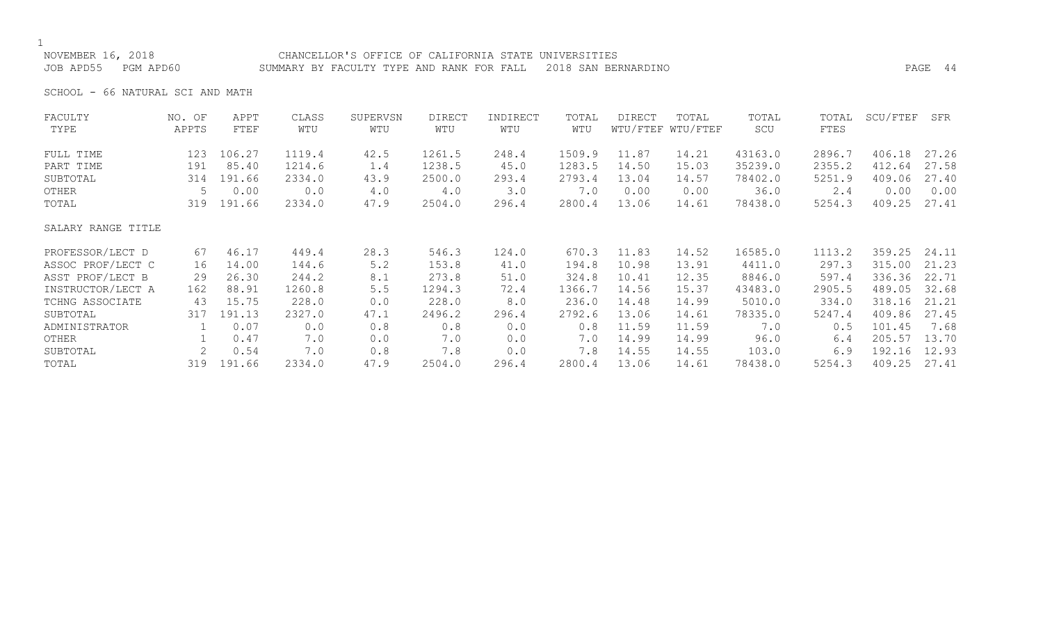NOVEMBER 16, 2018 CHANCELLOR'S OFFICE OF CALIFORNIA STATE UNIVERSITIES JOB APD55 PGM APD60 SUMMARY BY FACULTY TYPE AND RANK FOR FALL 2018 SAN BERNARDINO PAGE 44

SCHOOL - 66 NATURAL SCI AND MATH

| FACULTY            | NO. OF                    | APPT   | CLASS  | SUPERVSN | DIRECT | INDIRECT | TOTAL  | DIRECT | TOTAL             | TOTAL   | TOTAL  | SCU/FTEF | SFR   |
|--------------------|---------------------------|--------|--------|----------|--------|----------|--------|--------|-------------------|---------|--------|----------|-------|
| TYPE               | APPTS                     | FTEF   | WTU    | WTU      | WTU    | WTU      | WTU    |        | WTU/FTEF WTU/FTEF | SCU     | FTES   |          |       |
| FULL TIME          | 123                       | 106.27 | 1119.4 | 42.5     | 1261.5 | 248.4    | 1509.9 | 11.87  | 14.21             | 43163.0 | 2896.7 | 406.18   | 27.26 |
| PART TIME          | 191                       | 85.40  | 1214.6 | 1.4      | 1238.5 | 45.0     | 1283.5 | 14.50  | 15.03             | 35239.0 | 2355.2 | 412.64   | 27.58 |
| SUBTOTAL           | 314                       | 191.66 | 2334.0 | 43.9     | 2500.0 | 293.4    | 2793.4 | 13.04  | 14.57             | 78402.0 | 5251.9 | 409.06   | 27.40 |
| OTHER              | 5                         | 0.00   | 0.0    | 4.0      | 4.0    | 3.0      | 7.0    | 0.00   | 0.00              | 36.0    | 2.4    | 0.00     | 0.00  |
| TOTAL              | 319                       | 191.66 | 2334.0 | 47.9     | 2504.0 | 296.4    | 2800.4 | 13.06  | 14.61             | 78438.0 | 5254.3 | 409.25   | 27.41 |
| SALARY RANGE TITLE |                           |        |        |          |        |          |        |        |                   |         |        |          |       |
| PROFESSOR/LECT D   | 67                        | 46.17  | 449.4  | 28.3     | 546.3  | 124.0    | 670.3  | 11.83  | 14.52             | 16585.0 | 1113.2 | 359.25   | 24.11 |
| ASSOC PROF/LECT C  | 16                        | 14.00  | 144.6  | 5.2      | 153.8  | 41.0     | 194.8  | 10.98  | 13.91             | 4411.0  | 297.3  | 315.00   | 21.23 |
| ASST PROF/LECT B   | 29                        | 26.30  | 244.2  | 8.1      | 273.8  | 51.0     | 324.8  | 10.41  | 12.35             | 8846.0  | 597.4  | 336.36   | 22.71 |
| INSTRUCTOR/LECT A  | 162                       | 88.91  | 1260.8 | $5.5$    | 1294.3 | 72.4     | 1366.7 | 14.56  | 15.37             | 43483.0 | 2905.5 | 489.05   | 32.68 |
| TCHNG ASSOCIATE    | 43                        | 15.75  | 228.0  | 0.0      | 228.0  | 8.0      | 236.0  | 14.48  | 14.99             | 5010.0  | 334.0  | 318.16   | 21.21 |
| SUBTOTAL           | 317                       | 191.13 | 2327.0 | 47.1     | 2496.2 | 296.4    | 2792.6 | 13.06  | 14.61             | 78335.0 | 5247.4 | 409.86   | 27.45 |
| ADMINISTRATOR      |                           | 0.07   | 0.0    | 0.8      | 0.8    | 0.0      | 0.8    | 11.59  | 11.59             | 7.0     | 0.5    | 101.45   | 7.68  |
| OTHER              |                           | 0.47   | 7.0    | 0.0      | 7.0    | 0.0      | 7.0    | 14.99  | 14.99             | 96.0    | 6.4    | 205.57   | 13.70 |
| SUBTOTAL           | $\mathbf{2}^{\mathsf{I}}$ | 0.54   | 7.0    | 0.8      | 7.8    | 0.0      | 7.8    | 14.55  | 14.55             | 103.0   | 6.9    | 192.16   | 12.93 |
| TOTAL              | 319                       | 191.66 | 2334.0 | 47.9     | 2504.0 | 296.4    | 2800.4 | 13.06  | 14.61             | 78438.0 | 5254.3 | 409.25   | 27.41 |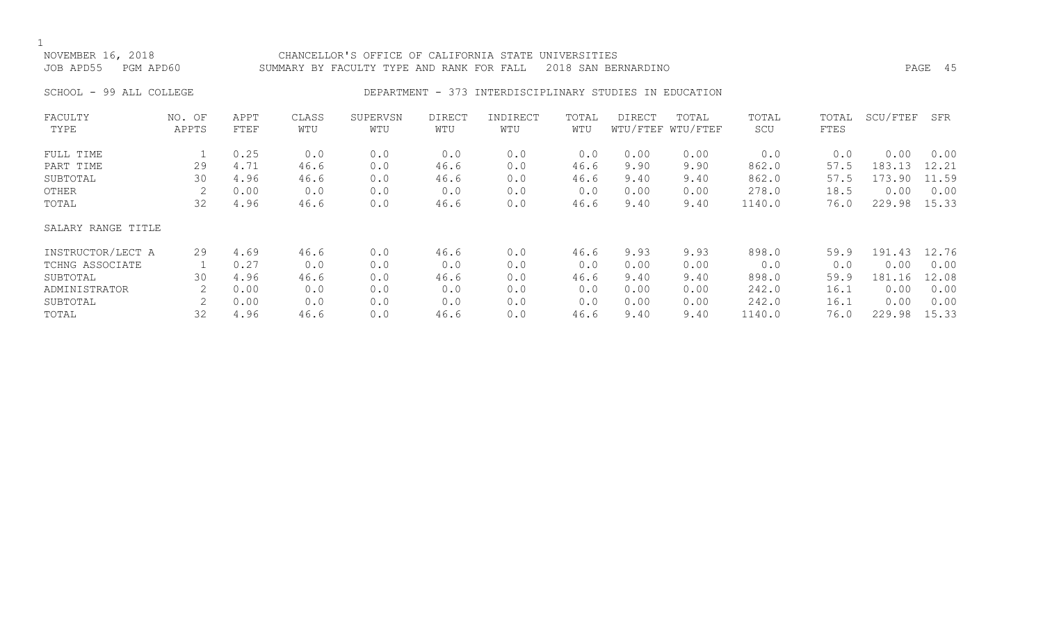### NOVEMBER 16, 2018 CHANCELLOR'S OFFICE OF CALIFORNIA STATE UNIVERSITIES JOB APD55 PGM APD60 SUMMARY BY FACULTY TYPE AND RANK FOR FALL 2018 SAN BERNARDINO PAGE 45

### SCHOOL - 99 ALL COLLEGE THE RESOLUTION DEPARTMENT - 373 INTERDISCIPLINARY STUDIES IN EDUCATION

| FACULTY            | NO. OF | APPT | CLASS | SUPERVSN | DIRECT | INDIRECT | TOTAL | DIRECT | TOTAL             | TOTAL  | TOTAL | SCU/FTEF | SFR   |
|--------------------|--------|------|-------|----------|--------|----------|-------|--------|-------------------|--------|-------|----------|-------|
| TYPE               | APPTS  | FTEF | WTU   | WTU      | WTU    | WTU      | WTU   |        | WTU/FTEF WTU/FTEF | SCU    | FTES  |          |       |
| FULL TIME          |        | 0.25 | 0.0   | 0.0      | 0.0    | 0.0      | 0.0   | 0.00   | 0.00              | 0.0    | 0.0   | 0.00     | 0.00  |
| PART TIME          | 29     | 4.71 | 46.6  | 0.0      | 46.6   | 0.0      | 46.6  | 9.90   | 9.90              | 862.0  | 57.5  | 183.13   | 12.21 |
| SUBTOTAL           | 30     | 4.96 | 46.6  | 0.0      | 46.6   | 0.0      | 46.6  | 9.40   | 9.40              | 862.0  | 57.5  | 173.90   | 11.59 |
| OTHER              |        | 0.00 | 0.0   | 0.0      | 0.0    | 0.0      | 0.0   | 0.00   | 0.00              | 278.0  | 18.5  | 0.00     | 0.00  |
| TOTAL              | 32     | 4.96 | 46.6  | 0.0      | 46.6   | 0.0      | 46.6  | 9.40   | 9.40              | 1140.0 | 76.0  | 229.98   | 15.33 |
| SALARY RANGE TITLE |        |      |       |          |        |          |       |        |                   |        |       |          |       |
| INSTRUCTOR/LECT A  | 29     | 4.69 | 46.6  | 0.0      | 46.6   | 0.0      | 46.6  | 9.93   | 9.93              | 898.0  | 59.9  | 191.43   | 12.76 |
| TCHNG ASSOCIATE    |        | 0.27 | 0.0   | 0.0      | 0.0    | 0.0      | 0.0   | 0.00   | 0.00              | 0.0    | 0.0   | 0.00     | 0.00  |
| SUBTOTAL           | 30     | 4.96 | 46.6  | 0.0      | 46.6   | 0.0      | 46.6  | 9.40   | 9.40              | 898.0  | 59.9  | 181.16   | 12.08 |
| ADMINISTRATOR      |        | 0.00 | 0.0   | 0.0      | 0.0    | 0.0      | 0.0   | 0.00   | 0.00              | 242.0  | 16.1  | 0.00     | 0.00  |
| SUBTOTAL           | 2      | 0.00 | 0.0   | 0.0      | 0.0    | 0.0      | 0.0   | 0.00   | 0.00              | 242.0  | 16.1  | 0.00     | 0.00  |
| TOTAL              | 32     | 4.96 | 46.6  | 0.0      | 46.6   | 0.0      | 46.6  | 9.40   | 9.40              | 1140.0 | 76.0  | 229.98   | 15.33 |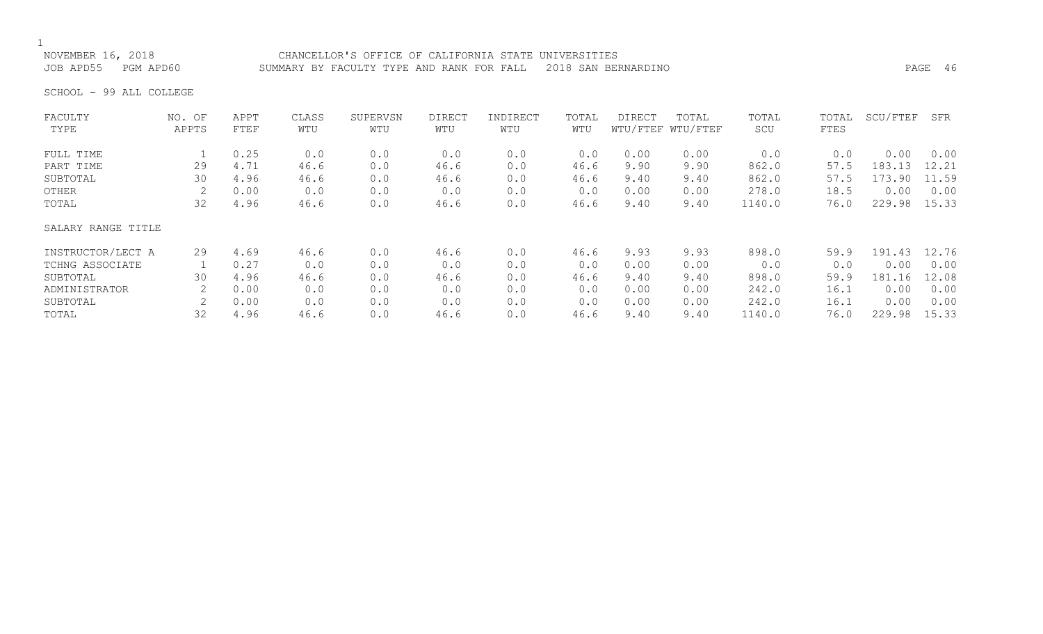# NOVEMBER 16, 2018 CHANCELLOR'S OFFICE OF CALIFORNIA STATE UNIVERSITIES

JOB APD55 PGM APD60 SUMMARY BY FACULTY TYPE AND RANK FOR FALL 2018 SAN BERNARDINO PAGE 46

SCHOOL - 99 ALL COLLEGE

| FACULTY            | NO. OF | APPT | CLASS | SUPERVSN | <b>DIRECT</b> | INDIRECT | TOTAL | DIRECT | TOTAL             | TOTAL  | TOTAL | SCU/FTEF | SFR   |
|--------------------|--------|------|-------|----------|---------------|----------|-------|--------|-------------------|--------|-------|----------|-------|
| TYPE               | APPTS  | FTEF | WTU   | WTU      | WTU           | WTU      | WTU   |        | WTU/FTEF WTU/FTEF | SCU    | FTES  |          |       |
| FULL TIME          |        | 0.25 | 0.0   | 0.0      | 0.0           | 0.0      | 0.0   | 0.00   | 0.00              | 0.0    | 0.0   | 0.00     | 0.00  |
| PART TIME          | 29     | 4.71 | 46.6  | 0.0      | 46.6          | 0.0      | 46.6  | 9.90   | 9.90              | 862.0  | 57.5  | 183.13   | 12.21 |
| SUBTOTAL           | 30     | 4.96 | 46.6  | 0.0      | 46.6          | 0.0      | 46.6  | 9.40   | 9.40              | 862.0  | 57.5  | 173.90   | 11.59 |
| OTHER              |        | 0.00 | 0.0   | 0.0      | 0.0           | 0.0      | 0.0   | 0.00   | 0.00              | 278.0  | 18.5  | 0.00     | 0.00  |
| TOTAL              | 32     | 4.96 | 46.6  | 0.0      | 46.6          | 0.0      | 46.6  | 9.40   | 9.40              | 1140.0 | 76.0  | 229.98   | 15.33 |
| SALARY RANGE TITLE |        |      |       |          |               |          |       |        |                   |        |       |          |       |
| INSTRUCTOR/LECT A  | 29     | 4.69 | 46.6  | 0.0      | 46.6          | 0.0      | 46.6  | 9.93   | 9.93              | 898.0  | 59.9  | 191.43   | 12.76 |
| TCHNG ASSOCIATE    |        | 0.27 | 0.0   | 0.0      | 0.0           | 0.0      | 0.0   | 0.00   | 0.00              | 0.0    | 0.0   | 0.00     | 0.00  |
| SUBTOTAL           | 30     | 4.96 | 46.6  | 0.0      | 46.6          | 0.0      | 46.6  | 9.40   | 9.40              | 898.0  | 59.9  | 181.16   | 12.08 |
| ADMINISTRATOR      |        | 0.00 | 0.0   | 0.0      | 0.0           | 0.0      | 0.0   | 0.00   | 0.00              | 242.0  | 16.1  | 0.00     | 0.00  |
| SUBTOTAL           |        | 0.00 | 0.0   | 0.0      | 0.0           | 0.0      | 0.0   | 0.00   | 0.00              | 242.0  | 16.1  | 0.00     | 0.00  |
| TOTAL              | 32     | 4.96 | 46.6  | 0.0      | 46.6          | 0.0      | 46.6  | 9.40   | 9.40              | 1140.0 | 76.0  | 229.98   | 15.33 |